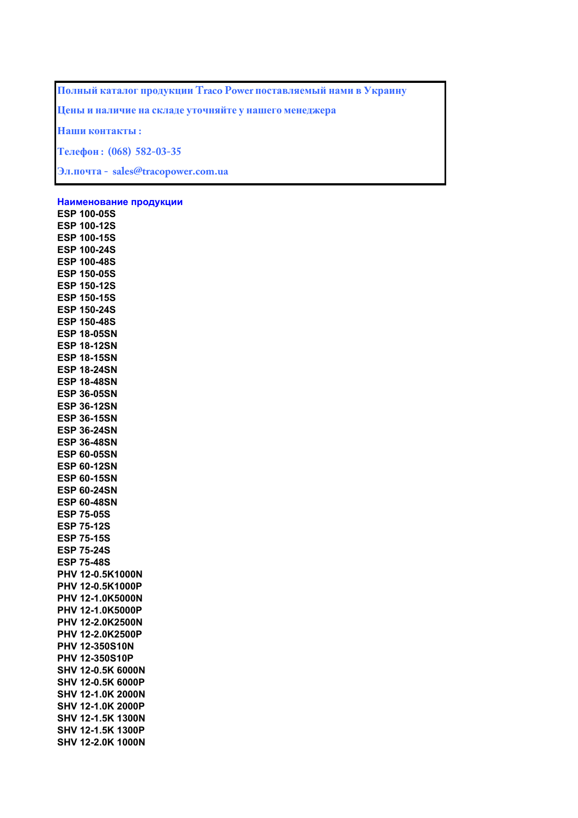**Полный каталог продукции Traco Power поставляемый нами в Украину**

**Цены и наличие на складе уточняйте у нашего менеджера**

**Наши контакты :**

**Телефон : (068) 582-03-35**

**Эл.почта - sales@tracopower.com.ua**

**Наименование продукции**

**ESP 100-05S ESP 100-12S ESP 100-15S ESP 100-24S ESP 100-48S ESP 150-05S ESP 150-12S ESP 150-15S ESP 150-24S ESP 150-48S ESP 18-05SN ESP 18-12SN ESP 18-15SN ESP 18-24SN ESP 18-48SN ESP 36-05SN ESP 36-12SN ESP 36-15SN ESP 36-24SN ESP 36-48SN ESP 60-05SN ESP 60-12SN ESP 60-15SN ESP 60-24SN ESP 60-48SN ESP 75-05S ESP 75-12S ESP 75-15S ESP 75-24S ESP 75-48S PHV 12-0.5K1000N PHV 12-0.5K1000P PHV 12-1.0K5000N PHV 12-1.0K5000P PHV 12-2.0K2500N PHV 12-2.0K2500P PHV 12-350S10N PHV 12-350S10P SHV 12-0.5K 6000N SHV 12-0.5K 6000P SHV 12-1.0K 2000N SHV 12-1.0K 2000P SHV 12-1.5K 1300N SHV 12-1.5K 1300P SHV 12-2.0K 1000N**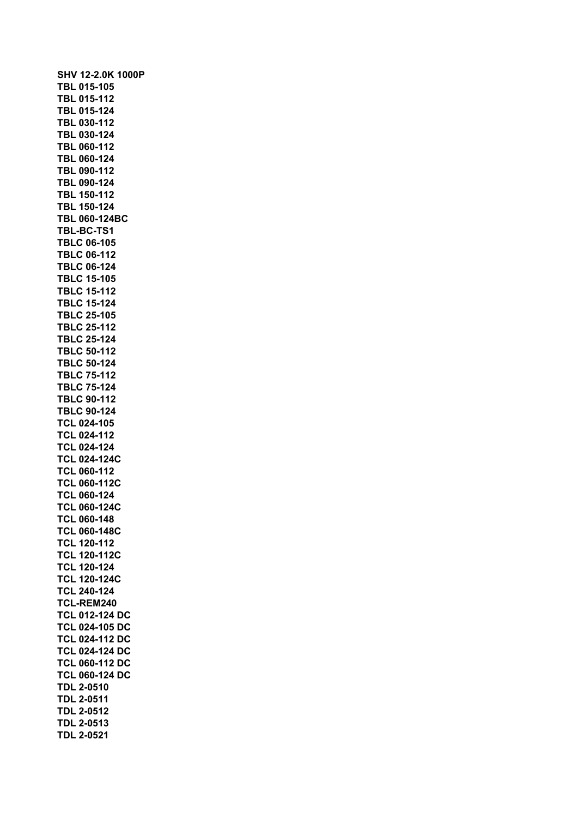| SHV 12-2.0K 1000P     |
|-----------------------|
| TBL 015-105           |
| TBL 015-112           |
| TBL 015-124           |
| TBL 030-112           |
| TBL 030-124           |
| TBL 060-112           |
|                       |
| TBL 060-124           |
| TBL 090-112           |
| <b>TBL 090-124</b>    |
| TBL 150-112           |
| <b>TBL 150-124</b>    |
| <b>TBL 060-124BC</b>  |
| TBL-BC-TS1            |
| <b>TBLC 06-105</b>    |
| <b>TBLC 06-112</b>    |
| <b>TBLC 06-124</b>    |
| <b>TBLC 15-105</b>    |
| <b>TBLC 15-112</b>    |
| <b>TBLC 15-124</b>    |
| <b>TBLC 25-105</b>    |
| <b>TBLC 25-112</b>    |
| <b>TBLC 25-124</b>    |
| <b>TBLC 50-112</b>    |
| <b>TBLC 50-124</b>    |
| <b>TBLC 75-112</b>    |
| <b>TBLC 75-124</b>    |
| <b>TBLC 90-112</b>    |
|                       |
| <b>TBLC 90-124</b>    |
| <b>TCL 024-105</b>    |
| <b>TCL 024-112</b>    |
| <b>TCL 024-124</b>    |
| TCL 024-124C          |
| <b>TCL 060-112</b>    |
| <b>TCL 060-112C</b>   |
| <b>TCL 060-124</b>    |
| <b>TCL 060-124C</b>   |
| <b>TCL 060-148</b>    |
| <b>TCL 060-148C</b>   |
| <b>TCL 120-112</b>    |
| <b>TCL 120-112C</b>   |
| <b>TCL 120-124</b>    |
| <b>TCL 120-124C</b>   |
| <b>TCL 240-124</b>    |
| TCL-REM240            |
| <b>TCL 012-124 DC</b> |
| <b>TCL 024-105 DC</b> |
| <b>TCL 024-112 DC</b> |
| <b>TCL 024-124 DC</b> |
| <b>TCL 060-112 DC</b> |
|                       |
| <b>TCL 060-124 DC</b> |
| <b>TDL 2-0510</b>     |
| <b>TDL 2-0511</b>     |
| <b>TDL 2-0512</b>     |
| <b>TDL 2-0513</b>     |
| <b>TDL 2-0521</b>     |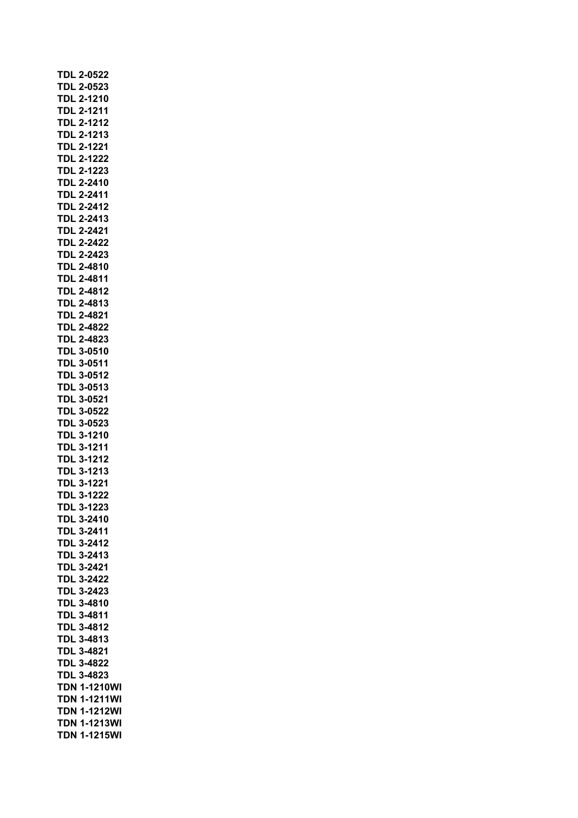| <b>TDL 2-0522</b>   |
|---------------------|
| <b>TDL 2-0523</b>   |
| <b>TDL 2-1210</b>   |
| <b>TDL 2-1211</b>   |
| TDL 2-1212          |
| <b>TDL 2-1213</b>   |
| <b>TDL 2-1221</b>   |
| TDL 2-1222          |
| TDL 2-1223          |
| <b>TDL 2-2410</b>   |
| <b>TDL 2-2411</b>   |
| <b>TDL 2-2412</b>   |
| <b>TDL 2-2413</b>   |
| <b>TDL 2-2421</b>   |
| <b>TDL 2-2422</b>   |
| <b>TDL 2-2423</b>   |
| <b>TDL 2-4810</b>   |
| <b>TDL 2-4811</b>   |
| <b>TDL 2-4812</b>   |
| <b>TDL 2-4813</b>   |
| <b>TDL 2-4821</b>   |
| TDL 2-4822          |
| TDL 2-4823          |
| TDL 3-0510          |
| TDL 3-0511          |
| <b>TDL 3-0512</b>   |
| <b>TDL 3-0513</b>   |
| <b>TDL 3-0521</b>   |
| <b>TDL 3-0522</b>   |
| <b>TDL 3-0523</b>   |
| <b>TDL 3-1210</b>   |
| <b>TDL 3-1211</b>   |
| <b>TDL 3-1212</b>   |
| <b>TDL 3-1213</b>   |
| <b>TDL 3-1221</b>   |
| <b>TDL 3-1222</b>   |
| TDL 3-1223          |
| <b>TDL 3-2410</b>   |
| TDL 3-2411          |
|                     |
| TDL 3-2412          |
| TDL 3-2413          |
| <b>TDL 3-2421</b>   |
| <b>TDL 3-2422</b>   |
| <b>TDL 3-2423</b>   |
| <b>TDL 3-4810</b>   |
| <b>TDL 3-4811</b>   |
| <b>TDL 3-4812</b>   |
| <b>TDL 3-4813</b>   |
| <b>TDL 3-4821</b>   |
| <b>TDL 3-4822</b>   |
| <b>TDL 3-4823</b>   |
| <b>TDN 1-1210WI</b> |
| <b>TDN 1-1211WI</b> |
| TDN 1-1212WI        |
| <b>TDN 1-1213WI</b> |
| <b>TDN 1-1215WI</b> |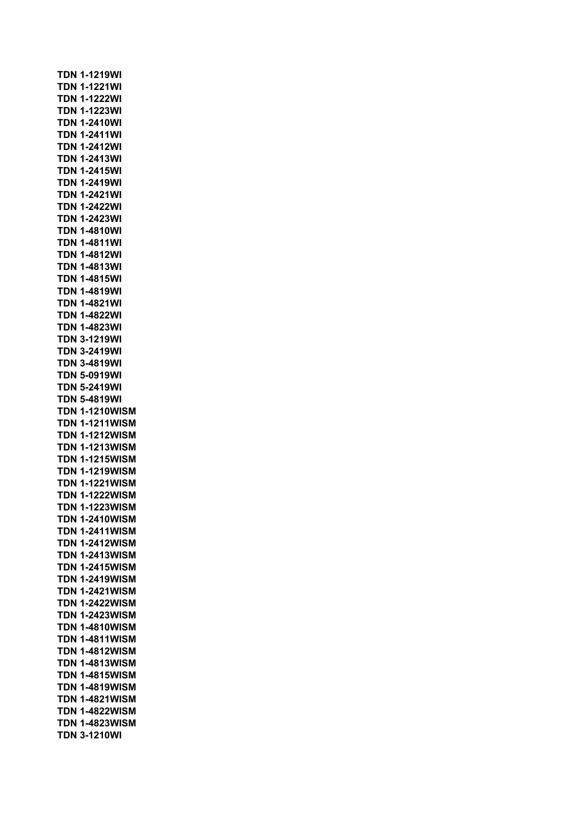**TDN 1-1219WI TDN 1-1221WI TDN 1-1222WI TDN 1-1223WI TDN 1-2410WI TDN 1-2411WI TDN 1-2412WI TDN 1-2413WI TDN 1-2415WI TDN 1-2419WI TDN 1-2421WI TDN 1-2422WI TDN 1-2423WI TDN 1-4810WI TDN 1-4811WI TDN 1-4812WI TDN 1-4813WI TDN 1-4815WI TDN 1-4819WI TDN 1-4821WI TDN 1-4822WI TDN 1-4823WI TDN 3-1219WI TDN 3-2419WI TDN 3-4819WI TDN 5-0919WI TDN 5-2419WI TDN 5-4819WI TDN 1-1210WISM TDN 1-1211WISM TDN 1-1212WISM TDN 1-1213WISM TDN 1-1215WISM TDN 1-1219WISM TDN 1-1221WISM TDN 1-1222WISM TDN 1-1223WISM TDN 1-2410WISM TDN 1-2411WISM TDN 1-2412WISM TDN 1-2413WISM TDN 1-2415WISM TDN 1-2419WISM TDN 1-2421WISM TDN 1-2422WISM TDN 1-2423WISM TDN 1-4810WISM TDN 1-4811WISM TDN 1-4812WISM TDN 1-4813WISM TDN 1-4815WISM TDN 1-4819WISM TDN 1-4821WISM TDN 1-4822WISM TDN 1-4823WISM TDN 3-1210WI**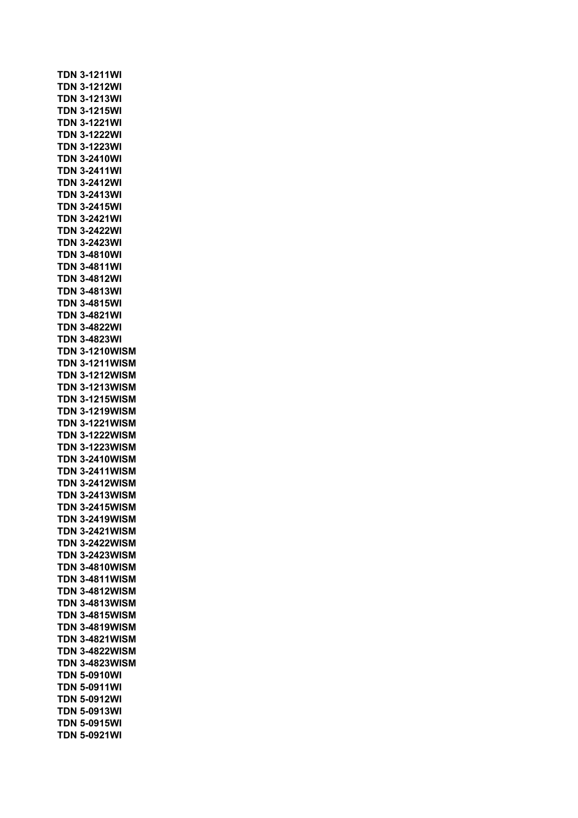**TDN 3-1211WI TDN 3-1212WI TDN 3-1213WI TDN 3-1215WI TDN 3-1221WI TDN 3-1222WI TDN 3-1223WI TDN 3-2410WI TDN 3-2411WI TDN 3-2412WI TDN 3-2413WI TDN 3-2415WI TDN 3-2421WI TDN 3-2422WI TDN 3-2423WI TDN 3-4810WI TDN 3-4811WI TDN 3-4812WI TDN 3-4813WI TDN 3-4815WI TDN 3-4821WI TDN 3-4822WI TDN 3-4823WI TDN 3-1210WISM TDN 3-1211WISM TDN 3-1212WISM TDN 3-1213WISM TDN 3-1215WISM TDN 3-1219WISM TDN 3-1221WISM TDN 3-1222WISM TDN 3-1223WISM TDN 3-2410WISM TDN 3-2411WISM TDN 3-2412WISM TDN 3-2413WISM TDN 3-2415WISM TDN 3-2419WISM TDN 3-2421WISM TDN 3-2422WISM TDN 3-2423WISM TDN 3-4810WISM TDN 3-4811WISM TDN 3-4812WISM TDN 3-4813WISM TDN 3-4815WISM TDN 3-4819WISM TDN 3-4821WISM TDN 3-4822WISM TDN 3-4823WISM TDN 5-0910WI TDN 5-0911WI TDN 5-0912WI TDN 5-0913WI TDN 5-0915WI TDN 5-0921WI**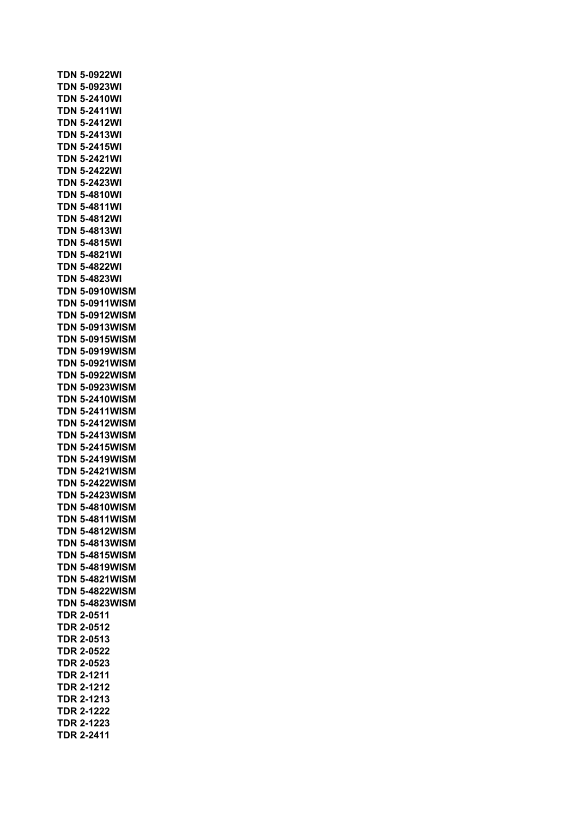**TDN 5-0922WI TDN 5-0923WI TDN 5-2410WI TDN 5-2411WI TDN 5-2412WI TDN 5-2413WI TDN 5-2415WI TDN 5-2421WI TDN 5-2422WI TDN 5-2423WI TDN 5-4810WI TDN 5-4811WI TDN 5-4812WI TDN 5-4813WI TDN 5-4815WI TDN 5-4821WI TDN 5-4822WI TDN 5-4823WI TDN 5-0910WISM TDN 5-0911WISM TDN 5-0912WISM TDN 5-0913WISM TDN 5-0915WISM TDN 5-0919WISM TDN 5-0921WISM TDN 5-0922WISM TDN 5-0923WISM TDN 5-2410WISM TDN 5-2411WISM TDN 5-2412WISM TDN 5-2413WISM TDN 5-2415WISM TDN 5-2419WISM TDN 5-2421WISM TDN 5-2422WISM TDN 5-2423WISM TDN 5-4810WISM TDN 5-4811WISM TDN 5-4812WISM TDN 5-4813WISM TDN 5-4815WISM TDN 5-4819WISM TDN 5-4821WISM TDN 5-4822WISM TDN 5-4823WISM TDR 2-0511 TDR 2-0512 TDR 2-0513 TDR 2-0522 TDR 2-0523 TDR 2-1211 TDR 2-1212 TDR 2-1213 TDR 2-1222 TDR 2-1223 TDR 2-2411**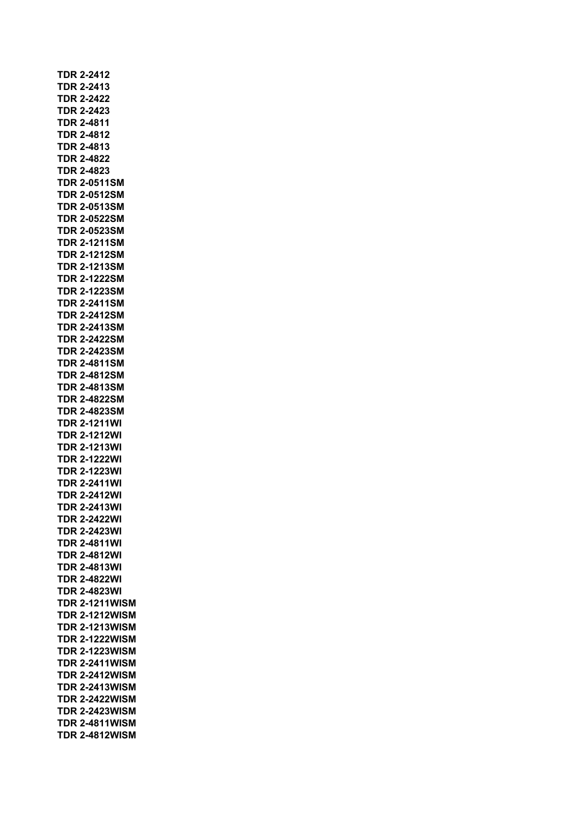| <b>TDR 2-2412</b>     |
|-----------------------|
| <b>TDR 2-2413</b>     |
| <b>TDR 2-2422</b>     |
| <b>TDR 2-2423</b>     |
| <b>TDR 2-4811</b>     |
| <b>TDR 2-4812</b>     |
| TDR 2-4813            |
| TDR 2-4822            |
| <b>TDR 2-4823</b>     |
| <b>TDR 2-0511SM</b>   |
| <b>TDR 2-0512SM</b>   |
| <b>TDR 2-0513SM</b>   |
| <b>TDR 2-0522SM</b>   |
| <b>TDR 2-0523SM</b>   |
| <b>TDR 2-1211SM</b>   |
| <b>TDR 2-1212SM</b>   |
| <b>TDR 2-1213SM</b>   |
| <b>TDR 2-1222SM</b>   |
| <b>TDR 2-1223SM</b>   |
| <b>TDR 2-2411SM</b>   |
| <b>TDR 2-2412SM</b>   |
| <b>TDR 2-2413SM</b>   |
| <b>TDR 2-2422SM</b>   |
| <b>TDR 2-2423SM</b>   |
| TDR 2-4811SM          |
| <b>TDR 2-4812SM</b>   |
| <b>TDR 2-4813SM</b>   |
| <b>TDR 2-4822SM</b>   |
| <b>TDR 2-4823SM</b>   |
| <b>TDR 2-1211WI</b>   |
| <b>TDR 2-1212WI</b>   |
| <b>TDR 2-1213WI</b>   |
| <b>TDR 2-1222WI</b>   |
| <b>TDR 2-1223WI</b>   |
| <b>TDR 2-2411WI</b>   |
| <b>TDR 2-2412WI</b>   |
| <b>TDR 2-2413WI</b>   |
| TDR 2-2422WI          |
| TDR 2-2423WI          |
| TDR 2-4811WI          |
| <b>TDR 2-4812WI</b>   |
| <b>TDR 2-4813WI</b>   |
| <b>TDR 2-4822WI</b>   |
| <b>TDR 2-4823WI</b>   |
| <b>TDR 2-1211WISM</b> |
| <b>TDR 2-1212WISM</b> |
| <b>TDR 2-1213WISM</b> |
| <b>TDR 2-1222WISM</b> |
| <b>TDR 2-1223WISM</b> |
| <b>TDR 2-2411WISM</b> |
| <b>TDR 2-2412WISM</b> |
| <b>TDR 2-2413WISM</b> |
| <b>TDR 2-2422WISM</b> |
| <b>TDR 2-2423WISM</b> |
| <b>TDR 2-4811WISM</b> |
| <b>TDR 2-4812WISM</b> |
|                       |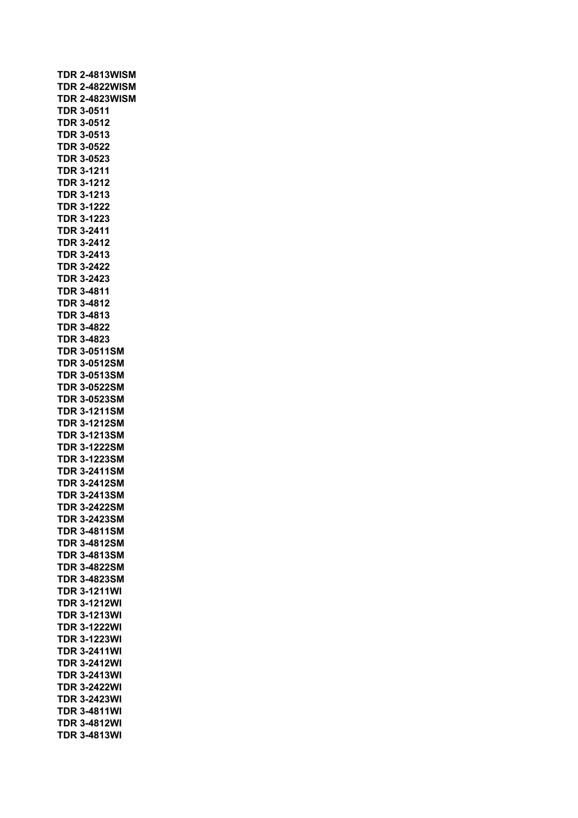| <b>TDR 2-4813WISM</b> |  |
|-----------------------|--|
| <b>TDR 2-4822WISM</b> |  |
| <b>TDR 2-4823WISM</b> |  |
| <b>TDR 3-0511</b>     |  |
| TDR 3-0512            |  |
| <b>TDR 3-0513</b>     |  |
| TDR 3-0522            |  |
| <b>TDR 3-0523</b>     |  |
| <b>TDR 3-1211</b>     |  |
| <b>TDR 3-1212</b>     |  |
| <b>TDR 3-1213</b>     |  |
| <b>TDR 3-1222</b>     |  |
|                       |  |
| <b>TDR 3-1223</b>     |  |
| <b>TDR 3-2411</b>     |  |
| <b>TDR 3-2412</b>     |  |
| <b>TDR 3-2413</b>     |  |
| <b>TDR 3-2422</b>     |  |
| <b>TDR 3-2423</b>     |  |
| <b>TDR 3-4811</b>     |  |
| <b>TDR 3-4812</b>     |  |
| TDR 3-4813            |  |
| TDR 3-4822            |  |
| <b>TDR 3-4823</b>     |  |
| <b>TDR 3-0511SM</b>   |  |
| <b>TDR 3-0512SM</b>   |  |
| <b>TDR 3-0513SM</b>   |  |
| <b>TDR 3-0522SM</b>   |  |
| <b>TDR 3-0523SM</b>   |  |
|                       |  |
| <b>TDR 3-1211SM</b>   |  |
| <b>TDR 3-1212SM</b>   |  |
| <b>TDR 3-1213SM</b>   |  |
| <b>TDR 3-1222SM</b>   |  |
| <b>TDR 3-1223SM</b>   |  |
| <b>TDR 3-2411SM</b>   |  |
| <b>TDR 3-2412SM</b>   |  |
| <b>TDR 3-2413SM</b>   |  |
| TDR<br>3-2422SM       |  |
| <b>TDR 3-2423SM</b>   |  |
| <b>TDR 3-4811SM</b>   |  |
| <b>TDR 3-4812SM</b>   |  |
| <b>TDR 3-4813SM</b>   |  |
| <b>TDR 3-4822SM</b>   |  |
| <b>TDR 3-4823SM</b>   |  |
| <b>TDR 3-1211WI</b>   |  |
| <b>TDR 3-1212WI</b>   |  |
|                       |  |
| <b>TDR 3-1213WI</b>   |  |
| <b>TDR 3-1222WI</b>   |  |
| <b>TDR 3-1223WI</b>   |  |
| <b>TDR 3-2411WI</b>   |  |
| <b>TDR 3-2412WI</b>   |  |
| <b>TDR 3-2413WI</b>   |  |
| <b>TDR 3-2422WI</b>   |  |
| <b>TDR 3-2423WI</b>   |  |
| TDR 3-4811WI          |  |
| <b>TDR 3-4812WI</b>   |  |
| <b>TDR 3-4813WI</b>   |  |
|                       |  |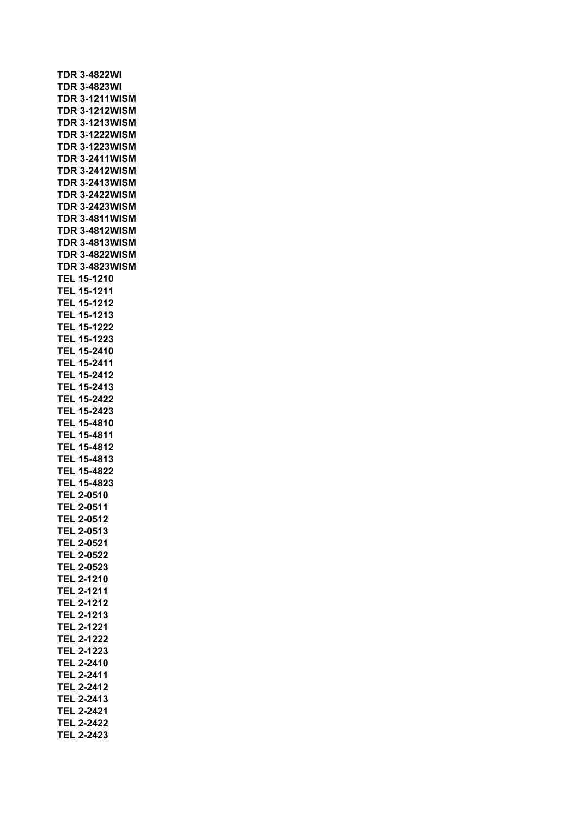| <b>TDR 3-4822WI</b>   |
|-----------------------|
| <b>TDR 3-4823WI</b>   |
| <b>TDR 3-1211WISM</b> |
| <b>TDR 3-1212WISM</b> |
| <b>TDR 3-1213WISM</b> |
| <b>TDR 3-1222WISM</b> |
| <b>TDR 3-1223WISM</b> |
| <b>TDR 3-2411WISM</b> |
| <b>TDR 3-2412WISM</b> |
| <b>TDR 3-2413WISM</b> |
| <b>TDR 3-2422WISM</b> |
| <b>TDR 3-2423WISM</b> |
| <b>TDR 3-4811WISM</b> |
| <b>TDR 3-4812WISM</b> |
| <b>TDR 3-4813WISM</b> |
| <b>TDR 3-4822WISM</b> |
| <b>TDR 3-4823WISM</b> |
| <b>TEL 15-1210</b>    |
| TEL 15-1211           |
| <b>TEL 15-1212</b>    |
| <b>TEL 15-1213</b>    |
| <b>TEL 15-1222</b>    |
| <b>TEL 15-1223</b>    |
| TEL 15-2410           |
| <b>TEL 15-2411</b>    |
| <b>TEL 15-2412</b>    |
| TEL 15-2413           |
| <b>TEL 15-2422</b>    |
| <b>TEL 15-2423</b>    |
| <b>TEL 15-4810</b>    |
| <b>TEL 15-4811</b>    |
| <b>TEL 15-4812</b>    |
| TEL 15-4813           |
| <b>TEL 15-4822</b>    |
| TEL 15-4823           |
| <b>TEL 2-0510</b>     |
| <b>TEL 2-0511</b>     |
| <b>TEL 2-0512</b>     |
| <b>TEL 2-0513</b>     |
| TEL 2-0521            |
| <b>TEL 2-0522</b>     |
| <b>TEL 2-0523</b>     |
| <b>TEL 2-1210</b>     |
| <b>TEL 2-1211</b>     |
| <b>TEL 2-1212</b>     |
| <b>TEL 2-1213</b>     |
| <b>TEL 2-1221</b>     |
| <b>TEL 2-1222</b>     |
| <b>TEL 2-1223</b>     |
| <b>TEL 2-2410</b>     |
| <b>TEL 2-2411</b>     |
| <b>TEL 2-2412</b>     |
| <b>TEL 2-2413</b>     |
| <b>TEL 2-2421</b>     |
| <b>TEL 2-2422</b>     |
| TEL 2-2423            |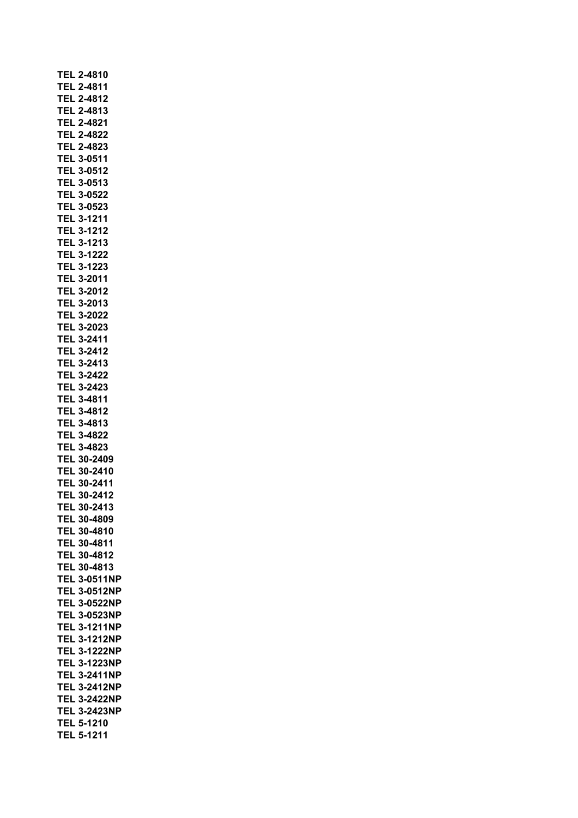|     | <b>TEL 2-4810</b>   |
|-----|---------------------|
|     | <b>TEL 2-4811</b>   |
|     | <b>TEL 2-4812</b>   |
|     | <b>TEL 2-4813</b>   |
|     | <b>TEL 2-4821</b>   |
|     | <b>TEL 2-4822</b>   |
|     | TEL 2-4823          |
| TEL | 3-0511              |
|     | <b>TEL 3-0512</b>   |
|     | <b>TEL 3-0513</b>   |
|     | <b>TEL 3-0522</b>   |
|     | <b>TEL 3-0523</b>   |
|     | TEL 3-1211          |
|     | <b>TEL 3-1212</b>   |
|     | <b>TEL 3-1213</b>   |
|     | <b>TEL 3-1222</b>   |
|     | TEL 3-1223          |
|     | <b>TEL 3-2011</b>   |
|     | TEL 3-2012          |
|     | <b>TEL 3-2013</b>   |
|     | TEL 3-2022          |
|     | TEL 3-2023          |
|     | <b>TEL 3-2411</b>   |
|     | TEL 3-2412          |
|     | TEL 3-2413          |
|     | <b>TEL 3-2422</b>   |
|     | <b>TEL 3-2423</b>   |
|     | <b>TEL 3-4811</b>   |
|     | <b>TEL 3-4812</b>   |
|     | <b>TEL 3-4813</b>   |
|     | <b>TEL 3-4822</b>   |
|     | <b>TEL 3-4823</b>   |
|     | TEL 30-2409         |
|     | TEL 30-2410         |
|     | TEL 30-2411         |
|     | <b>TEL 30-2412</b>  |
|     | TEL 30-2413         |
|     | TEL 30-4809         |
|     | TEL 30-4810         |
|     | TEL 30-4811         |
|     | TEL 30-4812         |
|     | TEL 30-4813         |
|     | <b>TEL 3-0511NP</b> |
|     | <b>TEL 3-0512NP</b> |
|     | <b>TEL 3-0522NP</b> |
|     | <b>TEL 3-0523NP</b> |
|     | <b>TEL 3-1211NP</b> |
|     | <b>TEL 3-1212NP</b> |
|     | <b>TEL 3-1222NP</b> |
|     | <b>TEL 3-1223NP</b> |
|     | <b>TEL 3-2411NP</b> |
|     | <b>TEL 3-2412NP</b> |
|     | <b>TEL 3-2422NP</b> |
|     | <b>TEL 3-2423NP</b> |
|     | <b>TEL 5-1210</b>   |
|     | <b>TEL 5-1211</b>   |
|     |                     |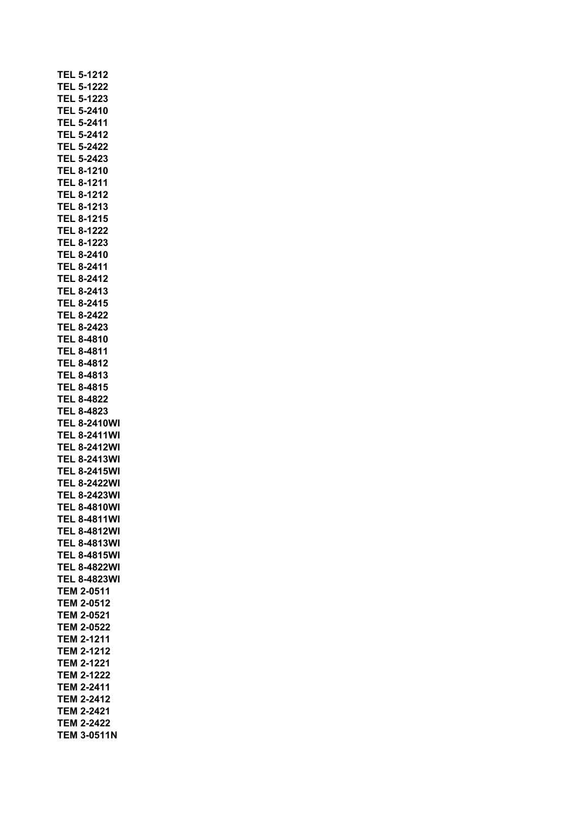|     |     | <b>TEL 5-1212</b>                      |                     |  |
|-----|-----|----------------------------------------|---------------------|--|
|     |     | <b>TEL 5-1222</b>                      |                     |  |
|     |     | <b>TEL 5-1223</b>                      |                     |  |
|     |     | <b>TEL 5-2410</b>                      |                     |  |
|     |     | TEL 5-2411                             |                     |  |
|     | TEL | 5-2412                                 |                     |  |
|     | TEL | 5-2422                                 |                     |  |
| TEL |     | 5-2423                                 |                     |  |
|     |     | <b>TEL 8-1210</b>                      |                     |  |
|     |     | <b>TEL 8-1211</b>                      |                     |  |
|     |     | <b>TEL 8-1212</b>                      |                     |  |
|     |     | <b>TEL 8-1213</b>                      |                     |  |
|     |     | <b>TEL 8-1215</b>                      |                     |  |
|     |     | <b>TEL 8-1222</b>                      |                     |  |
|     |     | <b>TEL 8-1223</b>                      |                     |  |
|     |     | <b>TEL 8-2410</b>                      |                     |  |
|     |     | <b>TEL 8-2411</b>                      |                     |  |
|     |     | <b>TEL 8-2412</b>                      |                     |  |
|     |     | TEL 8-2413                             |                     |  |
|     |     | TEL 8-2415                             |                     |  |
|     |     | TEL 8-2422                             |                     |  |
|     |     | TEL 8-2423                             |                     |  |
|     |     | TEL 8-4810                             |                     |  |
|     |     | TEL 8-4811                             |                     |  |
|     |     | <b>TEL 8-4812</b>                      |                     |  |
|     |     | TEL 8-4813                             |                     |  |
|     |     | <b>TEL 8-4815</b>                      |                     |  |
|     |     | <b>TEL 8-4822</b>                      |                     |  |
|     |     | <b>TEL 8-4823</b>                      |                     |  |
|     |     |                                        | <b>TEL 8-2410WI</b> |  |
|     |     |                                        | <b>TEL 8-2411WI</b> |  |
|     |     |                                        | <b>TEL 8-2412WI</b> |  |
|     |     |                                        | <b>TEL 8-2413WI</b> |  |
|     |     |                                        | <b>TEL 8-2415WI</b> |  |
|     |     |                                        | <b>TEL 8-2422WI</b> |  |
|     |     |                                        | <b>TEL 8-2423WI</b> |  |
|     |     |                                        | <b>TEL 8-4810WI</b> |  |
|     |     |                                        | <b>TEL 8-4811WI</b> |  |
|     |     |                                        | <b>TEL 8-4812WI</b> |  |
|     |     |                                        |                     |  |
|     |     |                                        | TEL 8-4813WI        |  |
|     |     |                                        | TEL 8-4815WI        |  |
|     |     |                                        | <b>TEL 8-4822WI</b> |  |
|     |     | <b>TEM 2-0511</b>                      | <b>TEL 8-4823WI</b> |  |
|     |     | <b>TEM 2-0512</b>                      |                     |  |
|     |     | <b>TEM 2-0521</b>                      |                     |  |
|     |     |                                        |                     |  |
|     |     | <b>TEM 2-0522</b><br><b>TEM 2-1211</b> |                     |  |
|     |     | <b>TEM 2-1212</b>                      |                     |  |
|     |     | <b>TEM 2-1221</b>                      |                     |  |
|     |     | <b>TEM 2-1222</b>                      |                     |  |
|     |     | <b>TEM 2-2411</b>                      |                     |  |
|     |     | <b>TEM 2-2412</b>                      |                     |  |
|     |     | TEM 2-2421                             |                     |  |
|     |     |                                        |                     |  |
|     |     | TEM 2-2422                             | <b>TEM 3-0511N</b>  |  |
|     |     |                                        |                     |  |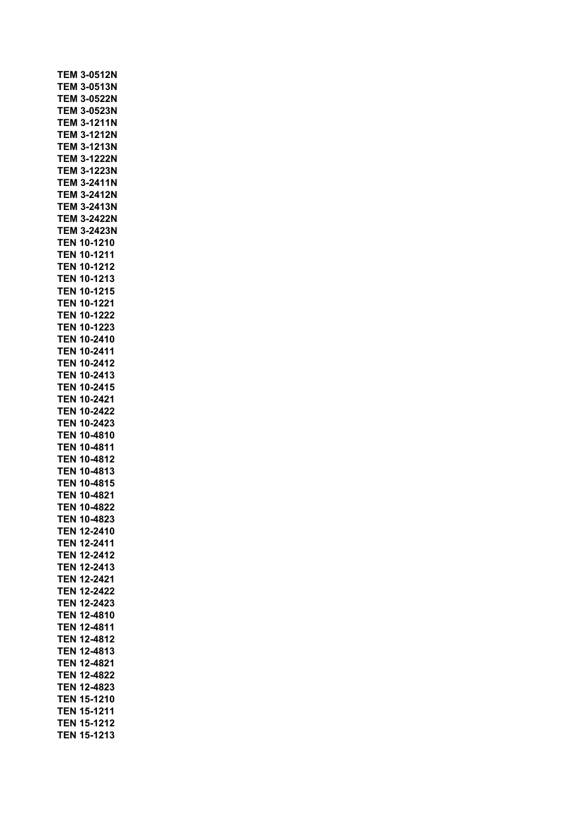| <b>TEM 3-0522N</b><br><b>TEM 3-0523N</b><br><b>TEM 3-1211N</b><br><b>TEM 3-1212N</b><br><b>TEM 3-1213N</b><br><b>TEM 3-1222N</b><br><b>TEM 3-1223N</b><br><b>TEM 3-2411N</b><br><b>TEM 3-2412N</b><br>TEM 3-2413N<br>TEM 3-2422N<br><b>TEM 3-2423N</b><br><b>TEN 10-1210</b><br><b>TEN 10-1211</b><br><b>TEN 10-1212</b><br><b>TEN 10-1213</b><br><b>TEN 10-1215</b><br><b>TEN 10-1221</b><br><b>TEN 10-1222</b><br>10-1223<br>TEN<br>TEN 10-2410<br>TEN<br>10-2411<br>TEN<br>10-2412<br>10-2413<br>TEN<br>10-2415<br>TEN<br>10-2421<br>TEN<br>10-2422<br>TEN<br>TEN<br>10-2423<br><b>TEN 10-4810</b><br><b>TEN 10-4811</b><br><b>TEN 10-4812</b><br><b>TEN 10-4813</b><br><b>TEN 10-4815</b><br><b>TEN 10-4821</b><br><b>TEN 10-4822</b><br>TEN 10-4823<br>TEN.<br>12-2410<br>12-2411<br>TEN<br>TEN<br>12-2412<br>12-2413<br>TEN<br>12-2421<br>TEN<br>12-2422<br>TEN<br>TEN<br>12-2423<br><b>TEN</b><br>12-4810<br><b>TEN 12-4811</b><br><b>TEN 12-4812</b><br><b>TEN 12-4813</b><br><b>TEN 12-4821</b><br><b>TEN 12-4822</b><br><b>TEN 12-4823</b> | <b>TEN 15-1210</b><br><b>TEN 15-1211</b> | TEM 3-0512N        |  |
|------------------------------------------------------------------------------------------------------------------------------------------------------------------------------------------------------------------------------------------------------------------------------------------------------------------------------------------------------------------------------------------------------------------------------------------------------------------------------------------------------------------------------------------------------------------------------------------------------------------------------------------------------------------------------------------------------------------------------------------------------------------------------------------------------------------------------------------------------------------------------------------------------------------------------------------------------------------------------------------------------------------------------------------------------|------------------------------------------|--------------------|--|
|                                                                                                                                                                                                                                                                                                                                                                                                                                                                                                                                                                                                                                                                                                                                                                                                                                                                                                                                                                                                                                                      |                                          | <b>TEM 3-0513N</b> |  |
|                                                                                                                                                                                                                                                                                                                                                                                                                                                                                                                                                                                                                                                                                                                                                                                                                                                                                                                                                                                                                                                      |                                          |                    |  |
|                                                                                                                                                                                                                                                                                                                                                                                                                                                                                                                                                                                                                                                                                                                                                                                                                                                                                                                                                                                                                                                      |                                          |                    |  |
|                                                                                                                                                                                                                                                                                                                                                                                                                                                                                                                                                                                                                                                                                                                                                                                                                                                                                                                                                                                                                                                      |                                          |                    |  |
|                                                                                                                                                                                                                                                                                                                                                                                                                                                                                                                                                                                                                                                                                                                                                                                                                                                                                                                                                                                                                                                      |                                          |                    |  |
|                                                                                                                                                                                                                                                                                                                                                                                                                                                                                                                                                                                                                                                                                                                                                                                                                                                                                                                                                                                                                                                      |                                          |                    |  |
|                                                                                                                                                                                                                                                                                                                                                                                                                                                                                                                                                                                                                                                                                                                                                                                                                                                                                                                                                                                                                                                      |                                          |                    |  |
|                                                                                                                                                                                                                                                                                                                                                                                                                                                                                                                                                                                                                                                                                                                                                                                                                                                                                                                                                                                                                                                      |                                          |                    |  |
|                                                                                                                                                                                                                                                                                                                                                                                                                                                                                                                                                                                                                                                                                                                                                                                                                                                                                                                                                                                                                                                      |                                          |                    |  |
|                                                                                                                                                                                                                                                                                                                                                                                                                                                                                                                                                                                                                                                                                                                                                                                                                                                                                                                                                                                                                                                      |                                          |                    |  |
|                                                                                                                                                                                                                                                                                                                                                                                                                                                                                                                                                                                                                                                                                                                                                                                                                                                                                                                                                                                                                                                      |                                          |                    |  |
|                                                                                                                                                                                                                                                                                                                                                                                                                                                                                                                                                                                                                                                                                                                                                                                                                                                                                                                                                                                                                                                      |                                          |                    |  |
|                                                                                                                                                                                                                                                                                                                                                                                                                                                                                                                                                                                                                                                                                                                                                                                                                                                                                                                                                                                                                                                      |                                          |                    |  |
|                                                                                                                                                                                                                                                                                                                                                                                                                                                                                                                                                                                                                                                                                                                                                                                                                                                                                                                                                                                                                                                      |                                          |                    |  |
|                                                                                                                                                                                                                                                                                                                                                                                                                                                                                                                                                                                                                                                                                                                                                                                                                                                                                                                                                                                                                                                      |                                          |                    |  |
|                                                                                                                                                                                                                                                                                                                                                                                                                                                                                                                                                                                                                                                                                                                                                                                                                                                                                                                                                                                                                                                      |                                          |                    |  |
|                                                                                                                                                                                                                                                                                                                                                                                                                                                                                                                                                                                                                                                                                                                                                                                                                                                                                                                                                                                                                                                      |                                          |                    |  |
|                                                                                                                                                                                                                                                                                                                                                                                                                                                                                                                                                                                                                                                                                                                                                                                                                                                                                                                                                                                                                                                      |                                          |                    |  |
|                                                                                                                                                                                                                                                                                                                                                                                                                                                                                                                                                                                                                                                                                                                                                                                                                                                                                                                                                                                                                                                      |                                          |                    |  |
|                                                                                                                                                                                                                                                                                                                                                                                                                                                                                                                                                                                                                                                                                                                                                                                                                                                                                                                                                                                                                                                      |                                          |                    |  |
|                                                                                                                                                                                                                                                                                                                                                                                                                                                                                                                                                                                                                                                                                                                                                                                                                                                                                                                                                                                                                                                      |                                          |                    |  |
|                                                                                                                                                                                                                                                                                                                                                                                                                                                                                                                                                                                                                                                                                                                                                                                                                                                                                                                                                                                                                                                      |                                          |                    |  |
|                                                                                                                                                                                                                                                                                                                                                                                                                                                                                                                                                                                                                                                                                                                                                                                                                                                                                                                                                                                                                                                      |                                          |                    |  |
|                                                                                                                                                                                                                                                                                                                                                                                                                                                                                                                                                                                                                                                                                                                                                                                                                                                                                                                                                                                                                                                      |                                          |                    |  |
|                                                                                                                                                                                                                                                                                                                                                                                                                                                                                                                                                                                                                                                                                                                                                                                                                                                                                                                                                                                                                                                      |                                          |                    |  |
|                                                                                                                                                                                                                                                                                                                                                                                                                                                                                                                                                                                                                                                                                                                                                                                                                                                                                                                                                                                                                                                      |                                          |                    |  |
|                                                                                                                                                                                                                                                                                                                                                                                                                                                                                                                                                                                                                                                                                                                                                                                                                                                                                                                                                                                                                                                      |                                          |                    |  |
|                                                                                                                                                                                                                                                                                                                                                                                                                                                                                                                                                                                                                                                                                                                                                                                                                                                                                                                                                                                                                                                      |                                          |                    |  |
|                                                                                                                                                                                                                                                                                                                                                                                                                                                                                                                                                                                                                                                                                                                                                                                                                                                                                                                                                                                                                                                      |                                          |                    |  |
|                                                                                                                                                                                                                                                                                                                                                                                                                                                                                                                                                                                                                                                                                                                                                                                                                                                                                                                                                                                                                                                      |                                          |                    |  |
|                                                                                                                                                                                                                                                                                                                                                                                                                                                                                                                                                                                                                                                                                                                                                                                                                                                                                                                                                                                                                                                      |                                          |                    |  |
|                                                                                                                                                                                                                                                                                                                                                                                                                                                                                                                                                                                                                                                                                                                                                                                                                                                                                                                                                                                                                                                      |                                          |                    |  |
|                                                                                                                                                                                                                                                                                                                                                                                                                                                                                                                                                                                                                                                                                                                                                                                                                                                                                                                                                                                                                                                      |                                          |                    |  |
|                                                                                                                                                                                                                                                                                                                                                                                                                                                                                                                                                                                                                                                                                                                                                                                                                                                                                                                                                                                                                                                      |                                          |                    |  |
|                                                                                                                                                                                                                                                                                                                                                                                                                                                                                                                                                                                                                                                                                                                                                                                                                                                                                                                                                                                                                                                      |                                          |                    |  |
|                                                                                                                                                                                                                                                                                                                                                                                                                                                                                                                                                                                                                                                                                                                                                                                                                                                                                                                                                                                                                                                      |                                          |                    |  |
|                                                                                                                                                                                                                                                                                                                                                                                                                                                                                                                                                                                                                                                                                                                                                                                                                                                                                                                                                                                                                                                      |                                          |                    |  |
|                                                                                                                                                                                                                                                                                                                                                                                                                                                                                                                                                                                                                                                                                                                                                                                                                                                                                                                                                                                                                                                      |                                          |                    |  |
|                                                                                                                                                                                                                                                                                                                                                                                                                                                                                                                                                                                                                                                                                                                                                                                                                                                                                                                                                                                                                                                      |                                          |                    |  |
|                                                                                                                                                                                                                                                                                                                                                                                                                                                                                                                                                                                                                                                                                                                                                                                                                                                                                                                                                                                                                                                      |                                          |                    |  |
|                                                                                                                                                                                                                                                                                                                                                                                                                                                                                                                                                                                                                                                                                                                                                                                                                                                                                                                                                                                                                                                      |                                          |                    |  |
|                                                                                                                                                                                                                                                                                                                                                                                                                                                                                                                                                                                                                                                                                                                                                                                                                                                                                                                                                                                                                                                      |                                          |                    |  |
|                                                                                                                                                                                                                                                                                                                                                                                                                                                                                                                                                                                                                                                                                                                                                                                                                                                                                                                                                                                                                                                      |                                          |                    |  |
|                                                                                                                                                                                                                                                                                                                                                                                                                                                                                                                                                                                                                                                                                                                                                                                                                                                                                                                                                                                                                                                      |                                          |                    |  |
|                                                                                                                                                                                                                                                                                                                                                                                                                                                                                                                                                                                                                                                                                                                                                                                                                                                                                                                                                                                                                                                      |                                          |                    |  |
|                                                                                                                                                                                                                                                                                                                                                                                                                                                                                                                                                                                                                                                                                                                                                                                                                                                                                                                                                                                                                                                      |                                          |                    |  |
|                                                                                                                                                                                                                                                                                                                                                                                                                                                                                                                                                                                                                                                                                                                                                                                                                                                                                                                                                                                                                                                      |                                          |                    |  |
|                                                                                                                                                                                                                                                                                                                                                                                                                                                                                                                                                                                                                                                                                                                                                                                                                                                                                                                                                                                                                                                      |                                          |                    |  |
|                                                                                                                                                                                                                                                                                                                                                                                                                                                                                                                                                                                                                                                                                                                                                                                                                                                                                                                                                                                                                                                      |                                          |                    |  |
|                                                                                                                                                                                                                                                                                                                                                                                                                                                                                                                                                                                                                                                                                                                                                                                                                                                                                                                                                                                                                                                      |                                          |                    |  |
|                                                                                                                                                                                                                                                                                                                                                                                                                                                                                                                                                                                                                                                                                                                                                                                                                                                                                                                                                                                                                                                      |                                          |                    |  |
|                                                                                                                                                                                                                                                                                                                                                                                                                                                                                                                                                                                                                                                                                                                                                                                                                                                                                                                                                                                                                                                      |                                          |                    |  |
|                                                                                                                                                                                                                                                                                                                                                                                                                                                                                                                                                                                                                                                                                                                                                                                                                                                                                                                                                                                                                                                      |                                          |                    |  |
|                                                                                                                                                                                                                                                                                                                                                                                                                                                                                                                                                                                                                                                                                                                                                                                                                                                                                                                                                                                                                                                      | TEN 15-1212                              |                    |  |
|                                                                                                                                                                                                                                                                                                                                                                                                                                                                                                                                                                                                                                                                                                                                                                                                                                                                                                                                                                                                                                                      |                                          |                    |  |
|                                                                                                                                                                                                                                                                                                                                                                                                                                                                                                                                                                                                                                                                                                                                                                                                                                                                                                                                                                                                                                                      |                                          |                    |  |
| <b>TEN 15-1213</b>                                                                                                                                                                                                                                                                                                                                                                                                                                                                                                                                                                                                                                                                                                                                                                                                                                                                                                                                                                                                                                   |                                          |                    |  |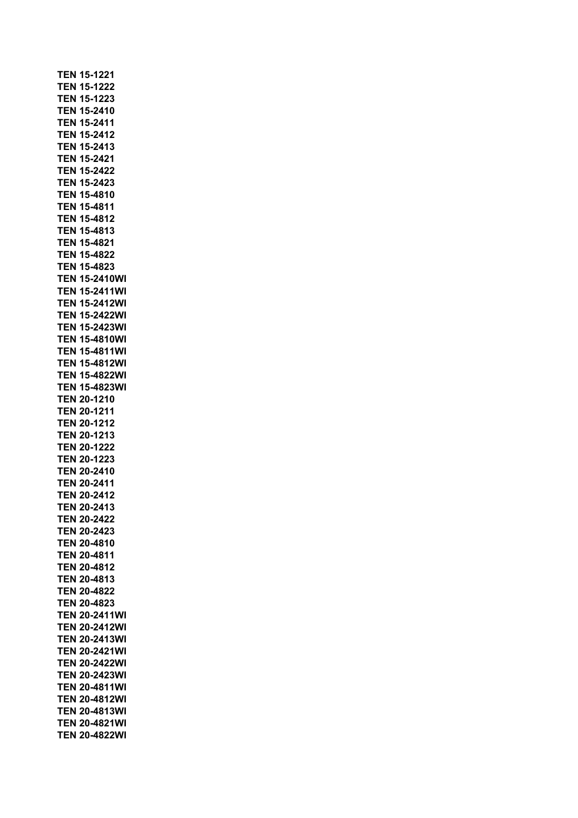|            | <b>TEN 15-1221</b>   |
|------------|----------------------|
|            | <b>TEN 15-1222</b>   |
|            | <b>TEN 15-1223</b>   |
|            | TEN 15-2410          |
|            | TEN 15-2411          |
|            |                      |
|            | TEN 15-2412          |
|            | TEN 15-2413          |
|            | TEN 15-2421          |
|            | TEN 15-2422          |
|            | TEN 15-2423          |
|            | <b>TEN 15-4810</b>   |
|            |                      |
|            | <b>TEN 15-4811</b>   |
|            | <b>TEN 15-4812</b>   |
|            | <b>TEN 15-4813</b>   |
|            | <b>TEN 15-4821</b>   |
|            | <b>TEN 15-4822</b>   |
|            | <b>TEN 15-4823</b>   |
|            | <b>TEN 15-2410WI</b> |
|            | <b>TEN 15-2411WI</b> |
|            |                      |
|            | <b>TEN 15-2412WI</b> |
|            | <b>TEN 15-2422WI</b> |
|            | <b>TEN 15-2423WI</b> |
|            | <b>TEN 15-4810WI</b> |
|            | TEN 15-4811WI        |
|            | TEN 15-4812WI        |
|            | <b>TEN 15-4822WI</b> |
|            |                      |
|            | TEN 15-4823WI        |
|            | TEN 20-1210          |
|            |                      |
|            | TEN 20-1211          |
|            | TEN 20-1212          |
|            | TEN 20-1213          |
|            | <b>TEN 20-1222</b>   |
|            |                      |
|            | <b>TEN 20-1223</b>   |
|            | <b>TEN 20-2410</b>   |
|            | <b>TEN 20-2411</b>   |
|            | <b>TEN 20-2412</b>   |
|            | <b>TEN 20-2413</b>   |
|            | <b>TEN 20-2422</b>   |
|            | <b>TEN 20-2423</b>   |
|            | TEN 20-4810          |
|            |                      |
| TEN.       | 20-4811              |
|            | <b>TEN 20-4812</b>   |
|            | TEN 20-4813          |
|            | <b>TEN 20-4822</b>   |
|            | <b>TEN 20-4823</b>   |
|            | <b>TEN 20-2411WI</b> |
|            | <b>TEN 20-2412WI</b> |
|            |                      |
|            | TEN 20-2413WI        |
|            | <b>TEN 20-2421WI</b> |
| <b>TEN</b> | 20-2422WI            |
| TEN.       | 20-2423WI            |
| TEN.       | 20-4811WI            |
| TEN        | 20-4812WI            |
|            | TEN 20-4813WI        |
|            | TEN 20-4821WI        |
| TEN        | 20-4822WI            |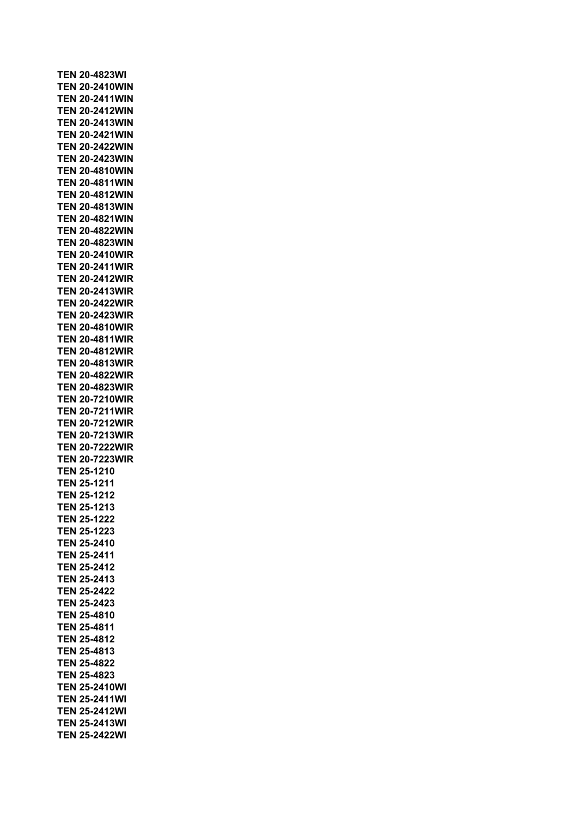**TEN 20-4823WI TEN 20-2410WIN TEN 20-2411WIN TEN 20-2412WIN TEN 20-2413WIN TEN 20-2421WIN TEN 20-2422WIN TEN 20-2423WIN TEN 20-4810WIN TEN 20-4811WIN TEN 20-4812WIN TEN 20-4813WIN TEN 20-4821WIN TEN 20-4822WIN TEN 20-4823WIN TEN 20-2410WIR TEN 20-2411WIR TEN 20-2412WIR TEN 20-2413WIR TEN 20-2422WIR TEN 20-2423WIR TEN 20-4810WIR TEN 20-4811WIR TEN 20-4812WIR TEN 20-4813WIR TEN 20-4822WIR TEN 20-4823WIR TEN 20-7210WIR TEN 20-7211WIR TEN 20-7212WIR TEN 20-7213WIR TEN 20-7222WIR TEN 20-7223WIR TEN 25-1210 TEN 25-1211 TEN 25-1212 TEN 25-1213 TEN 25-1222 TEN 25-1223 TEN 25-2410 TEN 25-2411 TEN 25-2412 TEN 25-2413 TEN 25-2422 TEN 25-2423 TEN 25-4810 TEN 25-4811 TEN 25-4812 TEN 25-4813 TEN 25-4822 TEN 25-4823 TEN 25-2410WI TEN 25-2411WI TEN 25-2412WI TEN 25-2413WI TEN 25-2422WI**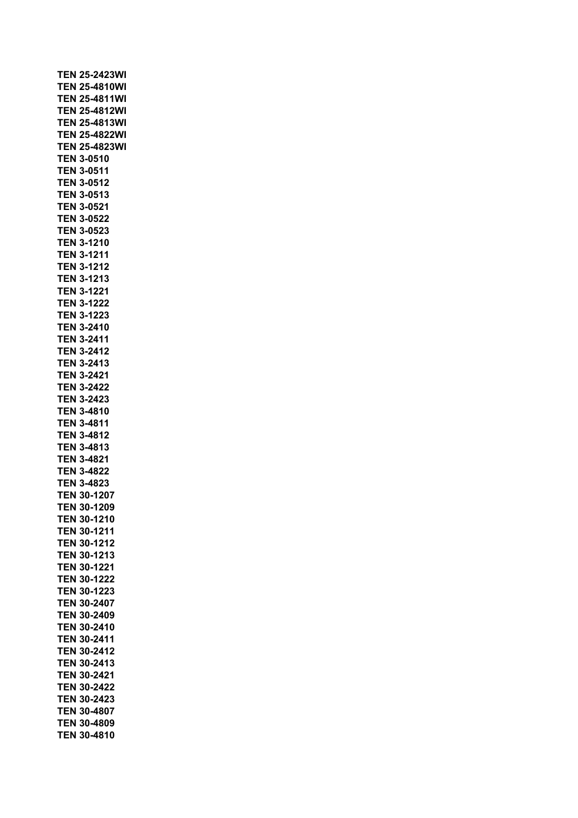| <b>TEN 25-2423WI</b><br><b>TEN 25-4810WI</b><br><b>TEN 25-4811WI</b><br><b>TEN 25-4812WI</b><br><b>TEN 25-4813WI</b><br><b>TEN 25-4822WI</b><br><b>TEN 25-4823WI</b><br><b>TEN 3-0510</b><br><b>TEN 3-0511</b><br><b>TEN 3-0512</b><br><b>TEN 3-0513</b><br><b>TEN 3-0521</b><br><b>TEN 3-0522</b><br><b>TEN 3-0523</b><br><b>TEN 3-1210</b><br><b>TEN 3-1211</b><br><b>TEN 3-1212</b><br><b>TEN 3-1213</b><br><b>TEN 3-1221</b><br><b>TEN 3-1222</b><br><b>TEN 3-1223</b><br><b>TEN 3-2410</b><br>TEN 3-2411<br><b>TEN 3-2412</b><br><b>TEN 3-2413</b><br><b>TEN 3-2421</b><br><b>TEN 3-2422</b><br><b>TEN 3-2423</b><br><b>TEN</b><br>3-4810<br><b>TEN 3-4811</b><br><b>TEN 3-4812</b><br><b>TEN 3-4813</b><br><b>TEN 3-4821</b><br><b>TEN 3-4822</b><br><b>TEN 3-4823</b><br>30-1207<br>TEN<br>TEN<br>30-1209<br>30-1210<br>TEN<br><b>TEN</b><br>30-1211<br>TEN<br>30-1212<br>30-1213<br>TEN<br>30-1221<br>TEN<br>30-1222<br>TEN<br>30-1223<br><b>TEN</b><br>TEN<br>30-2407<br>30-2409<br>TEN<br>30-2410<br>TEN<br>30-2411<br>TEN<br>30-2412<br>TEN<br>TEN<br>30-2413<br>TEN<br>30-2421<br>TEN<br>30-2422<br>TEN<br>30-2423<br>TEN<br>30-4807<br>TEN<br>30-4809<br>TEN<br>30-4810 |  |  |
|--------------------------------------------------------------------------------------------------------------------------------------------------------------------------------------------------------------------------------------------------------------------------------------------------------------------------------------------------------------------------------------------------------------------------------------------------------------------------------------------------------------------------------------------------------------------------------------------------------------------------------------------------------------------------------------------------------------------------------------------------------------------------------------------------------------------------------------------------------------------------------------------------------------------------------------------------------------------------------------------------------------------------------------------------------------------------------------------------------------------------------------------------------------------------------------|--|--|
|                                                                                                                                                                                                                                                                                                                                                                                                                                                                                                                                                                                                                                                                                                                                                                                                                                                                                                                                                                                                                                                                                                                                                                                      |  |  |
|                                                                                                                                                                                                                                                                                                                                                                                                                                                                                                                                                                                                                                                                                                                                                                                                                                                                                                                                                                                                                                                                                                                                                                                      |  |  |
|                                                                                                                                                                                                                                                                                                                                                                                                                                                                                                                                                                                                                                                                                                                                                                                                                                                                                                                                                                                                                                                                                                                                                                                      |  |  |
|                                                                                                                                                                                                                                                                                                                                                                                                                                                                                                                                                                                                                                                                                                                                                                                                                                                                                                                                                                                                                                                                                                                                                                                      |  |  |
|                                                                                                                                                                                                                                                                                                                                                                                                                                                                                                                                                                                                                                                                                                                                                                                                                                                                                                                                                                                                                                                                                                                                                                                      |  |  |
|                                                                                                                                                                                                                                                                                                                                                                                                                                                                                                                                                                                                                                                                                                                                                                                                                                                                                                                                                                                                                                                                                                                                                                                      |  |  |
|                                                                                                                                                                                                                                                                                                                                                                                                                                                                                                                                                                                                                                                                                                                                                                                                                                                                                                                                                                                                                                                                                                                                                                                      |  |  |
|                                                                                                                                                                                                                                                                                                                                                                                                                                                                                                                                                                                                                                                                                                                                                                                                                                                                                                                                                                                                                                                                                                                                                                                      |  |  |
|                                                                                                                                                                                                                                                                                                                                                                                                                                                                                                                                                                                                                                                                                                                                                                                                                                                                                                                                                                                                                                                                                                                                                                                      |  |  |
|                                                                                                                                                                                                                                                                                                                                                                                                                                                                                                                                                                                                                                                                                                                                                                                                                                                                                                                                                                                                                                                                                                                                                                                      |  |  |
|                                                                                                                                                                                                                                                                                                                                                                                                                                                                                                                                                                                                                                                                                                                                                                                                                                                                                                                                                                                                                                                                                                                                                                                      |  |  |
|                                                                                                                                                                                                                                                                                                                                                                                                                                                                                                                                                                                                                                                                                                                                                                                                                                                                                                                                                                                                                                                                                                                                                                                      |  |  |
|                                                                                                                                                                                                                                                                                                                                                                                                                                                                                                                                                                                                                                                                                                                                                                                                                                                                                                                                                                                                                                                                                                                                                                                      |  |  |
|                                                                                                                                                                                                                                                                                                                                                                                                                                                                                                                                                                                                                                                                                                                                                                                                                                                                                                                                                                                                                                                                                                                                                                                      |  |  |
|                                                                                                                                                                                                                                                                                                                                                                                                                                                                                                                                                                                                                                                                                                                                                                                                                                                                                                                                                                                                                                                                                                                                                                                      |  |  |
|                                                                                                                                                                                                                                                                                                                                                                                                                                                                                                                                                                                                                                                                                                                                                                                                                                                                                                                                                                                                                                                                                                                                                                                      |  |  |
|                                                                                                                                                                                                                                                                                                                                                                                                                                                                                                                                                                                                                                                                                                                                                                                                                                                                                                                                                                                                                                                                                                                                                                                      |  |  |
|                                                                                                                                                                                                                                                                                                                                                                                                                                                                                                                                                                                                                                                                                                                                                                                                                                                                                                                                                                                                                                                                                                                                                                                      |  |  |
|                                                                                                                                                                                                                                                                                                                                                                                                                                                                                                                                                                                                                                                                                                                                                                                                                                                                                                                                                                                                                                                                                                                                                                                      |  |  |
|                                                                                                                                                                                                                                                                                                                                                                                                                                                                                                                                                                                                                                                                                                                                                                                                                                                                                                                                                                                                                                                                                                                                                                                      |  |  |
|                                                                                                                                                                                                                                                                                                                                                                                                                                                                                                                                                                                                                                                                                                                                                                                                                                                                                                                                                                                                                                                                                                                                                                                      |  |  |
|                                                                                                                                                                                                                                                                                                                                                                                                                                                                                                                                                                                                                                                                                                                                                                                                                                                                                                                                                                                                                                                                                                                                                                                      |  |  |
|                                                                                                                                                                                                                                                                                                                                                                                                                                                                                                                                                                                                                                                                                                                                                                                                                                                                                                                                                                                                                                                                                                                                                                                      |  |  |
|                                                                                                                                                                                                                                                                                                                                                                                                                                                                                                                                                                                                                                                                                                                                                                                                                                                                                                                                                                                                                                                                                                                                                                                      |  |  |
|                                                                                                                                                                                                                                                                                                                                                                                                                                                                                                                                                                                                                                                                                                                                                                                                                                                                                                                                                                                                                                                                                                                                                                                      |  |  |
|                                                                                                                                                                                                                                                                                                                                                                                                                                                                                                                                                                                                                                                                                                                                                                                                                                                                                                                                                                                                                                                                                                                                                                                      |  |  |
|                                                                                                                                                                                                                                                                                                                                                                                                                                                                                                                                                                                                                                                                                                                                                                                                                                                                                                                                                                                                                                                                                                                                                                                      |  |  |
|                                                                                                                                                                                                                                                                                                                                                                                                                                                                                                                                                                                                                                                                                                                                                                                                                                                                                                                                                                                                                                                                                                                                                                                      |  |  |
|                                                                                                                                                                                                                                                                                                                                                                                                                                                                                                                                                                                                                                                                                                                                                                                                                                                                                                                                                                                                                                                                                                                                                                                      |  |  |
|                                                                                                                                                                                                                                                                                                                                                                                                                                                                                                                                                                                                                                                                                                                                                                                                                                                                                                                                                                                                                                                                                                                                                                                      |  |  |
|                                                                                                                                                                                                                                                                                                                                                                                                                                                                                                                                                                                                                                                                                                                                                                                                                                                                                                                                                                                                                                                                                                                                                                                      |  |  |
|                                                                                                                                                                                                                                                                                                                                                                                                                                                                                                                                                                                                                                                                                                                                                                                                                                                                                                                                                                                                                                                                                                                                                                                      |  |  |
|                                                                                                                                                                                                                                                                                                                                                                                                                                                                                                                                                                                                                                                                                                                                                                                                                                                                                                                                                                                                                                                                                                                                                                                      |  |  |
|                                                                                                                                                                                                                                                                                                                                                                                                                                                                                                                                                                                                                                                                                                                                                                                                                                                                                                                                                                                                                                                                                                                                                                                      |  |  |
|                                                                                                                                                                                                                                                                                                                                                                                                                                                                                                                                                                                                                                                                                                                                                                                                                                                                                                                                                                                                                                                                                                                                                                                      |  |  |
|                                                                                                                                                                                                                                                                                                                                                                                                                                                                                                                                                                                                                                                                                                                                                                                                                                                                                                                                                                                                                                                                                                                                                                                      |  |  |
|                                                                                                                                                                                                                                                                                                                                                                                                                                                                                                                                                                                                                                                                                                                                                                                                                                                                                                                                                                                                                                                                                                                                                                                      |  |  |
|                                                                                                                                                                                                                                                                                                                                                                                                                                                                                                                                                                                                                                                                                                                                                                                                                                                                                                                                                                                                                                                                                                                                                                                      |  |  |
|                                                                                                                                                                                                                                                                                                                                                                                                                                                                                                                                                                                                                                                                                                                                                                                                                                                                                                                                                                                                                                                                                                                                                                                      |  |  |
|                                                                                                                                                                                                                                                                                                                                                                                                                                                                                                                                                                                                                                                                                                                                                                                                                                                                                                                                                                                                                                                                                                                                                                                      |  |  |
|                                                                                                                                                                                                                                                                                                                                                                                                                                                                                                                                                                                                                                                                                                                                                                                                                                                                                                                                                                                                                                                                                                                                                                                      |  |  |
|                                                                                                                                                                                                                                                                                                                                                                                                                                                                                                                                                                                                                                                                                                                                                                                                                                                                                                                                                                                                                                                                                                                                                                                      |  |  |
|                                                                                                                                                                                                                                                                                                                                                                                                                                                                                                                                                                                                                                                                                                                                                                                                                                                                                                                                                                                                                                                                                                                                                                                      |  |  |
|                                                                                                                                                                                                                                                                                                                                                                                                                                                                                                                                                                                                                                                                                                                                                                                                                                                                                                                                                                                                                                                                                                                                                                                      |  |  |
|                                                                                                                                                                                                                                                                                                                                                                                                                                                                                                                                                                                                                                                                                                                                                                                                                                                                                                                                                                                                                                                                                                                                                                                      |  |  |
|                                                                                                                                                                                                                                                                                                                                                                                                                                                                                                                                                                                                                                                                                                                                                                                                                                                                                                                                                                                                                                                                                                                                                                                      |  |  |
|                                                                                                                                                                                                                                                                                                                                                                                                                                                                                                                                                                                                                                                                                                                                                                                                                                                                                                                                                                                                                                                                                                                                                                                      |  |  |
|                                                                                                                                                                                                                                                                                                                                                                                                                                                                                                                                                                                                                                                                                                                                                                                                                                                                                                                                                                                                                                                                                                                                                                                      |  |  |
|                                                                                                                                                                                                                                                                                                                                                                                                                                                                                                                                                                                                                                                                                                                                                                                                                                                                                                                                                                                                                                                                                                                                                                                      |  |  |
|                                                                                                                                                                                                                                                                                                                                                                                                                                                                                                                                                                                                                                                                                                                                                                                                                                                                                                                                                                                                                                                                                                                                                                                      |  |  |
|                                                                                                                                                                                                                                                                                                                                                                                                                                                                                                                                                                                                                                                                                                                                                                                                                                                                                                                                                                                                                                                                                                                                                                                      |  |  |
|                                                                                                                                                                                                                                                                                                                                                                                                                                                                                                                                                                                                                                                                                                                                                                                                                                                                                                                                                                                                                                                                                                                                                                                      |  |  |
|                                                                                                                                                                                                                                                                                                                                                                                                                                                                                                                                                                                                                                                                                                                                                                                                                                                                                                                                                                                                                                                                                                                                                                                      |  |  |
|                                                                                                                                                                                                                                                                                                                                                                                                                                                                                                                                                                                                                                                                                                                                                                                                                                                                                                                                                                                                                                                                                                                                                                                      |  |  |
|                                                                                                                                                                                                                                                                                                                                                                                                                                                                                                                                                                                                                                                                                                                                                                                                                                                                                                                                                                                                                                                                                                                                                                                      |  |  |
|                                                                                                                                                                                                                                                                                                                                                                                                                                                                                                                                                                                                                                                                                                                                                                                                                                                                                                                                                                                                                                                                                                                                                                                      |  |  |
|                                                                                                                                                                                                                                                                                                                                                                                                                                                                                                                                                                                                                                                                                                                                                                                                                                                                                                                                                                                                                                                                                                                                                                                      |  |  |
|                                                                                                                                                                                                                                                                                                                                                                                                                                                                                                                                                                                                                                                                                                                                                                                                                                                                                                                                                                                                                                                                                                                                                                                      |  |  |
|                                                                                                                                                                                                                                                                                                                                                                                                                                                                                                                                                                                                                                                                                                                                                                                                                                                                                                                                                                                                                                                                                                                                                                                      |  |  |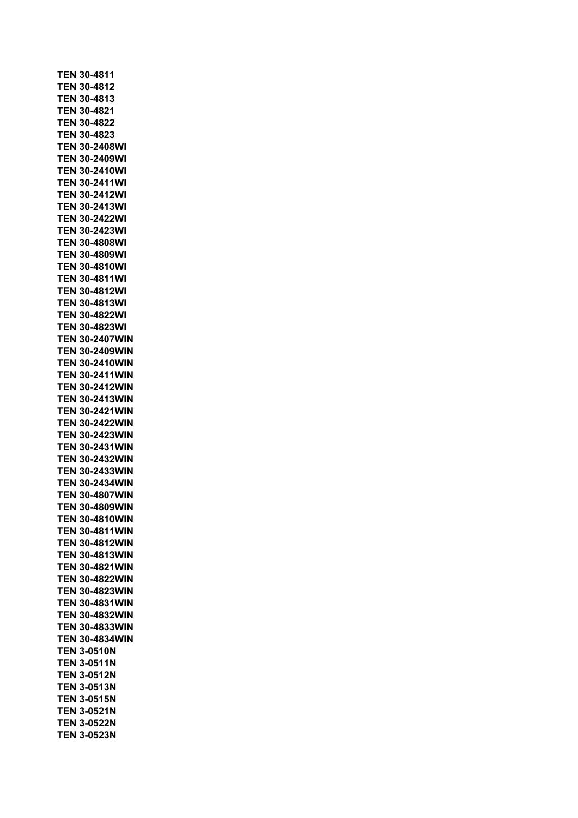**TEN 30-4811 TEN 30-4812 TEN 30-4813 TEN 30-4821 TEN 30-4822 TEN 30-4823 TEN 30-2408WI TEN 30-2409WI TEN 30-2410WI TEN 30-2411WI TEN 30-2412WI TEN 30-2413WI TEN 30-2422WI TEN 30-2423WI TEN 30-4808WI TEN 30-4809WI TEN 30-4810WI TEN 30-4811WI TEN 30-4812WI TEN 30-4813WI TEN 30-4822WI TEN 30-4823WI TEN 30-2407WIN TEN 30-2409WIN TEN 30-2410WIN TEN 30-2411WIN TEN 30-2412WIN TEN 30-2413WIN TEN 30-2421WIN TEN 30-2422WIN TEN 30-2423WIN TEN 30-2431WIN TEN 30-2432WIN TEN 30-2433WIN TEN 30-2434WIN TEN 30-4807WIN TEN 30-4809WIN TEN 30-4810WIN TEN 30-4811WIN TEN 30-4812WIN TEN 30-4813WIN TEN 30-4821WIN TEN 30-4822WIN TEN 30-4823WIN TEN 30-4831WIN TEN 30-4832WIN TEN 30-4833WIN TEN 30-4834WIN TEN 3-0510N TEN 3-0511N TEN 3-0512N TEN 3-0513N TEN 3-0515N TEN 3-0521N TEN 3-0522N TEN 3-0523N**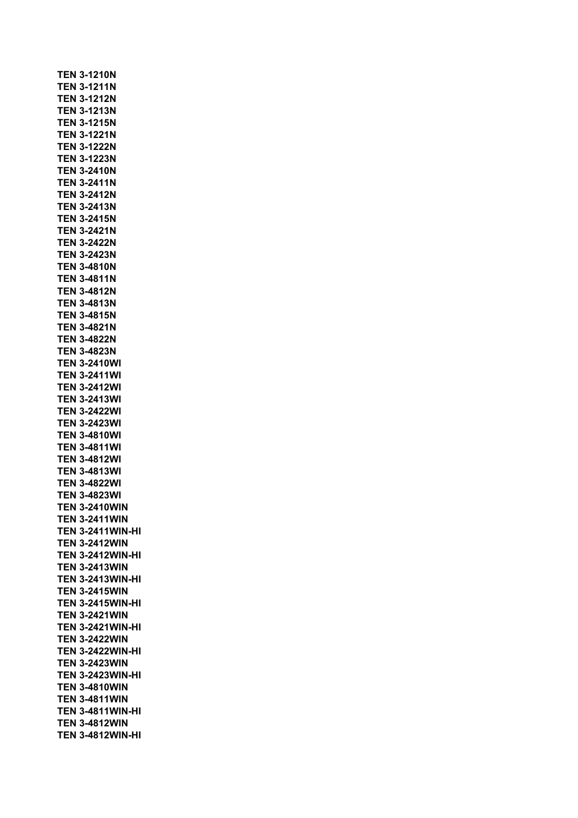**TEN 3-1210N TEN 3-1211N TEN 3-1212N TEN 3-1213N TEN 3-1215N TEN 3-1221N TEN 3-1222N TEN 3-1223N TEN 3-2410N TEN 3-2411N TEN 3-2412N TEN 3-2413N TEN 3-2415N TEN 3-2421N TEN 3-2422N TEN 3-2423N TEN 3-4810N TEN 3-4811N TEN 3-4812N TEN 3-4813N TEN 3-4815N TEN 3-4821N TEN 3-4822N TEN 3-4823N TEN 3-2410WI TEN 3-2411WI TEN 3-2412WI TEN 3-2413WI TEN 3-2422WI TEN 3-2423WI TEN 3-4810WI TEN 3-4811WI TEN 3-4812WI TEN 3-4813WI TEN 3-4822WI TEN 3-4823WI TEN 3-2410WIN TEN 3-2411WIN TEN 3-2411WIN-HI TEN 3-2412WIN TEN 3-2412WIN-HI TEN 3-2413WIN TEN 3-2413WIN-HI TEN 3-2415WIN TEN 3-2415WIN-HI TEN 3-2421WIN TEN 3-2421WIN-HI TEN 3-2422WIN TEN 3-2422WIN-HI TEN 3-2423WIN TEN 3-2423WIN-HI TEN 3-4810WIN TEN 3-4811WIN TEN 3-4811WIN-HI TEN 3-4812WIN TEN 3-4812WIN-HI**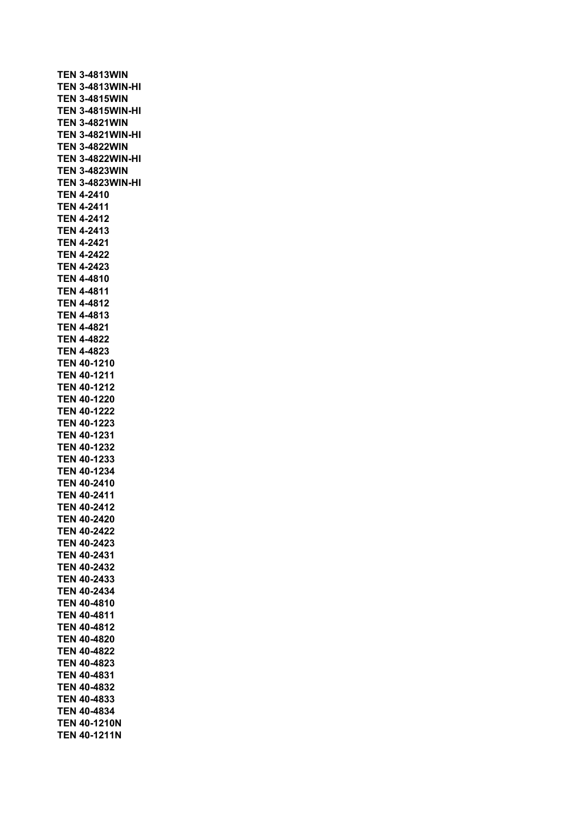**TEN 3-4813WIN TEN 3-4813WIN-HI TEN 3-4815WIN TEN 3-4815WIN-HI TEN 3-4821WIN TEN 3-4821WIN-HI TEN 3-4822WIN TEN 3-4822WIN-HI TEN 3-4823WIN TEN 3-4823WIN-HI TEN 4-2410 TEN 4-2411 TEN 4-2412 TEN 4-2413 TEN 4-2421 TEN 4-2422 TEN 4-2423 TEN 4-4810 TEN 4-4811 TEN 4-4812 TEN 4-4813 TEN 4-4821 TEN 4-4822 TEN 4-4823 TEN 40-1210 TEN 40-1211 TEN 40-1212 TEN 40-1220 TEN 40-1222 TEN 40-1223 TEN 40-1231 TEN 40-1232 TEN 40-1233 TEN 40-1234 TEN 40-2410 TEN 40-2411 TEN 40-2412 TEN 40-2420 TEN 40-2422 TEN 40-2423 TEN 40-2431 TEN 40-2432 TEN 40-2433 TEN 40-2434 TEN 40-4810 TEN 40-4811 TEN 40-4812 TEN 40-4820 TEN 40-4822 TEN 40-4823 TEN 40-4831 TEN 40-4832 TEN 40-4833 TEN 40-4834 TEN 40-1210N TEN 40-1211N**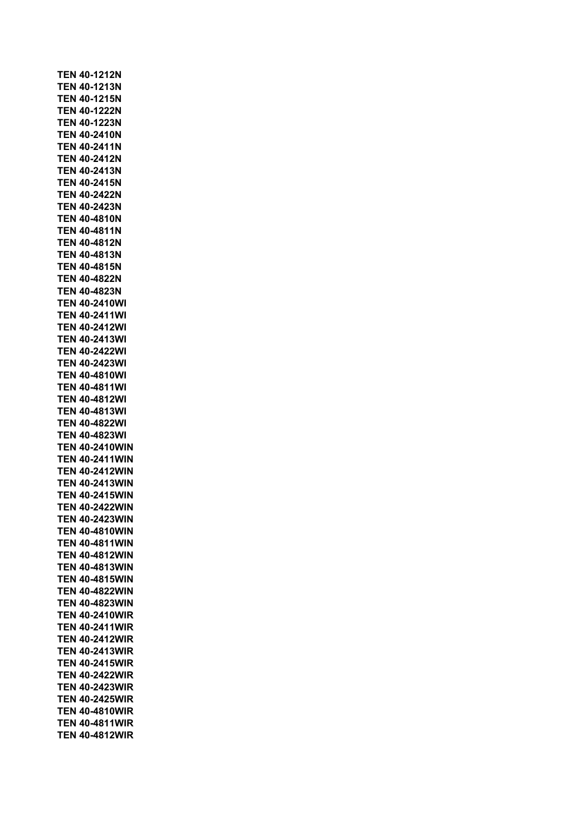**TEN 40-1212N TEN 40-1213N TEN 40-1215N TEN 40-1222N TEN 40-1223N TEN 40-2410N TEN 40-2411N TEN 40-2412N TEN 40-2413N TEN 40-2415N TEN 40-2422N TEN 40-2423N TEN 40-4810N TEN 40-4811N TEN 40-4812N TEN 40-4813N TEN 40-4815N TEN 40-4822N TEN 40-4823N TEN 40-2410WI TEN 40-2411WI TEN 40-2412WI TEN 40-2413WI TEN 40-2422WI TEN 40-2423WI TEN 40-4810WI TEN 40-4811WI TEN 40-4812WI TEN 40-4813WI TEN 40-4822WI TEN 40-4823WI TEN 40-2410WIN TEN 40-2411WIN TEN 40-2412WIN TEN 40-2413WIN TEN 40-2415WIN TEN 40-2422WIN TEN 40-2423WIN TEN 40-4810WIN TEN 40-4811WIN TEN 40-4812WIN TEN 40-4813WIN TEN 40-4815WIN TEN 40-4822WIN TEN 40-4823WIN TEN 40-2410WIR TEN 40-2411WIR TEN 40-2412WIR TEN 40-2413WIR TEN 40-2415WIR TEN 40-2422WIR TEN 40-2423WIR TEN 40-2425WIR TEN 40-4810WIR TEN 40-4811WIR TEN 40-4812WIR**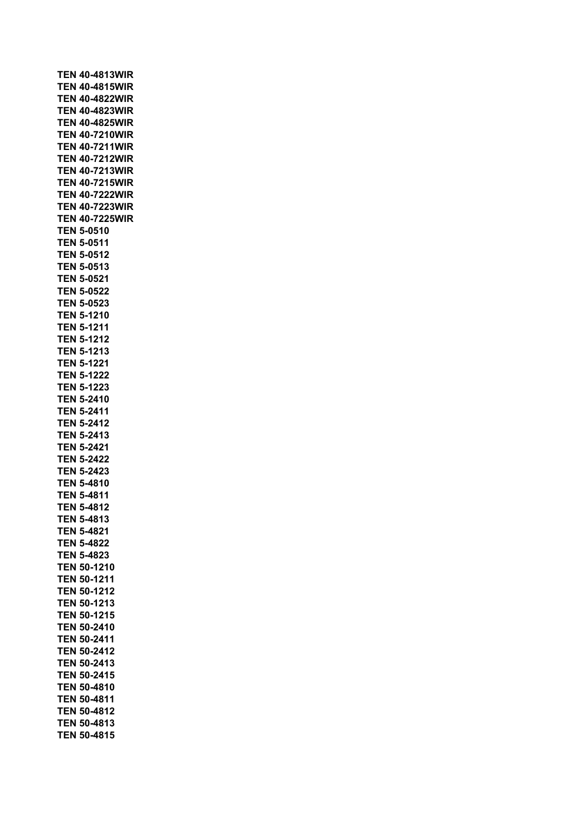|            | <b>TEN 40-4813WIR</b> |
|------------|-----------------------|
|            | <b>TEN 40-4815WIR</b> |
|            | <b>TEN 40-4822WIR</b> |
|            |                       |
|            | <b>TEN 40-4823WIR</b> |
|            | <b>TEN 40-4825WIR</b> |
|            | <b>TEN 40-7210WIR</b> |
|            |                       |
|            | <b>TEN 40-7211WIR</b> |
|            | <b>TEN 40-7212WIR</b> |
|            | <b>TEN 40-7213WIR</b> |
|            |                       |
|            | <b>TEN 40-7215WIR</b> |
|            | <b>TEN 40-7222WIR</b> |
|            | TEN 40-7223WIR        |
|            |                       |
|            | TEN 40-7225WIR        |
|            | TEN 5-0510            |
|            | TEN 5-0511            |
|            |                       |
|            | <b>TEN 5-0512</b>     |
|            | TEN 5-0513            |
|            | TEN 5-0521            |
|            | TEN 5-0522            |
|            |                       |
|            | <b>TEN 5-0523</b>     |
|            | <b>TEN 5-1210</b>     |
|            | <b>TEN 5-1211</b>     |
|            |                       |
|            | <b>TEN 5-1212</b>     |
|            | <b>TEN 5-1213</b>     |
|            | <b>TEN 5-1221</b>     |
|            |                       |
|            | <b>TEN 5-1222</b>     |
| TEN        | 5-1223                |
| TEN        | 5-2410                |
|            |                       |
| TEN        | 5-2411                |
| TEN        | 5-2412                |
| TEN        | 5-2413                |
|            |                       |
|            | <b>TEN 5-2421</b>     |
|            | <b>TEN 5-2422</b>     |
|            | <b>TEN 5-2423</b>     |
|            | <b>TEN 5-4810</b>     |
|            |                       |
| <b>TEN</b> | 5-4811                |
|            | <b>TEN 5-4812</b>     |
|            | <b>TEN 5-4813</b>     |
|            |                       |
|            | TEN 5-4821            |
|            | <b>TEN 5-4822</b>     |
|            | <b>TEN 5-4823</b>     |
|            |                       |
|            | <b>TEN 50-1210</b>    |
| TEN        | 50-1211               |
|            | TEN 50-1212           |
|            |                       |
| TEN        | 50-1213               |
| TEN        | 50-1215               |
| TEN        | 50-2410               |
|            |                       |
| TEN        | 50-2411               |
|            | <b>TEN 50-2412</b>    |
|            | <b>TEN 50-2413</b>    |
|            | <b>TEN 50-2415</b>    |
|            |                       |
|            | <b>TEN 50-4810</b>    |
|            | TEN 50-4811           |
|            | <b>TEN 50-4812</b>    |
|            |                       |
|            | <b>TEN 50-4813</b>    |
|            | <b>TEN 50-4815</b>    |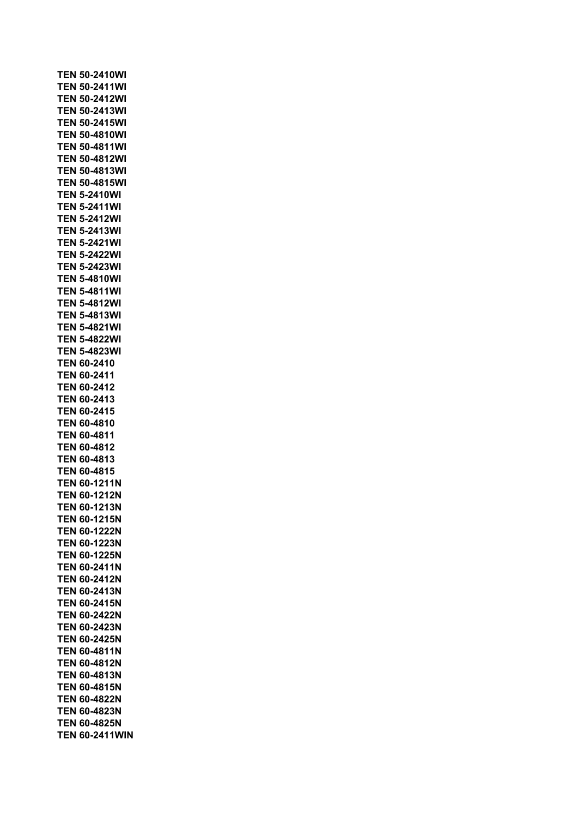|                          | <b>TEN 50-2410WI</b>   |
|--------------------------|------------------------|
|                          | <b>TEN 50-2411WI</b>   |
|                          | <b>TEN 50-2412WI</b>   |
|                          | <b>TEN 50-2413WI</b>   |
|                          | TEN 50-2415WI          |
|                          | TEN 50-4810WI          |
| TEN                      | 50-4811WI              |
| TEN                      | 50-4812WI              |
| TEN                      | 50-4813WI              |
|                          | TEN 50-4815WI          |
|                          | <b>TEN 5-2410WI</b>    |
|                          | TEN 5-2411WI           |
|                          |                        |
|                          | <b>TEN 5-2412WI</b>    |
|                          | <b>TEN 5-2413WI</b>    |
|                          | <b>TEN 5-2421WI</b>    |
|                          | <b>TEN 5-2422WI</b>    |
|                          | <b>TEN 5-2423WI</b>    |
|                          | <b>TEN 5-4810WI</b>    |
|                          | <b>TEN 5-4811WI</b>    |
|                          | TEN 5-4812WI           |
|                          | <b>TEN 5-4813WI</b>    |
|                          | TEN 5-4821WI           |
|                          | <b>TEN 5-4822WI</b>    |
|                          | TEN 5-4823WI           |
|                          | TEN 60-2410            |
|                          | TEN 60-2411            |
|                          | TEN 60-2412            |
|                          | TEN 60-2413            |
|                          |                        |
|                          |                        |
|                          | TEN 60-2415            |
|                          | <b>TEN 60-4810</b>     |
|                          | <b>TEN 60-4811</b>     |
|                          | <b>TEN 60-4812</b>     |
|                          | <b>TEN 60-4813</b>     |
|                          | <b>TEN 60-4815</b>     |
|                          | <b>TEN 60-1211N</b>    |
|                          | <b>TEN 60-1212N</b>    |
|                          | <b>TEN 60-1213N</b>    |
|                          | <b>TEN 60-1215N</b>    |
| TEN                      | 60-1222N               |
| TEN                      | 60-1223N               |
| TEN                      | 60-1225N               |
|                          |                        |
| TEN                      | 60-2411N               |
| TEN                      | 60-2412N               |
| TEN                      | 60-2413N               |
| TEN                      | 60-2415N               |
| TEN                      | 60-2422N               |
| TEN                      | 60-2423N               |
| TEN                      | 60-2425N               |
| <b>TEN</b>               | 60-4811N               |
| <b>TEN</b>               | 60-4812N               |
| TEN                      | 60-4813N               |
| TEN                      | 60-4815N               |
| TEN                      | 60-4822N               |
| TEN                      | 60-4823N               |
| <b>TEN</b><br><b>TEN</b> | 60-4825N<br>60-2411WIN |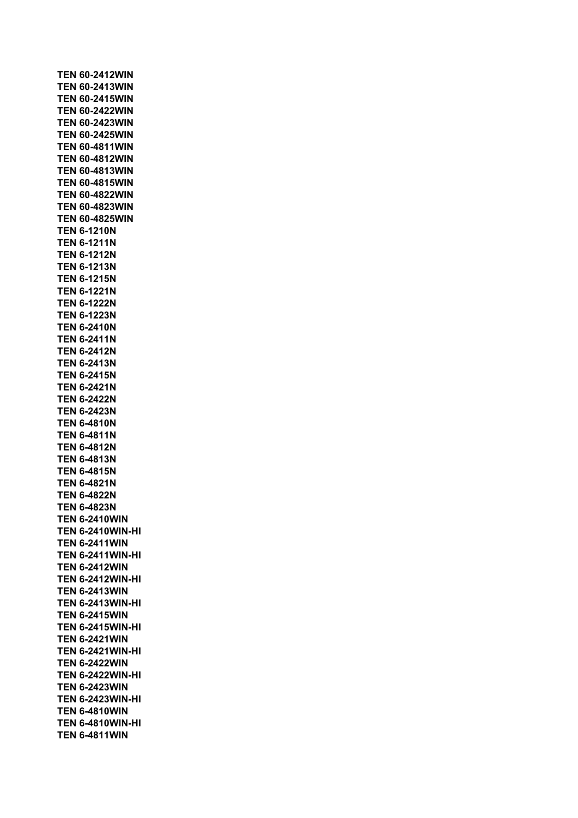**TEN 60-2412WIN TEN 60-2413WIN TEN 60-2415WIN TEN 60-2422WIN TEN 60-2423WIN TEN 60-2425WIN TEN 60-4811WIN TEN 60-4812WIN TEN 60-4813WIN TEN 60-4815WIN TEN 60-4822WIN TEN 60-4823WIN TEN 60-4825WIN TEN 6-1210N TEN 6-1211N TEN 6-1212N TEN 6-1213N TEN 6-1215N TEN 6-1221N TEN 6-1222N TEN 6-1223N TEN 6-2410N TEN 6-2411N TEN 6-2412N TEN 6-2413N TEN 6-2415N TEN 6-2421N TEN 6-2422N TEN 6-2423N TEN 6-4810N TEN 6-4811N TEN 6-4812N TEN 6-4813N TEN 6-4815N TEN 6-4821N TEN 6-4822N TEN 6-4823N TEN 6-2410WIN TEN 6-2410WIN-HI TEN 6-2411WIN TEN 6-2411WIN-HI TEN 6-2412WIN TEN 6-2412WIN-HI TEN 6-2413WIN TEN 6-2413WIN-HI TEN 6-2415WIN TEN 6-2415WIN-HI TEN 6-2421WIN TEN 6-2421WIN-HI TEN 6-2422WIN TEN 6-2422WIN-HI TEN 6-2423WIN TEN 6-2423WIN-HI TEN 6-4810WIN TEN 6-4810WIN-HI TEN 6-4811WIN**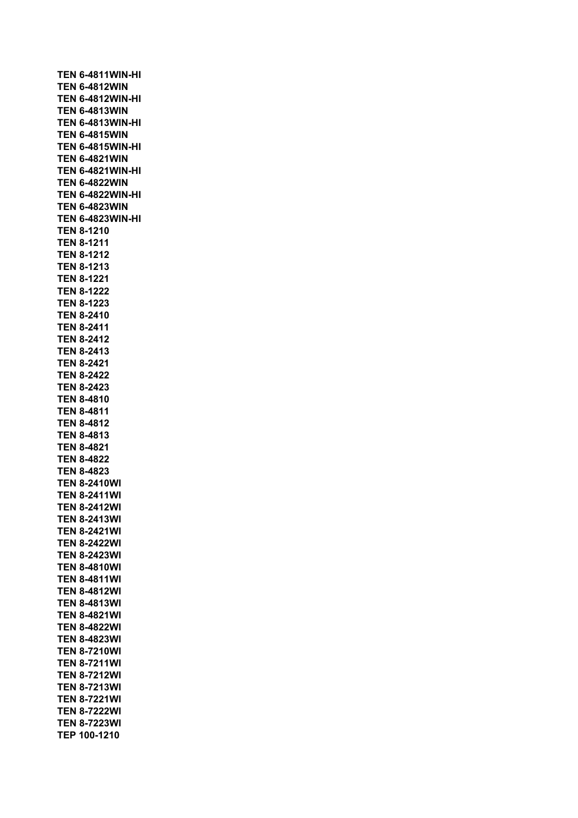**TEN 6-4811WIN-HI TEN 6-4812WIN TEN 6-4812WIN-HI TEN 6-4813WIN TEN 6-4813WIN-HI TEN 6-4815WIN TEN 6-4815WIN-HI TEN 6-4821WIN TEN 6-4821WIN-HI TEN 6-4822WIN TEN 6-4822WIN-HI TEN 6-4823WIN TEN 6-4823WIN-HI TEN 8-1210 TEN 8-1211 TEN 8-1212 TEN 8-1213 TEN 8-1221 TEN 8-1222 TEN 8-1223 TEN 8-2410 TEN 8-2411 TEN 8-2412 TEN 8-2413 TEN 8-2421 TEN 8-2422 TEN 8-2423 TEN 8-4810 TEN 8-4811 TEN 8-4812 TEN 8-4813 TEN 8-4821 TEN 8-4822 TEN 8-4823 TEN 8-2410WI TEN 8-2411WI TEN 8-2412WI TEN 8-2413WI TEN 8-2421WI TEN 8-2422WI TEN 8-2423WI TEN 8-4810WI TEN 8-4811WI TEN 8-4812WI TEN 8-4813WI TEN 8-4821WI TEN 8-4822WI TEN 8-4823WI TEN 8-7210WI TEN 8-7211WI TEN 8-7212WI TEN 8-7213WI TEN 8-7221WI TEN 8-7222WI TEN 8-7223WI TEP 100-1210**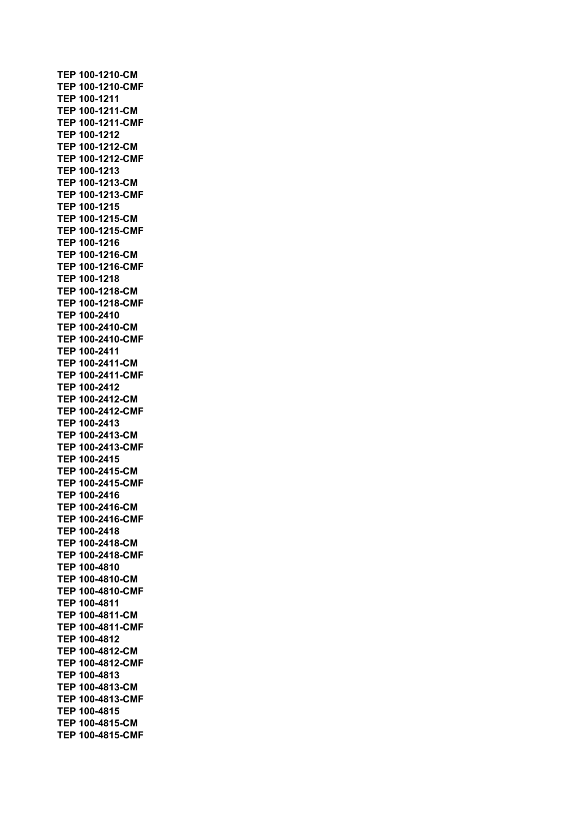**TEP 100-1210-CM TEP 100-1210-CMF TEP 100-1211 TEP 100-1211-CM TEP 100-1211-CMF TEP 100-1212 TEP 100-1212-CM TEP 100-1212-CMF TEP 100-1213 TEP 100-1213-CM TEP 100-1213-CMF TEP 100-1215 TEP 100-1215-CM TEP 100-1215-CMF TEP 100-1216 TEP 100-1216-CM TEP 100-1216-CMF TEP 100-1218 TEP 100-1218-CM TEP 100-1218-CMF TEP 100-2410 TEP 100-2410-CM TEP 100-2410-CMF TEP 100-2411 TEP 100-2411-CM TEP 100-2411-CMF TEP 100-2412 TEP 100-2412-CM TEP 100-2412-CMF TEP 100-2413 TEP 100-2413-CM TEP 100-2413-CMF TEP 100-2415 TEP 100-2415-CM TEP 100-2415-CMF TEP 100-2416 TEP 100-2416-CM TEP 100-2416-CMF TEP 100-2418 TEP 100-2418-CM TEP 100-2418-CMF TEP 100-4810 TEP 100-4810-CM TEP 100-4810-CMF TEP 100-4811 TEP 100-4811-CM TEP 100-4811-CMF TEP 100-4812 TEP 100-4812-CM TEP 100-4812-CMF TEP 100-4813 TEP 100-4813-CM TEP 100-4813-CMF TEP 100-4815 TEP 100-4815-CM TEP 100-4815-CMF**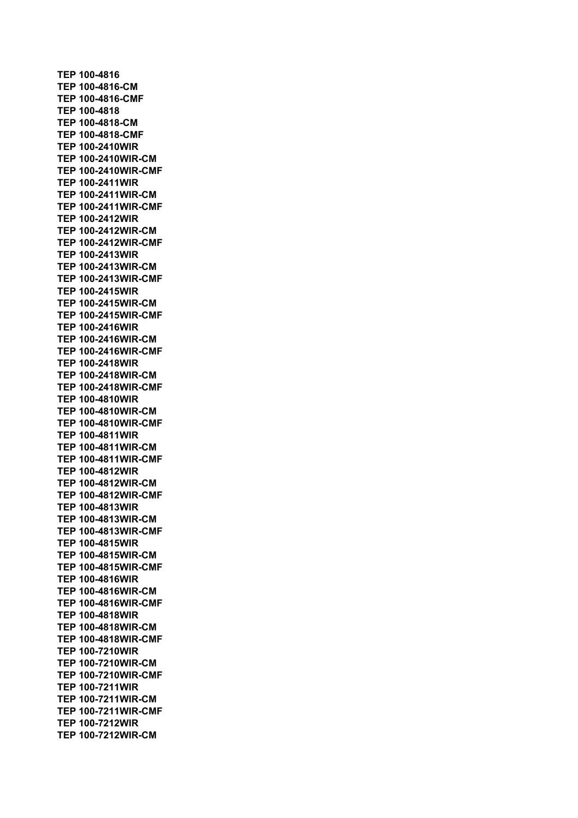**TEP 100-4816 TEP 100-4816-CM TEP 100-4816-CMF TEP 100-4818 TEP 100-4818-CM TEP 100-4818-CMF TEP 100-2410WIR TEP 100-2410WIR-CM TEP 100-2410WIR-CMF TEP 100-2411WIR TEP 100-2411WIR-CM TEP 100-2411WIR-CMF TEP 100-2412WIR TEP 100-2412WIR-CM TEP 100-2412WIR-CMF TEP 100-2413WIR TEP 100-2413WIR-CM TEP 100-2413WIR-CMF TEP 100-2415WIR TEP 100-2415WIR-CM TEP 100-2415WIR-CMF TEP 100-2416WIR TEP 100-2416WIR-CM TEP 100-2416WIR-CMF TEP 100-2418WIR TEP 100-2418WIR-CM TEP 100-2418WIR-CMF TEP 100-4810WIR TEP 100-4810WIR-CM TEP 100-4810WIR-CMF TEP 100-4811WIR TEP 100-4811WIR-CM TEP 100-4811WIR-CMF TEP 100-4812WIR TEP 100-4812WIR-CM TEP 100-4812WIR-CMF TEP 100-4813WIR TEP 100-4813WIR-CM TEP 100-4813WIR-CMF TEP 100-4815WIR TEP 100-4815WIR-CM TEP 100-4815WIR-CMF TEP 100-4816WIR TEP 100-4816WIR-CM TEP 100-4816WIR-CMF TEP 100-4818WIR TEP 100-4818WIR-CM TEP 100-4818WIR-CMF TEP 100-7210WIR TEP 100-7210WIR-CM TEP 100-7210WIR-CMF TEP 100-7211WIR TEP 100-7211WIR-CM TEP 100-7211WIR-CMF TEP 100-7212WIR TEP 100-7212WIR-CM**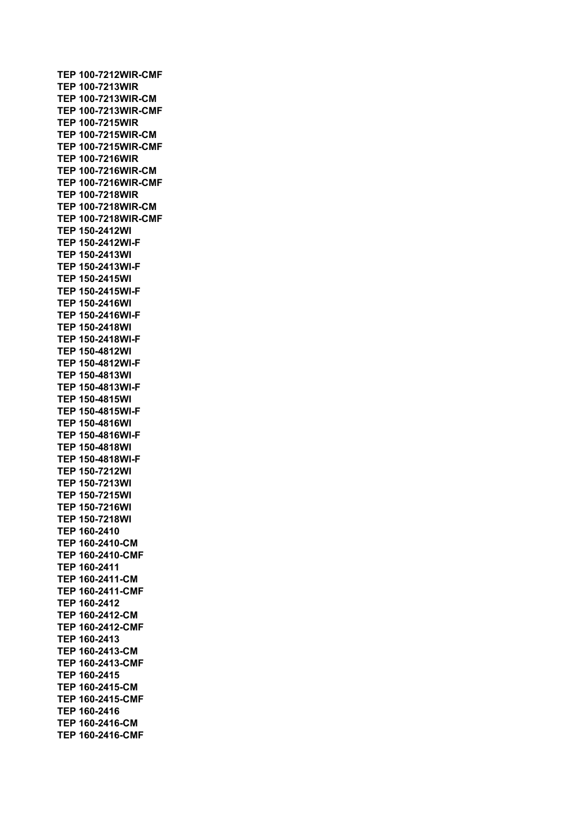**TEP 100-7212WIR-CMF TEP 100-7213WIR TEP 100-7213WIR-CM TEP 100-7213WIR-CMF TEP 100-7215WIR TEP 100-7215WIR-CM TEP 100-7215WIR-CMF TEP 100-7216WIR TEP 100-7216WIR-CM TEP 100-7216WIR-CMF TEP 100-7218WIR TEP 100-7218WIR-CM TEP 100-7218WIR-CMF TEP 150-2412WI TEP 150-2412WI-F TEP 150-2413WI TEP 150-2413WI-F TEP 150-2415WI TEP 150-2415WI-F TEP 150-2416WI TEP 150-2416WI-F TEP 150-2418WI TEP 150-2418WI-F TEP 150-4812WI TEP 150-4812WI-F TEP 150-4813WI TEP 150-4813WI-F TEP 150-4815WI TEP 150-4815WI-F TEP 150-4816WI TEP 150-4816WI-F TEP 150-4818WI TEP 150-4818WI-F TEP 150-7212WI TEP 150-7213WI TEP 150-7215WI TEP 150-7216WI TEP 150-7218WI TEP 160-2410 TEP 160-2410-CM TEP 160-2410-CMF TEP 160-2411 TEP 160-2411-CM TEP 160-2411-CMF TEP 160-2412 TEP 160-2412-CM TEP 160-2412-CMF TEP 160-2413 TEP 160-2413-CM TEP 160-2413-CMF TEP 160-2415 TEP 160-2415-CM TEP 160-2415-CMF TEP 160-2416 TEP 160-2416-CM TEP 160-2416-CMF**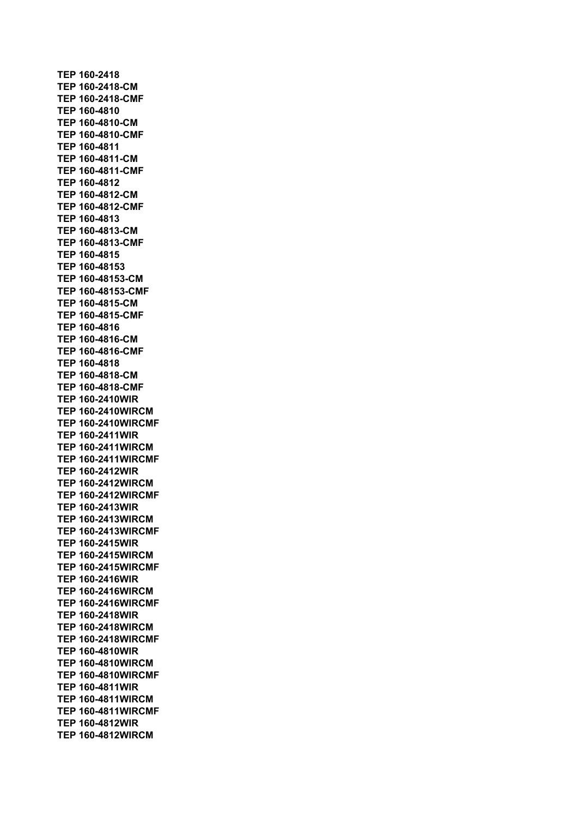**TEP 160-2418 TEP 160-2418-CM TEP 160-2418-CMF TEP 160-4810 TEP 160-4810-CM TEP 160-4810-CMF TEP 160-4811 TEP 160-4811-CM TEP 160-4811-CMF TEP 160-4812 TEP 160-4812-CM TEP 160-4812-CMF TEP 160-4813 TEP 160-4813-CM TEP 160-4813-CMF TEP 160-4815 TEP 160-48153 TEP 160-48153-CM TEP 160-48153-CMF TEP 160-4815-CM TEP 160-4815-CMF TEP 160-4816 TEP 160-4816-CM TEP 160-4816-CMF TEP 160-4818 TEP 160-4818-CM TEP 160-4818-CMF TEP 160-2410WIR TEP 160-2410WIRCM TEP 160-2410WIRCMF TEP 160-2411WIR TEP 160-2411WIRCM TEP 160-2411WIRCMF TEP 160-2412WIR TEP 160-2412WIRCM TEP 160-2412WIRCMF TEP 160-2413WIR TEP 160-2413WIRCM TEP 160-2413WIRCMF TEP 160-2415WIR TEP 160-2415WIRCM TEP 160-2415WIRCMF TEP 160-2416WIR TEP 160-2416WIRCM TEP 160-2416WIRCMF TEP 160-2418WIR TEP 160-2418WIRCM TEP 160-2418WIRCMF TEP 160-4810WIR TEP 160-4810WIRCM TEP 160-4810WIRCMF TEP 160-4811WIR TEP 160-4811WIRCM TEP 160-4811WIRCMF TEP 160-4812WIR TEP 160-4812WIRCM**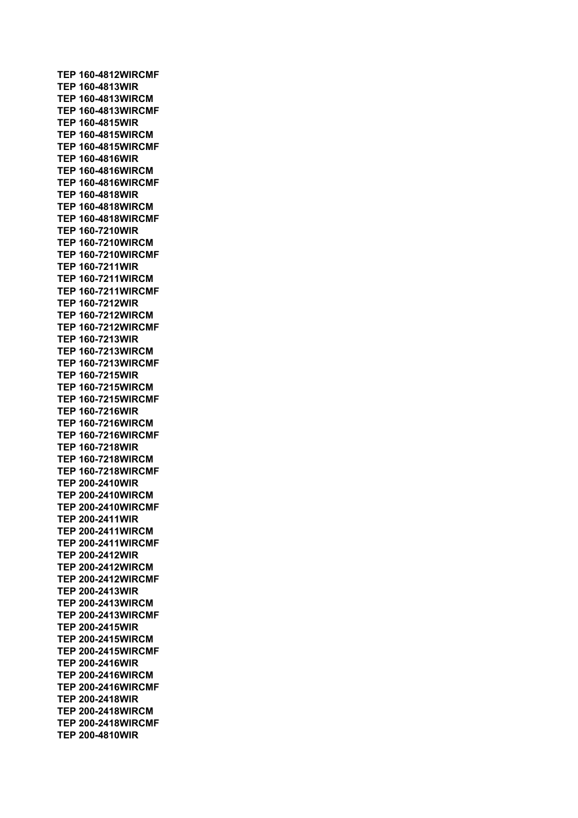**TEP 160-4812WIRCMF TEP 160-4813WIR TEP 160-4813WIRCM TEP 160-4813WIRCMF TEP 160-4815WIR TEP 160-4815WIRCM TEP 160-4815WIRCMF TEP 160-4816WIR TEP 160-4816WIRCM TEP 160-4816WIRCMF TEP 160-4818WIR TEP 160-4818WIRCM TEP 160-4818WIRCMF TEP 160-7210WIR TEP 160-7210WIRCM TEP 160-7210WIRCMF TEP 160-7211WIR TEP 160-7211WIRCM TEP 160-7211WIRCMF TEP 160-7212WIR TEP 160-7212WIRCM TEP 160-7212WIRCMF TEP 160-7213WIR TEP 160-7213WIRCM TEP 160-7213WIRCMF TEP 160-7215WIR TEP 160-7215WIRCM TEP 160-7215WIRCMF TEP 160-7216WIR TEP 160-7216WIRCM TEP 160-7216WIRCMF TEP 160-7218WIR TEP 160-7218WIRCM TEP 160-7218WIRCMF TEP 200-2410WIR TEP 200-2410WIRCM TEP 200-2410WIRCMF TEP 200-2411WIR TEP 200-2411WIRCM TEP 200-2411WIRCMF TEP 200-2412WIR TEP 200-2412WIRCM TEP 200-2412WIRCMF TEP 200-2413WIR TEP 200-2413WIRCM TEP 200-2413WIRCMF TEP 200-2415WIR TEP 200-2415WIRCM TEP 200-2415WIRCMF TEP 200-2416WIR TEP 200-2416WIRCM TEP 200-2416WIRCMF TEP 200-2418WIR TEP 200-2418WIRCM TEP 200-2418WIRCMF TEP 200-4810WIR**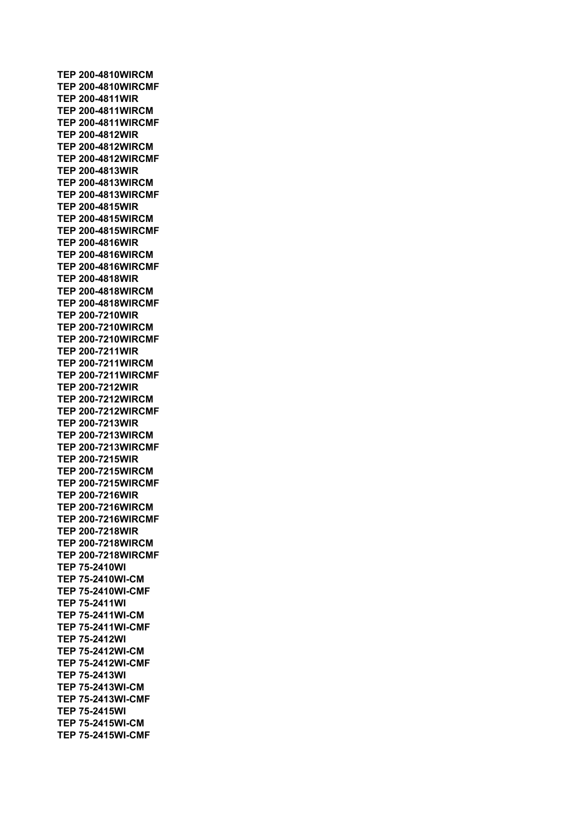**TEP 200-4810WIRCM TEP 200-4810WIRCMF TEP 200-4811WIR TEP 200-4811WIRCM TEP 200-4811WIRCMF TEP 200-4812WIR TEP 200-4812WIRCM TEP 200-4812WIRCMF TEP 200-4813WIR TEP 200-4813WIRCM TEP 200-4813WIRCMF TEP 200-4815WIR TEP 200-4815WIRCM TEP 200-4815WIRCMF TEP 200-4816WIR TEP 200-4816WIRCM TEP 200-4816WIRCMF TEP 200-4818WIR TEP 200-4818WIRCM TEP 200-4818WIRCMF TEP 200-7210WIR TEP 200-7210WIRCM TEP 200-7210WIRCMF TEP 200-7211WIR TEP 200-7211WIRCM TEP 200-7211WIRCMF TEP 200-7212WIR TEP 200-7212WIRCM TEP 200-7212WIRCMF TEP 200-7213WIR TEP 200-7213WIRCM TEP 200-7213WIRCMF TEP 200-7215WIR TEP 200-7215WIRCM TEP 200-7215WIRCMF TEP 200-7216WIR TEP 200-7216WIRCM TEP 200-7216WIRCMF TEP 200-7218WIR TEP 200-7218WIRCM TEP 200-7218WIRCMF TEP 75-2410WI TEP 75-2410WI-CM TEP 75-2410WI-CMF TEP 75-2411WI TEP 75-2411WI-CM TEP 75-2411WI-CMF TEP 75-2412WI TEP 75-2412WI-CM TEP 75-2412WI-CMF TEP 75-2413WI TEP 75-2413WI-CM TEP 75-2413WI-CMF TEP 75-2415WI TEP 75-2415WI-CM TEP 75-2415WI-CMF**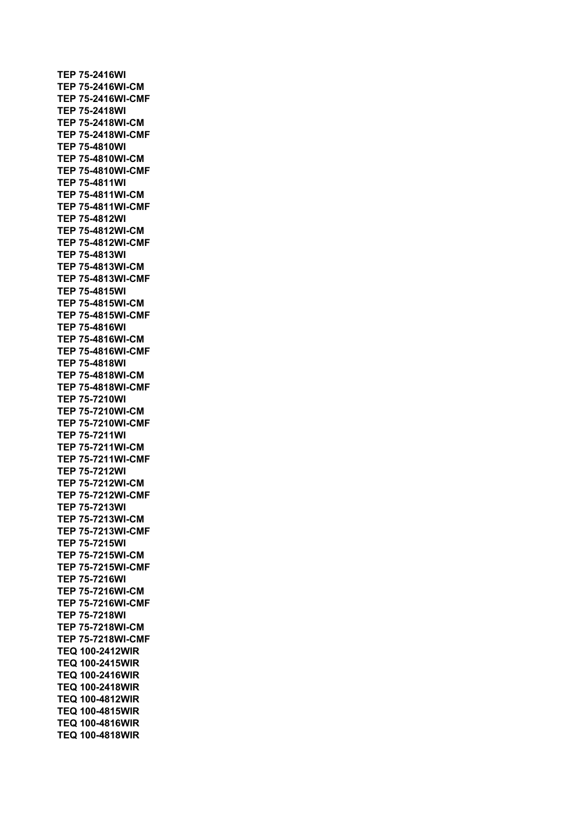**TEP 75-2416WI TEP 75-2416WI-CM TEP 75-2416WI-CMF TEP 75-2418WI TEP 75-2418WI-CM TEP 75-2418WI-CMF TEP 75-4810WI TEP 75-4810WI-CM TEP 75-4810WI-CMF TEP 75-4811WI TEP 75-4811WI-CM TEP 75-4811WI-CMF TEP 75-4812WI TEP 75-4812WI-CM TEP 75-4812WI-CMF TEP 75-4813WI TEP 75-4813WI-CM TEP 75-4813WI-CMF TEP 75-4815WI TEP 75-4815WI-CM TEP 75-4815WI-CMF TEP 75-4816WI TEP 75-4816WI-CM TEP 75-4816WI-CMF TEP 75-4818WI TEP 75-4818WI-CM TEP 75-4818WI-CMF TEP 75-7210WI TEP 75-7210WI-CM TEP 75-7210WI-CMF TEP 75-7211WI TEP 75-7211WI-CM TEP 75-7211WI-CMF TEP 75-7212WI TEP 75-7212WI-CM TEP 75-7212WI-CMF TEP 75-7213WI TEP 75-7213WI-CM TEP 75-7213WI-CMF TEP 75-7215WI TEP 75-7215WI-CM TEP 75-7215WI-CMF TEP 75-7216WI TEP 75-7216WI-CM TEP 75-7216WI-CMF TEP 75-7218WI TEP 75-7218WI-CM TEP 75-7218WI-CMF TEQ 100-2412WIR TEQ 100-2415WIR TEQ 100-2416WIR TEQ 100-2418WIR TEQ 100-4812WIR TEQ 100-4815WIR TEQ 100-4816WIR TEQ 100-4818WIR**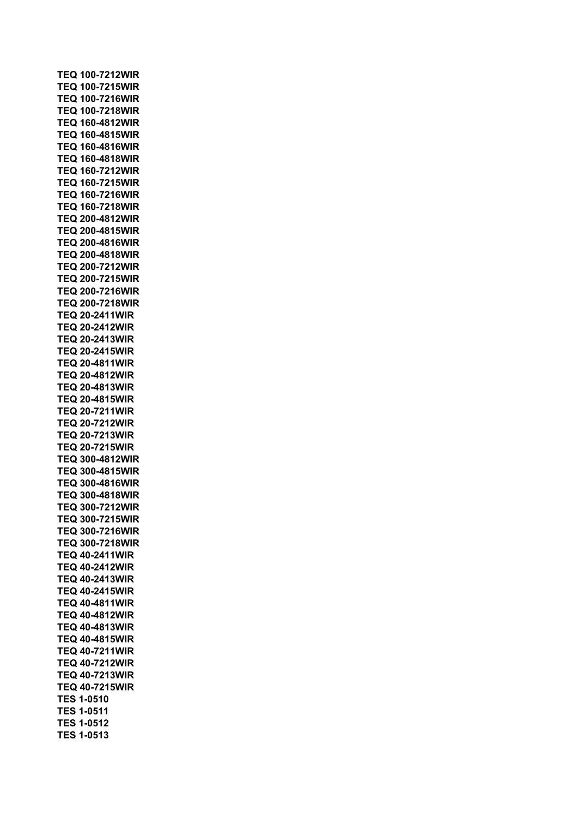| <b>TEQ 100-7212WIR</b> |  |  |  |  |             |  |
|------------------------|--|--|--|--|-------------|--|
| <b>TEQ 100-7215WIR</b> |  |  |  |  |             |  |
| <b>TEQ 100-7216WIR</b> |  |  |  |  |             |  |
| TEQ                    |  |  |  |  | 100-7218WIR |  |
| TEQ                    |  |  |  |  | 160-4812WIR |  |
| TEQ                    |  |  |  |  | 160-4815WIR |  |
| TEQ                    |  |  |  |  | 160-4816WIR |  |
| TEQ                    |  |  |  |  | 160-4818WIR |  |
| TEQ                    |  |  |  |  | 160-7212WIR |  |
| TEQ                    |  |  |  |  | 160-7215WIR |  |
| TEQ                    |  |  |  |  | 160-7216WIR |  |
| TEQ                    |  |  |  |  | 160-7218WIR |  |
| <b>TEQ</b>             |  |  |  |  | 200-4812WIR |  |
| <b>TEQ</b>             |  |  |  |  | 200-4815WIR |  |
| <b>TEQ 200-4816WIR</b> |  |  |  |  |             |  |
| <b>TEQ 200-4818WIR</b> |  |  |  |  |             |  |
| TEQ                    |  |  |  |  | 200-7212WIR |  |
| TEQ                    |  |  |  |  | 200-7215WIR |  |
| TEQ                    |  |  |  |  | 200-7216WIR |  |
| <b>TEQ 200-7218WIR</b> |  |  |  |  |             |  |
| TEQ                    |  |  |  |  | 20-2411WIR  |  |
| TEQ                    |  |  |  |  | 20-2412WIR  |  |
| <b>TEQ 20-2413WIR</b>  |  |  |  |  |             |  |
| <b>TEQ 20-2415WIR</b>  |  |  |  |  |             |  |
| <b>TEQ 20-4811WIR</b>  |  |  |  |  |             |  |
| <b>TEQ 20-4812WIR</b>  |  |  |  |  |             |  |
| <b>TEQ 20-4813WIR</b>  |  |  |  |  |             |  |
| <b>TEQ 20-4815WIR</b>  |  |  |  |  |             |  |
| <b>TEQ 20-7211WIR</b>  |  |  |  |  |             |  |
| <b>TEQ 20-7212WIR</b>  |  |  |  |  |             |  |
| <b>TEQ 20-7213WIR</b>  |  |  |  |  |             |  |
| <b>TEQ 20-7215WIR</b>  |  |  |  |  |             |  |
| <b>TEQ 300-4812WIR</b> |  |  |  |  |             |  |
| <b>TEQ 300-4815WIR</b> |  |  |  |  |             |  |
| <b>TEQ 300-4816WIR</b> |  |  |  |  |             |  |
| <b>TEQ 300-4818WIR</b> |  |  |  |  |             |  |
| <b>TEQ</b>             |  |  |  |  | 300-7212WIR |  |
| <b>TEQ 300-7215WIR</b> |  |  |  |  |             |  |
| <b>TEQ 300-7216WIR</b> |  |  |  |  |             |  |
| <b>TEQ 300-7218WIR</b> |  |  |  |  |             |  |
|                        |  |  |  |  |             |  |
| <b>TEQ 40-2411WIR</b>  |  |  |  |  |             |  |
| <b>TEQ 40-2412WIR</b>  |  |  |  |  |             |  |
| <b>TEQ 40-2413WIR</b>  |  |  |  |  |             |  |
| <b>TEQ 40-2415WIR</b>  |  |  |  |  |             |  |
| <b>TEQ 40-4811WIR</b>  |  |  |  |  |             |  |
| <b>TEQ 40-4812WIR</b>  |  |  |  |  |             |  |
| <b>TEQ 40-4813WIR</b>  |  |  |  |  |             |  |
| <b>TEQ 40-4815WIR</b>  |  |  |  |  |             |  |
| <b>TEQ 40-7211WIR</b>  |  |  |  |  |             |  |
| <b>TEQ 40-7212WIR</b>  |  |  |  |  |             |  |
| <b>TEQ 40-7213WIR</b>  |  |  |  |  |             |  |
| <b>TEQ 40-7215WIR</b>  |  |  |  |  |             |  |
| <b>TES 1-0510</b>      |  |  |  |  |             |  |
| TES 1-0511             |  |  |  |  |             |  |
| <b>TES 1-0512</b>      |  |  |  |  |             |  |
| <b>TES 1-0513</b>      |  |  |  |  |             |  |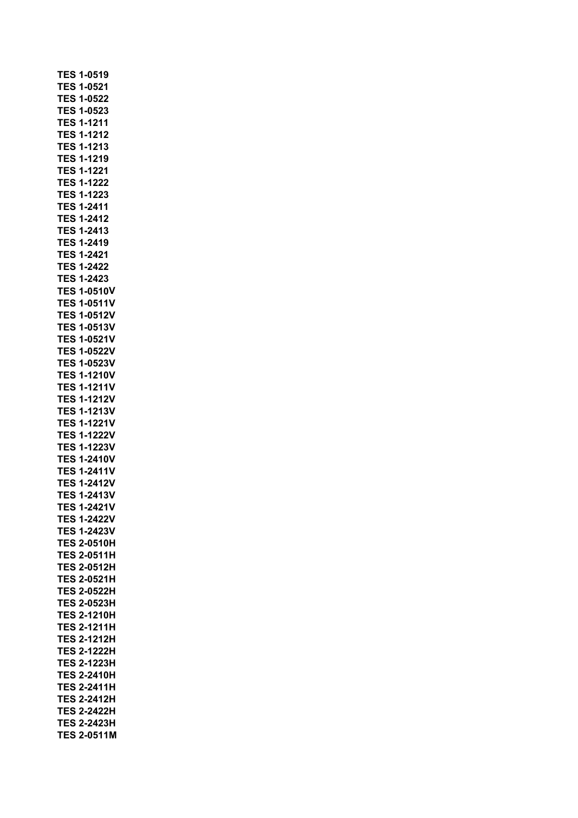| TES        | 1-0519             |
|------------|--------------------|
| <b>TES</b> | 1-0521             |
| TES        | 1-0522             |
| TES        | 1-0523             |
| TES        | 1-1211             |
| TES        | 1-1212             |
| TES        | 1-1213             |
| <b>TES</b> | 1-1219             |
| TES        | 1-1221             |
| TES        | 1-1222             |
| TES        | 1-1223             |
| <b>TES</b> | 1-2411             |
| <b>TES</b> | 1-2412             |
| TES        | 1-2413             |
| <b>TES</b> | 1-2419             |
| TES        | 1-2421             |
| <b>TES</b> | 1-2422             |
| <b>TES</b> | 1-2423             |
| TES        | 1-0510V            |
| TES        | $1 - 0511V$        |
| <b>TES</b> | 1-0512V            |
| <b>TES</b> | 1-0513V            |
| TES        | 1-0521V            |
| TES        | 1-0522V            |
| <b>TES</b> | 1-0523V            |
| TES        | 1-1210V            |
| TES        | 1-1211V            |
| TES        | 1-1212V            |
| <b>TES</b> | 1-1213V            |
| <b>TES</b> | 1-1221V            |
| TES        | 1-1222V            |
| TES        | 1-1223V            |
| <b>TES</b> | 1-2410V            |
| <b>TES</b> | $1 - 2411V$        |
| <b>TES</b> | 1-2412V            |
|            | <b>TES 1-2413V</b> |
| TES        | 1-2421V            |
| TES        | 1-2422V            |
| TES        | 1-2423V            |
| <b>TES</b> | 2-0510H            |
| TES        | 2-0511H            |
| TES        | 2-0512H            |
| TES        | 2-0521H            |
| TES        | 2-0522H            |
| <b>TES</b> | 2-0523H            |
| <b>TES</b> | 2-1210H            |
| TES        | 2-1211H            |
| TES        | 2-1212H            |
| <b>TES</b> | 2-1222H            |
| <b>TES</b> | 2-1223H            |
| <b>TES</b> | 2-2410H            |
| TES        | 2-2411H            |
| TES        | 2-2412H            |
| <b>TES</b> | 2-2422H            |
|            |                    |
| <b>TES</b> | 2-2423H            |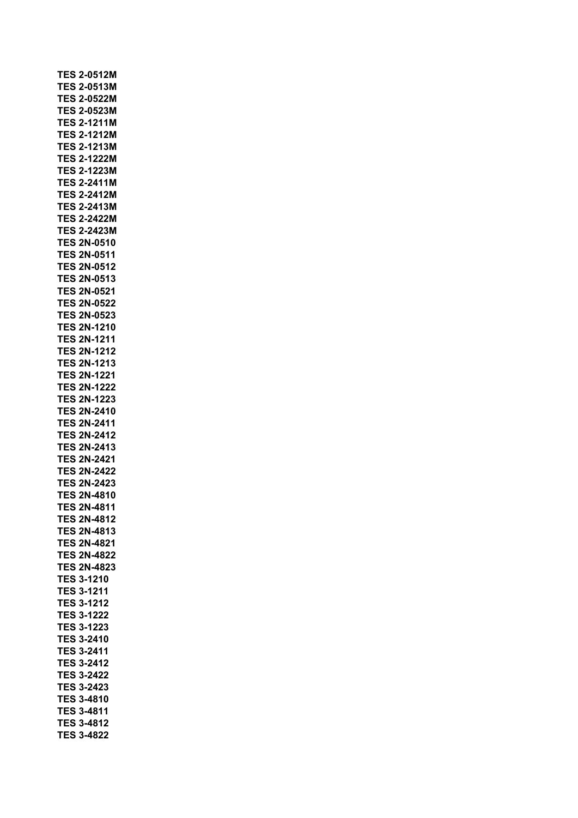|            | <b>TES 2-0512M</b> |
|------------|--------------------|
| TES        | 2-0513M            |
| <b>TES</b> | 2-0522M            |
| <b>TES</b> | 2-0523M            |
| <b>TES</b> | 2-1211M            |
| <b>TES</b> | 2-1212M            |
| <b>TES</b> | 2-1213M            |
| <b>TES</b> | 2-1222M            |
| <b>TES</b> | 2-1223M            |
| <b>TES</b> | 2-2411M            |
| <b>TES</b> | 2-2412M            |
| <b>TES</b> | 2-2413M            |
| <b>TES</b> | 2-2422M            |
| <b>TES</b> | 2-2423M            |
| TES        | 2N-0510            |
| <b>TES</b> |                    |
|            | 2N-0511            |
| <b>TES</b> | 2N-0512            |
| <b>TES</b> | 2N-0513            |
| <b>TES</b> | 2N-0521            |
| TES        | 2N-0522            |
| <b>TES</b> | 2N-0523            |
| <b>TES</b> | 2N-1210            |
| TES        | 2N-1211            |
| <b>TES</b> | 2N-1212            |
| <b>TES</b> | 2N-1213            |
| <b>TES</b> | 2N-1221            |
| <b>TES</b> | 2N-1222            |
| <b>TES</b> | 2N-1223            |
| <b>TES</b> | 2N-2410            |
| <b>TES</b> | 2N-2411            |
| <b>TES</b> | 2N-2412            |
| <b>TES</b> | 2N-2413            |
| <b>TES</b> | 2N-2421            |
| <b>TES</b> | 2N-2422            |
| <b>TES</b> | 2N-2423            |
| <b>TES</b> | 2N-4810            |
| ES<br>T    | 2N-4811            |
|            |                    |
|            | <b>TES 2N-4812</b> |
|            | <b>TES 2N-4813</b> |
|            | <b>TES 2N-4821</b> |
|            | TES 2N-4822        |
|            | <b>TES 2N-4823</b> |
|            | <b>TES 3-1210</b>  |
|            | <b>TES 3-1211</b>  |
|            | <b>TES 3-1212</b>  |
|            |                    |
|            | <b>TES 3-1222</b>  |
|            | <b>TES 3-1223</b>  |
|            | <b>TES 3-2410</b>  |
|            | <b>TES 3-2411</b>  |
|            | <b>TES 3-2412</b>  |
|            | <b>TES 3-2422</b>  |
|            | <b>TES 3-2423</b>  |
| <b>TES</b> | 3-4810             |
|            | <b>TES 3-4811</b>  |
|            | TES 3-4812         |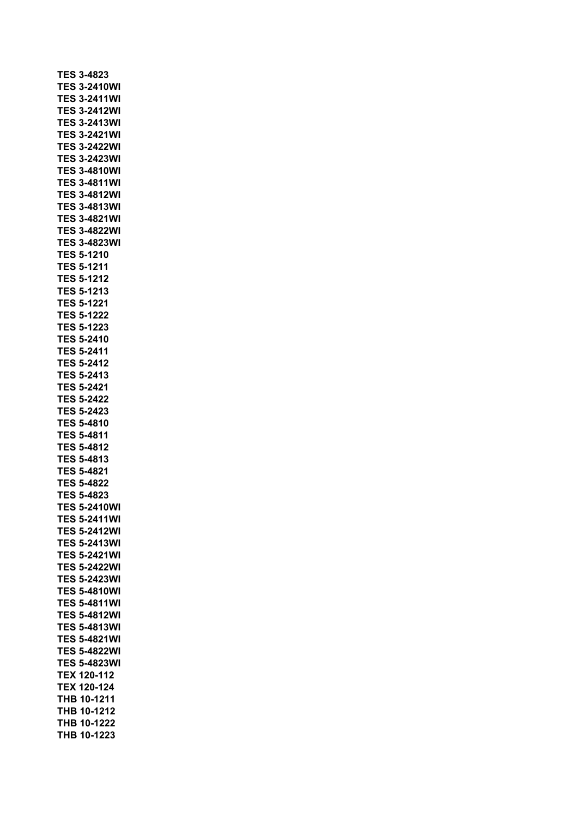|            | <b>TES 3-4823</b>     |
|------------|-----------------------|
|            | <b>TES 3-2410WI</b>   |
|            | <b>TES 3-2411WI</b>   |
| <b>TES</b> | 3-2412WI              |
| <b>TES</b> | 3-2413WI              |
| TES        | 3-2421WI              |
| TES        | 3-2422WI              |
| TES        | 3-2423WI              |
|            | <b>TES 3-4810WI</b>   |
|            | <b>TES 3-4811WI</b>   |
|            | <b>TES 3-4812WI</b>   |
|            | <b>TES 3-4813WI</b>   |
|            | <b>TES 3-4821WI</b>   |
|            | <b>TES 3-4822WI</b>   |
|            | <b>TES 3-4823WI</b>   |
|            | <b>TES 5-1210</b>     |
|            | <b>TES 5-1211</b>     |
|            | <b>TES 5-1212</b>     |
|            | <b>TES 5-1213</b>     |
|            | <b>TES 5-1221</b>     |
|            | <b>TES 5-1222</b>     |
|            | <b>TES 5-1223</b>     |
| TES        | 5-2410                |
| <b>TES</b> | 5-2411                |
|            | <b>TES 5-2412</b>     |
| <b>TES</b> | 5-2413                |
|            | <b>TES 5-2421</b>     |
|            | <b>TES 5-2422</b>     |
|            | <b>TES 5-2423</b>     |
|            | <b>TES 5-4810</b>     |
|            | <b>TES 5-4811</b>     |
|            | <b>TES 5-4812</b>     |
|            | <b>TES 5-4813</b>     |
|            | <b>TES 5-4821</b>     |
|            | <b>TES 5-4822</b>     |
|            | <b>TES 5-4823</b>     |
|            | TES 5-2410\<br>л<br>Λ |
| TES        | 5-2411WI              |
| TES        | 5-2412WI              |
| TES        | 5-2413WI              |
| TES        | 5-2421WI              |
| TES        | 5-2422WI              |
| TES        | 5-2423WI              |
| TES        | 5-4810WI              |
| TES        | 5-4811WI              |
| TES        | 5-4812WI              |
| TES        | 5-4813WI              |
| TES        | 5-4821WI              |
| <b>TES</b> |                       |
| <b>TES</b> | 5-4822WI              |
|            | 5-4823WI              |
| <b>TEX</b> | 120-112               |
| <b>TEX</b> | 120-124               |
| <b>THB</b> | 10-1211               |
| THB        | 10-1212               |
| THB        | 10-1222               |
| <b>THB</b> | 10-1223               |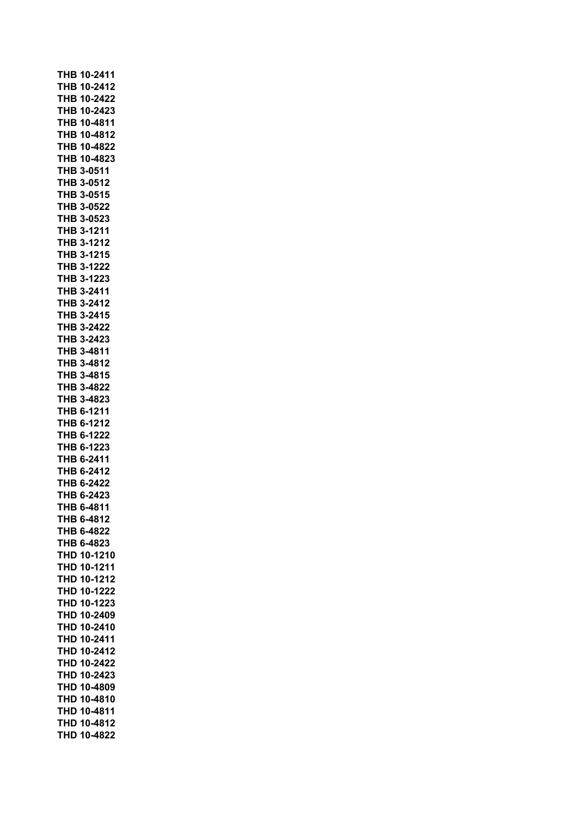| THB 10-2411           |
|-----------------------|
| THB 10-2412           |
| THB 10-2422           |
| THB 10-2423           |
| THB 10-4811           |
| THB 10-4812           |
| THB 10-4822           |
| THB 10-4823           |
| <b>THB 3-0511</b>     |
| <b>THB 3-0512</b>     |
| <b>THB 3-0515</b>     |
| <b>THB 3-0522</b>     |
| THB 3-0523            |
| THB 3-1211            |
| THB 3-1212            |
| THB 3-1215            |
| THB 3-1222            |
| THB 3-1223            |
| THB 3-2411            |
| THB 3-2412            |
| THB 3-2415            |
| THB 3-2422            |
| THB 3-2423            |
| THB 3-4811            |
| THB 3-4812            |
| THB 3-4815            |
| THB 3-4822            |
| THB 3-4823            |
| <b>THB 6-1211</b>     |
| THB 6-1212            |
| <b>THB 6-1222</b>     |
| THB 6-1223            |
| THB 6-2411            |
| THB 6-2412            |
| THB 6-2422            |
| THB 6-2423            |
| THB 6-4811            |
| 6-4812<br>тнв         |
| 6-4822<br>тнв         |
| 6-4823<br>тнв         |
| 10-1210<br>THD        |
| 10-1211<br>THD        |
| 10-1212<br>THD        |
| 10-1222<br>THD        |
| 10-1223<br>THD        |
| THD<br>10-2409        |
| THD<br>10-2410        |
| <b>THD</b><br>10-2411 |
| 10-2412<br><b>THD</b> |
| 10-2422<br><b>THD</b> |
| 10-2423<br><b>THD</b> |
| 10-4809<br>THD        |
| 10-4810<br>THD        |
| 10-4811<br>THD        |
| THD<br>10-4812        |
| THD<br>10-4822        |
|                       |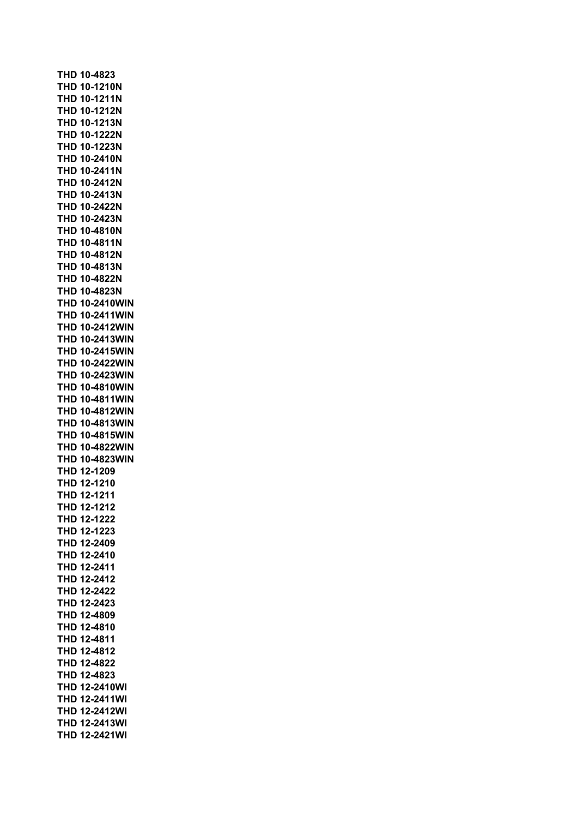**THD 10-4823 THD 10-1210N THD 10-1211N THD 10-1212N THD 10-1213N THD 10-1222N THD 10-1223N THD 10-2410N THD 10-2411N THD 10-2412N THD 10-2413N THD 10-2422N THD 10-2423N THD 10-4810N THD 10-4811N THD 10-4812N THD 10-4813N THD 10-4822N THD 10-4823N THD 10-2410WIN THD 10-2411WIN THD 10-2412WIN THD 10-2413WIN THD 10-2415WIN THD 10-2422WIN THD 10-2423WIN THD 10-4810WIN THD 10-4811WIN THD 10-4812WIN THD 10-4813WIN THD 10-4815WIN THD 10-4822WIN THD 10-4823WIN THD 12-1209 THD 12-1210 THD 12-1211 THD 12-1212 THD 12-1222 THD 12-1223 THD 12-2409 THD 12-2410 THD 12-2411 THD 12-2412 THD 12-2422 THD 12-2423 THD 12-4809 THD 12-4810 THD 12-4811 THD 12-4812 THD 12-4822 THD 12-4823 THD 12-2410WI THD 12-2411WI THD 12-2412WI THD 12-2413WI THD 12-2421WI**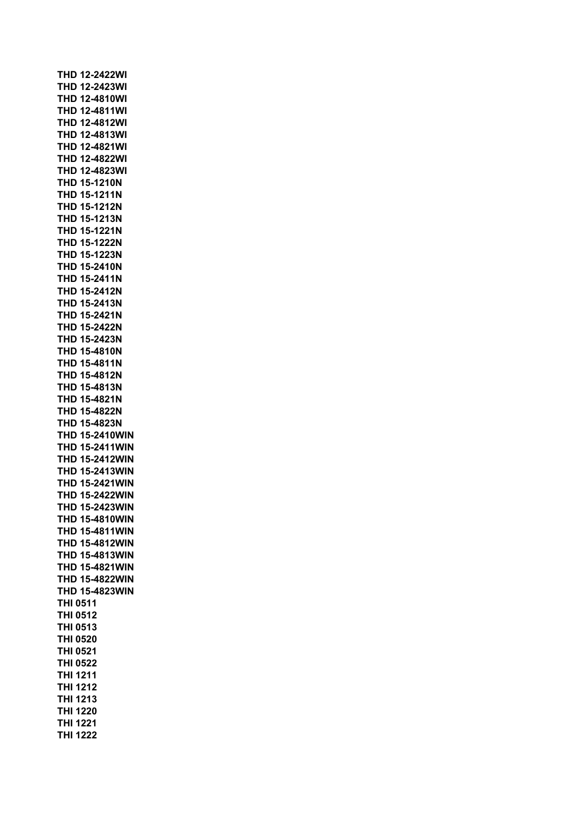|  | <b>THD 12-2422WI</b>  |           |  |  |  |  |
|--|-----------------------|-----------|--|--|--|--|
|  | THD 12-2423WI         |           |  |  |  |  |
|  | THD 12-4810WI         |           |  |  |  |  |
|  | <b>THD 12-4811WI</b>  |           |  |  |  |  |
|  | THD 12-4812WI         |           |  |  |  |  |
|  | THD                   | 12-4813WI |  |  |  |  |
|  | THD                   | 12-4821WI |  |  |  |  |
|  | <b>THD</b>            | 12-4822WI |  |  |  |  |
|  | THD                   | 12-4823WI |  |  |  |  |
|  | <b>THD 15-1210N</b>   |           |  |  |  |  |
|  | <b>THD 15-1211N</b>   |           |  |  |  |  |
|  | <b>THD 15-1212N</b>   |           |  |  |  |  |
|  | <b>THD 15-1213N</b>   |           |  |  |  |  |
|  | THD                   | 15-1221N  |  |  |  |  |
|  | THD 15-1222N          |           |  |  |  |  |
|  | THD 15-1223N          |           |  |  |  |  |
|  | <b>THD 15-2410N</b>   |           |  |  |  |  |
|  | THD 15-2411N          |           |  |  |  |  |
|  | THD 15-2412N          |           |  |  |  |  |
|  | THD 15-2413N          |           |  |  |  |  |
|  | THD 15-2421N          |           |  |  |  |  |
|  | THD 15-2422N          |           |  |  |  |  |
|  | THD 15-2423N          |           |  |  |  |  |
|  | THD 15-4810N          |           |  |  |  |  |
|  | THD 15-4811N          |           |  |  |  |  |
|  | <b>THD 15-4812N</b>   |           |  |  |  |  |
|  | THD 15-4813N          |           |  |  |  |  |
|  | THD 15-4821N          |           |  |  |  |  |
|  | <b>THD 15-4822N</b>   |           |  |  |  |  |
|  | THD 15-4823N          |           |  |  |  |  |
|  | <b>THD 15-2410WIN</b> |           |  |  |  |  |
|  | <b>THD 15-2411WIN</b> |           |  |  |  |  |
|  | <b>THD 15-2412WIN</b> |           |  |  |  |  |
|  | <b>THD 15-2413WIN</b> |           |  |  |  |  |
|  | <b>THD 15-2421WIN</b> |           |  |  |  |  |
|  | <b>THD 15-2422WIN</b> |           |  |  |  |  |
|  | THD 15-2423WIN        |           |  |  |  |  |
|  | <b>THD 15-4810WIN</b> |           |  |  |  |  |
|  | THD 15-4811WIN        |           |  |  |  |  |
|  | <b>THD 15-4812WIN</b> |           |  |  |  |  |
|  | <b>THD 15-4813WIN</b> |           |  |  |  |  |
|  | <b>THD 15-4821WIN</b> |           |  |  |  |  |
|  | <b>THD 15-4822WIN</b> |           |  |  |  |  |
|  | <b>THD 15-4823WIN</b> |           |  |  |  |  |
|  | THI 0511              |           |  |  |  |  |
|  | <b>THI 0512</b>       |           |  |  |  |  |
|  | <b>THI 0513</b>       |           |  |  |  |  |
|  | <b>THI 0520</b>       |           |  |  |  |  |
|  | <b>THI 0521</b>       |           |  |  |  |  |
|  | <b>THI 0522</b>       |           |  |  |  |  |
|  | <b>THI 1211</b>       |           |  |  |  |  |
|  | <b>THI 1212</b>       |           |  |  |  |  |
|  | <b>THI 1213</b>       |           |  |  |  |  |
|  | <b>THI 1220</b>       |           |  |  |  |  |
|  | <b>THI 1221</b>       |           |  |  |  |  |
|  | <b>THI 1222</b>       |           |  |  |  |  |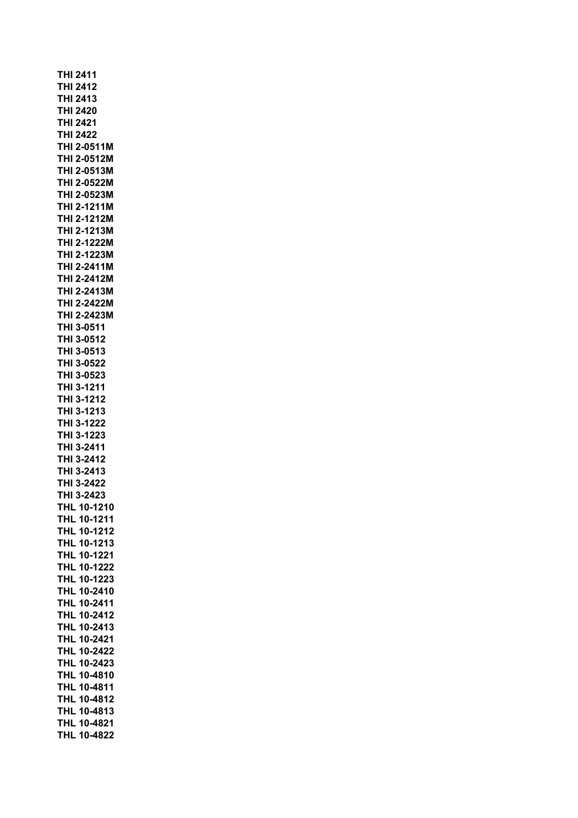| THI 2411                                |  |
|-----------------------------------------|--|
| <b>THI 2412</b>                         |  |
| <b>THI 2413</b>                         |  |
| <b>THI 2420</b>                         |  |
| <b>THI 2421</b>                         |  |
| THI 2422                                |  |
| THI 2-0511M                             |  |
| THI 2-0512M<br>THI 2-0513M              |  |
| THI 2-0522M                             |  |
| THI 2-0523M                             |  |
| THI 2-1211M                             |  |
| THI 2-1212M                             |  |
| THI 2-1213M                             |  |
| THI 2-1222M                             |  |
| THI 2-1223M                             |  |
| THI 2-2411M                             |  |
| THI 2-2412M                             |  |
| THI 2-2413M                             |  |
| THI 2-2422M                             |  |
| THI 2-2423M                             |  |
| THI 3-0511                              |  |
| THI 3-0512                              |  |
| THI 3-0513                              |  |
| THI 3-0522                              |  |
| THI 3-0523                              |  |
| THI 3-1211<br>THI 3-1212                |  |
| THI 3-1213                              |  |
| THI 3-1222                              |  |
| THI 3-1223                              |  |
| THI 3-2411                              |  |
| THI 3-2412                              |  |
| THI 3-2413                              |  |
| THI 3-2422                              |  |
| THI 3-2423                              |  |
| <b>THL 10-121</b>                       |  |
| THL 10-1211                             |  |
| <b>THL 10-1212</b>                      |  |
| 10-1213<br>THL                          |  |
| 10-1221<br>THL                          |  |
| 10-1222<br>THL                          |  |
| 10-1223<br><b>THL</b>                   |  |
| 10-2410<br>THL                          |  |
| <b>THL</b><br>10-2411                   |  |
| <b>THL</b><br>10-2412<br>10-2413<br>THL |  |
| THL 10-2421                             |  |
| THL 10-2422                             |  |
| <b>THL</b><br>10-2423                   |  |
| 10-4810<br>THL                          |  |
| 10-4811<br>THL                          |  |
| THL<br>10-4812                          |  |
| THL<br>10-4813                          |  |
| THL<br>10-4821                          |  |
| THL<br>10-4822                          |  |
|                                         |  |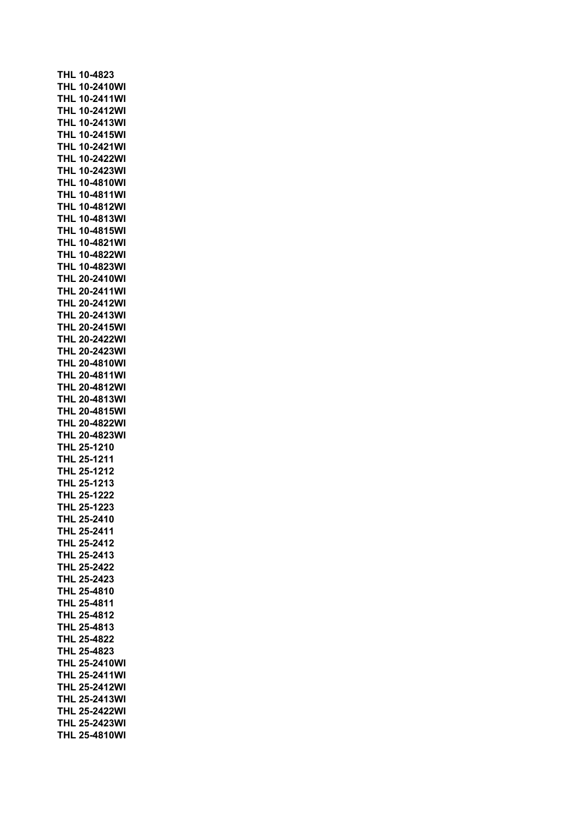|             | THL 10-4823 |                                              |
|-------------|-------------|----------------------------------------------|
|             |             | <b>THL 10-2410WI</b>                         |
|             |             | <b>THL 10-2411WI</b>                         |
|             |             | <b>THL 10-2412WI</b>                         |
|             |             | <b>THL 10-2413WI</b>                         |
| <b>THL</b>  |             | 10-2415WI                                    |
| THL         |             | 10-2421WI                                    |
|             |             | <b>THL 10-2422WI</b>                         |
|             |             | <b>THL 10-2423WI</b>                         |
|             |             | <b>THL 10-4810WI</b>                         |
|             |             | <b>THL 10-4811WI</b>                         |
|             |             | <b>THL 10-4812WI</b>                         |
|             |             | <b>THL 10-4813WI</b>                         |
|             |             | <b>THL 10-4815WI</b>                         |
|             |             | <b>THL 10-4821WI</b>                         |
|             |             | <b>THL 10-4822WI</b>                         |
|             |             | <b>THL 10-4823WI</b>                         |
|             |             | <b>THL 20-2410WI</b>                         |
|             |             | <b>THL 20-2411WI</b>                         |
|             |             | <b>THL 20-2412WI</b>                         |
|             |             | <b>THL 20-2413WI</b>                         |
|             |             | <b>THL 20-2415WI</b>                         |
|             |             | <b>THL 20-2422WI</b>                         |
|             |             | THL 20-2423WI                                |
|             |             | <b>THL 20-4810WI</b>                         |
|             |             | <b>THL 20-4811WI</b>                         |
|             |             | <b>THL 20-4812WI</b>                         |
|             |             | <b>THL 20-4813WI</b>                         |
|             |             | <b>THL 20-4815WI</b>                         |
|             |             | <b>THL 20-4822WI</b>                         |
|             |             | <b>THL 20-4823WI</b>                         |
|             | THL 25-1210 |                                              |
|             | THL 25-1211 |                                              |
|             | THL 25-1212 |                                              |
|             | THL 25-1213 |                                              |
|             | THL 25-1222 |                                              |
|             | THL 25-1223 |                                              |
|             | THL 25-2410 |                                              |
|             | THL 25-2411 |                                              |
|             | THL 25-2412 |                                              |
|             | THL 25-2413 |                                              |
| THL 25-2422 |             |                                              |
|             |             |                                              |
|             |             |                                              |
|             | THL 25-2423 |                                              |
|             | THL 25-4810 |                                              |
|             | THL 25-4811 |                                              |
|             | THL 25-4812 |                                              |
|             | THL 25-4813 |                                              |
|             | THL 25-4822 |                                              |
|             | THL 25-4823 |                                              |
|             |             | <b>THL 25-2410WI</b>                         |
|             |             | <b>THL 25-2411WI</b>                         |
|             |             | <b>THL 25-2412WI</b>                         |
|             |             | <b>THL 25-2413WI</b>                         |
|             |             | THL 25-2422WI                                |
|             |             | <b>THL 25-2423WI</b><br><b>THL 25-4810WI</b> |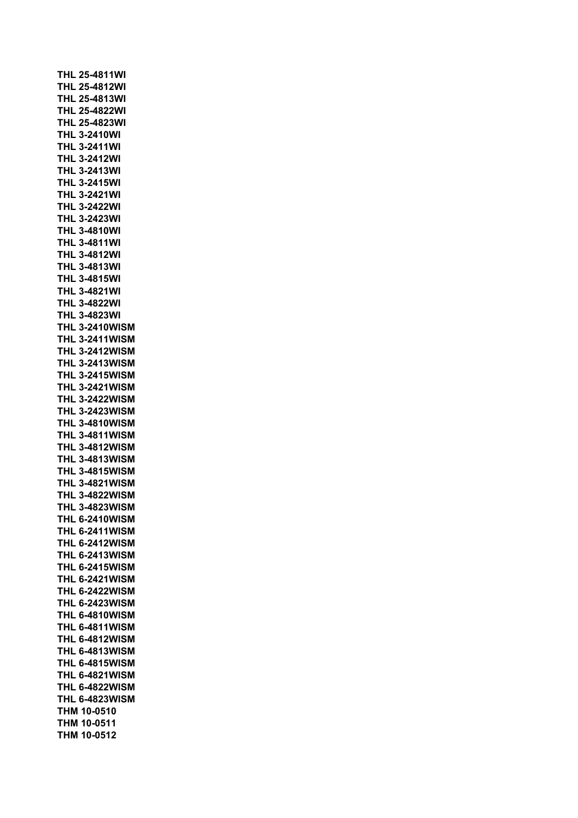| <b>THL 25-4811WI</b>  |  |  |          |  |  |
|-----------------------|--|--|----------|--|--|
| <b>THL 25-4812WI</b>  |  |  |          |  |  |
| <b>THL 25-4813WI</b>  |  |  |          |  |  |
| <b>THL 25-4822WI</b>  |  |  |          |  |  |
| <b>THL 25-4823WI</b>  |  |  |          |  |  |
| <b>THL 3-2410WI</b>   |  |  |          |  |  |
| <b>THL 3-2411WI</b>   |  |  |          |  |  |
| THL                   |  |  | 3-2412WI |  |  |
| <b>THL 3-2413WI</b>   |  |  |          |  |  |
| <b>THL 3-2415WI</b>   |  |  |          |  |  |
| <b>THL 3-2421WI</b>   |  |  |          |  |  |
| <b>THL 3-2422WI</b>   |  |  |          |  |  |
| THL 3-2423WI          |  |  |          |  |  |
| <b>THL 3-4810WI</b>   |  |  |          |  |  |
| <b>THL 3-4811WI</b>   |  |  |          |  |  |
| <b>THL 3-4812WI</b>   |  |  |          |  |  |
| <b>THL 3-4813WI</b>   |  |  |          |  |  |
| <b>THL 3-4815WI</b>   |  |  |          |  |  |
| <b>THL 3-4821WI</b>   |  |  |          |  |  |
| <b>THL 3-4822WI</b>   |  |  |          |  |  |
| <b>THL 3-4823WI</b>   |  |  |          |  |  |
| <b>THL 3-2410WISM</b> |  |  |          |  |  |
| <b>THL 3-2411WISM</b> |  |  |          |  |  |
| <b>THL 3-2412WISM</b> |  |  |          |  |  |
| <b>THL 3-2413WISM</b> |  |  |          |  |  |
| <b>THL 3-2415WISM</b> |  |  |          |  |  |
| <b>THL 3-2421WISM</b> |  |  |          |  |  |
| <b>THL 3-2422WISM</b> |  |  |          |  |  |
| <b>THL 3-2423WISM</b> |  |  |          |  |  |
| <b>THL 3-4810WISM</b> |  |  |          |  |  |
| <b>THL 3-4811WISM</b> |  |  |          |  |  |
| <b>THL 3-4812WISM</b> |  |  |          |  |  |
| <b>THL 3-4813WISM</b> |  |  |          |  |  |
| <b>THL 3-4815WISM</b> |  |  |          |  |  |
| <b>THL 3-4821WISM</b> |  |  |          |  |  |
| <b>THL 3-4822WISM</b> |  |  |          |  |  |
| <b>THL 3-4823WISM</b> |  |  |          |  |  |
| <b>THL 6-2410WISM</b> |  |  |          |  |  |
|                       |  |  |          |  |  |
| <b>THL 6-2412WISM</b> |  |  |          |  |  |
| <b>THL 6-2413WISM</b> |  |  |          |  |  |
| <b>THL 6-2415WISM</b> |  |  |          |  |  |
| <b>THL 6-2421WISM</b> |  |  |          |  |  |
| <b>THL 6-2422WISM</b> |  |  |          |  |  |
| <b>THL 6-2423WISM</b> |  |  |          |  |  |
| <b>THL 6-4810WISM</b> |  |  |          |  |  |
| <b>THL 6-4811WISM</b> |  |  |          |  |  |
| <b>THL 6-4812WISM</b> |  |  |          |  |  |
| <b>THL 6-4813WISM</b> |  |  |          |  |  |
| <b>THL 6-4815WISM</b> |  |  |          |  |  |
| <b>THL 6-4821WISM</b> |  |  |          |  |  |
| <b>THL 6-4822WISM</b> |  |  |          |  |  |
| <b>THL 6-4823WISM</b> |  |  |          |  |  |
| <b>THM 10-0510</b>    |  |  |          |  |  |
| THM 10-0511           |  |  |          |  |  |
| THM 10-0512           |  |  |          |  |  |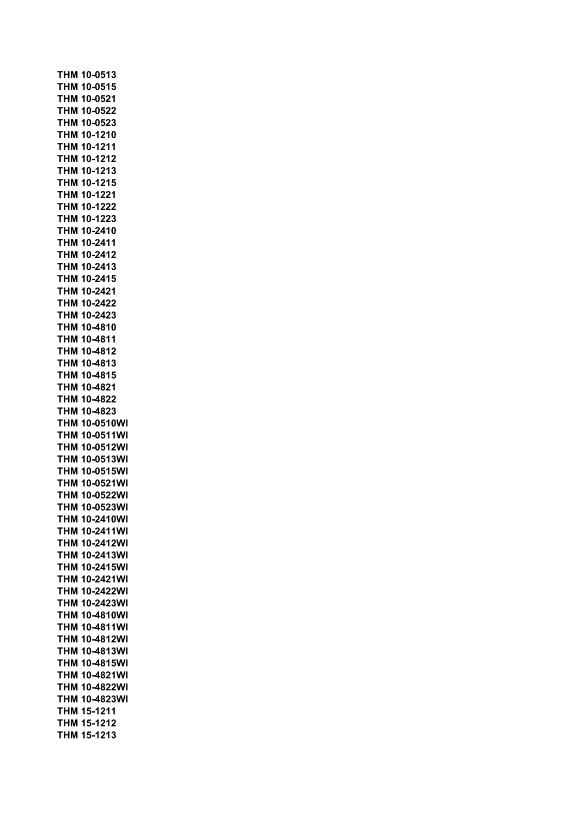|            | THM 10-0513          |
|------------|----------------------|
|            | THM 10-0515          |
|            | THM 10-0521          |
|            | THM 10-0522          |
| THM        | 10-0523              |
| THM        | 10-1210              |
| THM        | 10-1211              |
| THM        | 10-1212              |
| THM        | 10-1213              |
| THM        | 10-1215              |
|            | THM 10-1221          |
|            | THM 10-1222          |
|            | THM 10-1223          |
|            | <b>THM 10-2410</b>   |
| <b>THM</b> | 10-2411              |
| <b>THM</b> | 10-2412              |
| <b>THM</b> | 10-2413              |
|            | THM 10-2415          |
|            | THM 10-2421          |
|            | THM 10-2422          |
| THM        | 10-2423              |
| THM        | 10-4810              |
| тнм        | 10-4811              |
| THM        | 10-4812              |
| THM        | 10-4813              |
| THM        | 10-4815              |
| THM        | 10-4821              |
|            | THM 10-4822          |
|            | THM 10-4823          |
|            | <b>THM 10-0510WI</b> |
|            | <b>THM 10-0511WI</b> |
|            | <b>THM 10-0512WI</b> |
|            | <b>THM 10-0513WI</b> |
|            | <b>THM 10-0515WI</b> |
|            | THM 10-0521WI        |
|            | <b>THM 10-0522WI</b> |
|            | <b>THM 10-0523WI</b> |
| тнм        | 10-2410WI            |
| тнм        | 10-2411WI            |
| тнм        | 10-2412WI            |
| тнм        | 10-2413WI            |
| THM        | 10-2415WI            |
| THM        | 10-2421WI            |
| тнм        | 10-2422WI            |
| THM        | 10-2423WI            |
| <b>THM</b> | 10-4810WI            |
| THM        | 10-4811WI            |
| THM        | 10-4812WI            |
| <b>THM</b> | 10-4813WI            |
| <b>THM</b> | 10-4815WI            |
| THM        | 10-4821WI            |
| THM        | 10-4822WI            |
| тнм        | 10-4823WI            |
| тнм        | 15-1211              |
| THM        | 15-1212              |
| <b>THM</b> |                      |
|            | 15-1213              |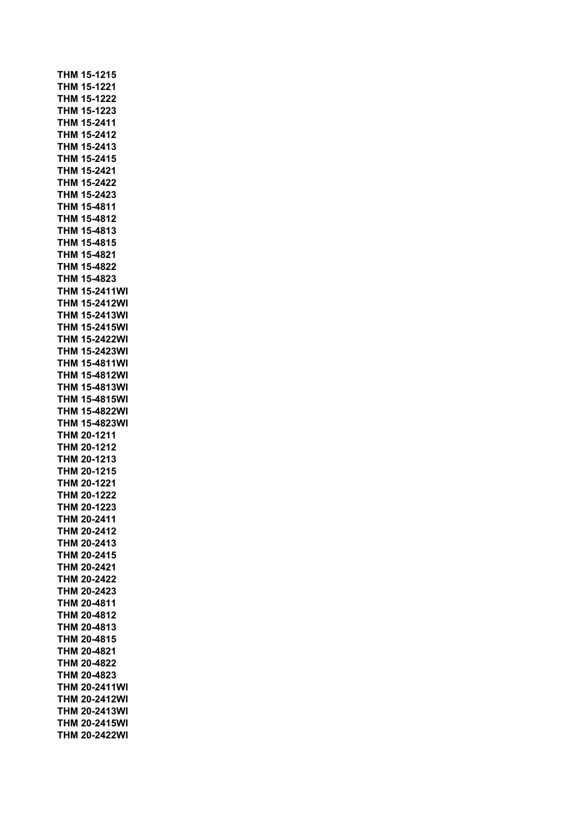| <b>THM 15-1215</b>                           |
|----------------------------------------------|
| THM 15-1221                                  |
| THM 15-1222                                  |
| THM 15-1223                                  |
| THM 15-2411                                  |
| THM 15-2412                                  |
| THM 15-2413                                  |
| THM 15-2415                                  |
| THM 15-2421                                  |
| THM 15-2422                                  |
| THM 15-2423                                  |
| THM 15-4811                                  |
| THM 15-4812                                  |
| THM 15-4813                                  |
| THM 15-4815                                  |
| THM 15-4821                                  |
| THM 15-4822                                  |
| THM 15-4823                                  |
| <b>THM 15-2411WI</b>                         |
| THM 15-2412WI<br>THM 15-2413WI               |
|                                              |
| THM 15-2415WI<br>THM 15-2422WI               |
| THM 15-2423WI                                |
| THM 15-4811WI                                |
| <b>THM 15-4812WI</b>                         |
| <b>THM 15-4813WI</b>                         |
| <b>THM 15-4815WI</b>                         |
| <b>THM 15-4822WI</b>                         |
| THM 15-4823WI                                |
| THM 20-1211                                  |
| THM 20-1212                                  |
| THM 20-1213                                  |
| THM 20-1215                                  |
| THM 20-1221                                  |
| THM 20-1222                                  |
| THM 20-1223                                  |
| THM 20-2411                                  |
| <b>THM 20-2412</b>                           |
| THM 20-2413                                  |
| THM 20-2415                                  |
| THM 20-2421                                  |
| THM 20-2422                                  |
| THM 20-2423                                  |
| THM 20-4811                                  |
| THM 20-4812                                  |
| THM 20-4813                                  |
| THM 20-4815                                  |
| THM 20-4821<br>THM 20-4822                   |
| THM 20-4823                                  |
| <b>THM 20-2411WI</b>                         |
|                                              |
|                                              |
| <b>THM 20-2412WI</b>                         |
| <b>THM 20-2413WI</b><br><b>THM 20-2415WI</b> |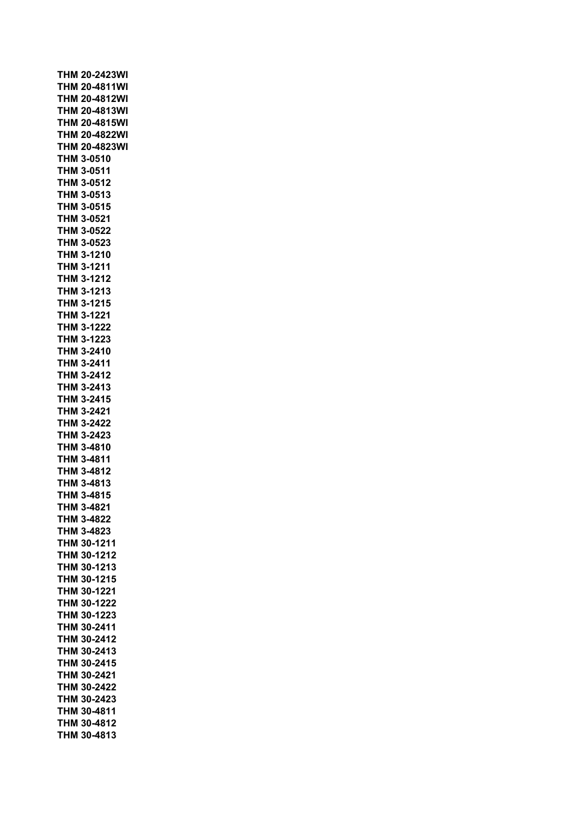|            | <b>THM 20-2423WI</b> |
|------------|----------------------|
|            | <b>THM 20-4811WI</b> |
|            |                      |
|            | <b>THM 20-4812WI</b> |
|            | <b>THM 20-4813WI</b> |
|            | <b>THM 20-4815WI</b> |
|            | <b>THM 20-4822WI</b> |
|            | <b>THM 20-4823WI</b> |
|            | <b>THM 3-0510</b>    |
|            |                      |
|            | THM 3-0511           |
|            | THM 3-0512           |
|            | THM 3-0513           |
|            | THM 3-0515           |
|            | <b>THM 3-0521</b>    |
|            | <b>THM 3-0522</b>    |
|            |                      |
|            | THM 3-0523           |
| тнм        | 3-1210               |
|            | THM 3-1211           |
|            | THM 3-1212           |
|            | THM 3-1213           |
|            |                      |
|            | THM 3-1215           |
|            | THM 3-1221           |
|            | THM 3-1222           |
|            | THM 3-1223           |
|            | <b>THM 3-2410</b>    |
|            | <b>THM 3-2411</b>    |
|            | THM 3-2412           |
|            |                      |
|            | THM 3-2413           |
|            | THM 3-2415           |
|            | THM 3-2421           |
|            | THM 3-2422           |
|            | THM 3-2423           |
|            | THM 3-4810           |
|            |                      |
| THM        | 3-4811               |
| THM        | 3-4812               |
|            | THM 3-4813           |
| <b>THM</b> | 3-4815               |
| THM        | 3-4821               |
|            | THM 3-4822           |
|            |                      |
|            | THM 3-4823           |
|            | THM 30-1211          |
|            | THM 30-1212          |
|            | THM 30-1213          |
|            | THM 30-1215          |
| <b>THM</b> | 30-1221              |
|            | 30-1222              |
| THM        |                      |
| тнм        | 30-1223              |
| тнм        | 30-2411              |
| тнм        | 30-2412              |
| тнм        | 30-2413              |
| тнм        | 30-2415              |
| THM        | 30-2421              |
|            |                      |
| THM        | 30-2422              |
|            | THM 30-2423          |
|            | THM 30-4811          |
|            | THM 30-4812          |
|            | THM 30-4813          |
|            |                      |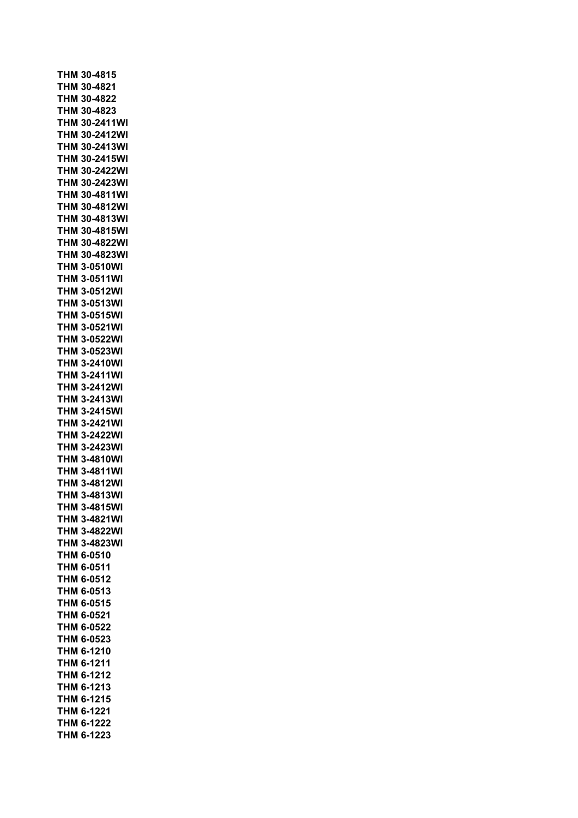|            | THM 30-4815         |
|------------|---------------------|
|            | THM 30-4821         |
|            | THM 30-4822         |
| THM        | 30-4823             |
| <b>THM</b> | 30-2411WI           |
| тнм        | 30-2412WI           |
| тнм        | 30-2413WI           |
| тнм        | 30-2415WI           |
| тнм        | 30-2422WI           |
| тнм        | 30-2423WI           |
| <b>THM</b> | 30-4811WI           |
| тнм        | 30-4812WI           |
| <b>THM</b> | 30-4813WI           |
| THM        | 30-4815WI           |
| THM        | 30-4822WI           |
| THM        | 30-4823WI           |
| <b>THM</b> | 3-0510WI            |
| тнм        | 3-0511WI            |
| ТНМ        | 3-0512WI            |
| тнм        | 3-0513WI            |
| <b>THM</b> | 3-0515WI            |
| THM        | 3-0521WI            |
| THM        | 3-0522WI            |
| тнм        | 3-0523WI            |
| тнм        | 3-2410WI            |
| тнм        | 3-2411WI            |
| тнм        | 3-2412WI            |
| тнм        | 3-2413WI            |
| тнм        | 3-2415WI            |
| THM        | 3-2421WI            |
| THM        | 3-2422WI            |
| THM        | 3-2423WI            |
| <b>THM</b> | 3-4810WI            |
|            | <b>THM 3-4811WI</b> |
|            | <b>THM 3-4812WI</b> |
|            | <b>THM 3-4813WI</b> |
| <b>THM</b> | 3-4815WI            |
|            | <b>THM 3-4821WI</b> |
|            | <b>THM 3-4822WI</b> |
| тнм        | 3-4823WI            |
|            | THM 6-0510          |
| THM        | 6-0511              |
| THM        | 6-0512              |
| <b>THM</b> | 6-0513              |
| <b>THM</b> | 6-0515              |
| THM        | 6-0521              |
|            | THM 6-0522          |
|            | THM 6-0523          |
|            | THM 6-1210          |
|            | THM 6-1211          |
|            | THM 6-1212          |
|            | THM 6-1213          |
|            | THM 6-1215          |
|            | THM 6-1221          |
|            | THM 6-1222          |
|            | THM 6-1223          |
|            |                     |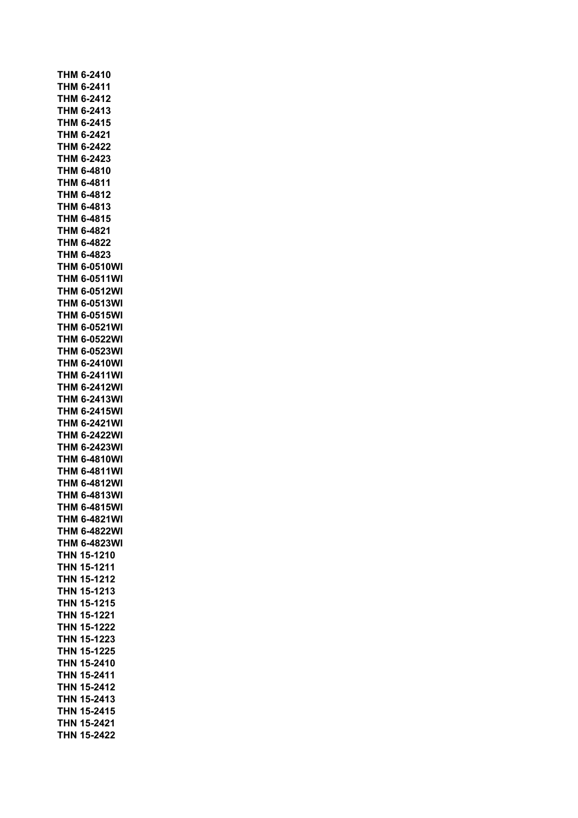|            | THM 6-2410          |
|------------|---------------------|
|            | THM 6-2411          |
|            | THM 6-2412          |
|            | THM 6-2413          |
|            | THM 6-2415          |
|            | THM 6-2421          |
| THM        | 6-2422              |
| THM        | 6-2423              |
| THM        | 6-4810              |
| тнм        | 6-4811              |
| THM        | 6-4812              |
|            | THM 6-4813          |
|            | THM 6-4815          |
|            | THM 6-4821          |
|            | THM 6-4822          |
|            | THM 6-4823          |
|            | <b>THM 6-0510WI</b> |
|            | <b>THM 6-0511WI</b> |
|            | <b>THM 6-0512WI</b> |
|            | <b>THM 6-0513WI</b> |
|            | <b>THM 6-0515WI</b> |
|            | <b>THM 6-0521WI</b> |
|            | <b>THM 6-0522WI</b> |
|            | <b>THM 6-0523WI</b> |
| THM        | 6-2410WI            |
| THM        | 6-2411WI            |
| THM        | 6-2412WI            |
|            | <b>THM 6-2413WI</b> |
|            | <b>THM 6-2415WI</b> |
|            | <b>THM 6-2421WI</b> |
|            | <b>THM 6-2422WI</b> |
|            | <b>THM 6-2423WI</b> |
|            | <b>THM 6-4810WI</b> |
|            | <b>THM 6-4811WI</b> |
|            | <b>THM 6-4812WI</b> |
|            | <b>THM 6-4813WI</b> |
| T          | <b>HM 6-4815WI</b>  |
|            | <b>THM 6-4821WI</b> |
| тнм        | 6-4822WI            |
| тнм        | 6-4823WI            |
| THN        | 15-1210             |
| THN        | 15-1211             |
| <b>THN</b> | 15-1212             |
| THN        | 15-1213             |
| THN        | 15-1215             |
| THN        | 15-1221             |
| THN        | 15-1222             |
| THN        | 15-1223             |
| THN        | 15-1225             |
| <b>THN</b> | 15-2410             |
| THN        | 15-2411             |
| THN        | 15-2412             |
| THN        | 15-2413             |
| THN        | 15-2415             |
| THN        | 15-2421             |
| <b>THN</b> | 15-2422             |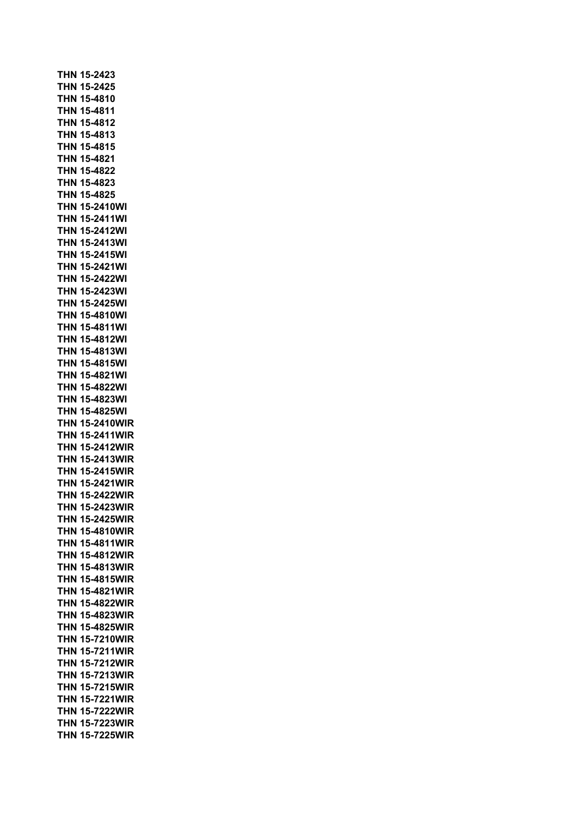**THN 15-2423 THN 15-2425 THN 15-4810 THN 15-4811 THN 15-4812 THN 15-4813 THN 15-4815 THN 15-4821 THN 15-4822 THN 15-4823 THN 15-4825 THN 15-2410WI THN 15-2411WI THN 15-2412WI THN 15-2413WI THN 15-2415WI THN 15-2421WI THN 15-2422WI THN 15-2423WI THN 15-2425WI THN 15-4810WI THN 15-4811WI THN 15-4812WI THN 15-4813WI THN 15-4815WI THN 15-4821WI THN 15-4822WI THN 15-4823WI THN 15-4825WI THN 15-2410WIR THN 15-2411WIR THN 15-2412WIR THN 15-2413WIR THN 15-2415WIR THN 15-2421WIR THN 15-2422WIR THN 15-2423WIR THN 15-2425WIR THN 15-4810WIR THN 15-4811WIR THN 15-4812WIR THN 15-4813WIR THN 15-4815WIR THN 15-4821WIR THN 15-4822WIR THN 15-4823WIR THN 15-4825WIR THN 15-7210WIR THN 15-7211WIR THN 15-7212WIR THN 15-7213WIR THN 15-7215WIR THN 15-7221WIR THN 15-7222WIR THN 15-7223WIR THN 15-7225WIR**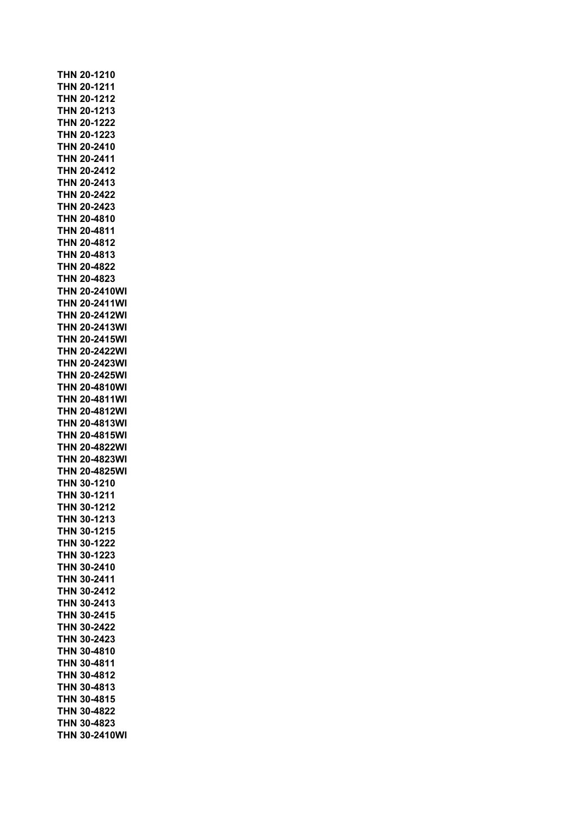**THN 20-1210 THN 20-1211 THN 20-1212 THN 20-1213 THN 20-1222 THN 20-1223 THN 20-2410 THN 20-2411 THN 20-2412 THN 20-2413 THN 20-2422 THN 20-2423 THN 20-4810 THN 20-4811 THN 20-4812 THN 20-4813 THN 20-4822 THN 20-4823 THN 20-2410WI THN 20-2411WI THN 20-2412WI THN 20-2413WI THN 20-2415WI THN 20-2422WI THN 20-2423WI THN 20-2425WI THN 20-4810WI THN 20-4811WI THN 20-4812WI THN 20-4813WI THN 20-4815WI THN 20-4822WI THN 20-4823WI THN 20-4825WI THN 30-1210 THN 30-1211 THN 30-1212 THN 30-1213 THN 30-1215 THN 30-1222 THN 30-1223 THN 30-2410 THN 30-2411 THN 30-2412 THN 30-2413 THN 30-2415 THN 30-2422 THN 30-2423 THN 30-4810 THN 30-4811 THN 30-4812 THN 30-4813 THN 30-4815 THN 30-4822 THN 30-4823 THN 30-2410WI**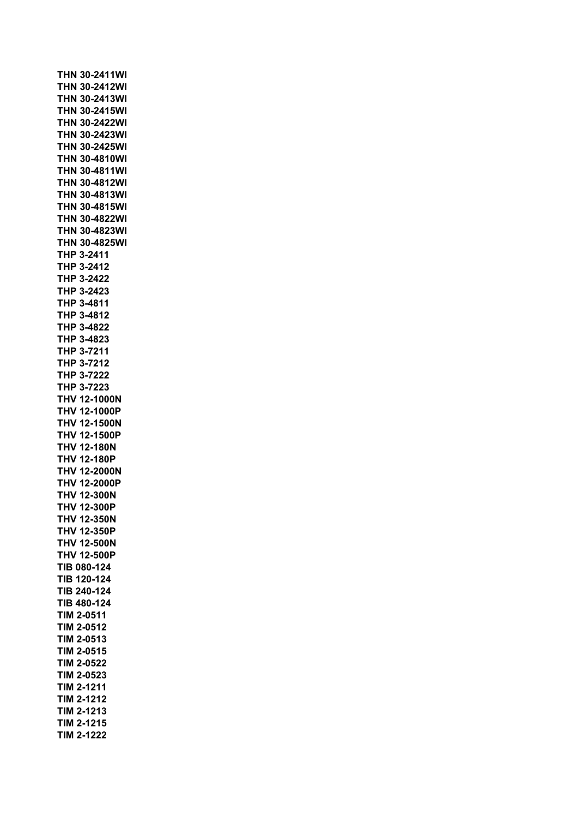**THN 30-2411WI THN 30-2412WI THN 30-2413WI THN 30-2415WI THN 30-2422WI THN 30-2423WI THN 30-2425WI THN 30-4810WI THN 30-4811WI THN 30-4812WI THN 30-4813WI THN 30-4815WI THN 30-4822WI THN 30-4823WI THN 30-4825WI THP 3-2411 THP 3-2412 THP 3-2422 THP 3-2423 THP 3-4811 THP 3-4812 THP 3-4822 THP 3-4823 THP 3-7211 THP 3-7212 THP 3-7222 THP 3-7223 THV 12-1000N THV 12-1000P THV 12-1500N THV 12-1500P THV 12-180N THV 12-180P THV 12-2000N THV 12-2000P THV 12-300N THV 12-300P THV 12-350N THV 12-350P THV 12-500N THV 12-500P TIB 080-124 TIB 120-124 TIB 240-124 TIB 480-124 TIM 2-0511 TIM 2-0512 TIM 2-0513 TIM 2-0515 TIM 2-0522 TIM 2-0523 TIM 2-1211 TIM 2-1212 TIM 2-1213 TIM 2-1215 TIM 2-1222**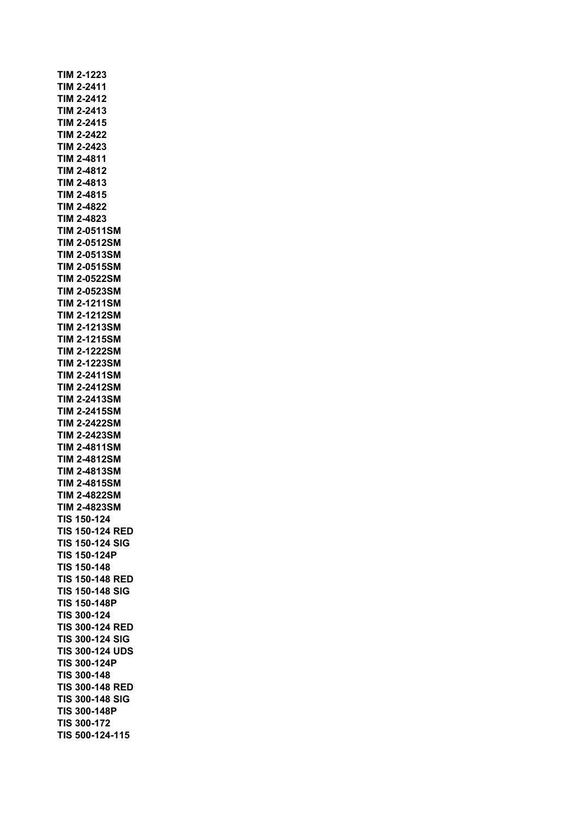**TIM 2-1223 TIM 2-2411 TIM 2-2412 TIM 2-2413 TIM 2-2415 TIM 2-2422 TIM 2-2423 TIM 2-4811 TIM 2-4812 TIM 2-4813 TIM 2-4815 TIM 2-4822 TIM 2-4823 TIM 2-0511SM TIM 2-0512SM TIM 2-0513SM TIM 2-0515SM TIM 2-0522SM TIM 2-0523SM TIM 2-1211SM TIM 2-1212SM TIM 2-1213SM TIM 2-1215SM TIM 2-1222SM TIM 2-1223SM TIM 2-2411SM TIM 2-2412SM TIM 2-2413SM TIM 2-2415SM TIM 2-2422SM TIM 2-2423SM TIM 2-4811SM TIM 2-4812SM TIM 2-4813SM TIM 2-4815SM TIM 2-4822SM TIM 2-4823SM TIS 150-124 TIS 150-124 RED TIS 150-124 SIG TIS 150-124P TIS 150-148 TIS 150-148 RED TIS 150-148 SIG TIS 150-148P TIS 300-124 TIS 300-124 RED TIS 300-124 SIG TIS 300-124 UDS TIS 300-124P TIS 300-148 TIS 300-148 RED TIS 300-148 SIG TIS 300-148P TIS 300-172 TIS 500-124-115**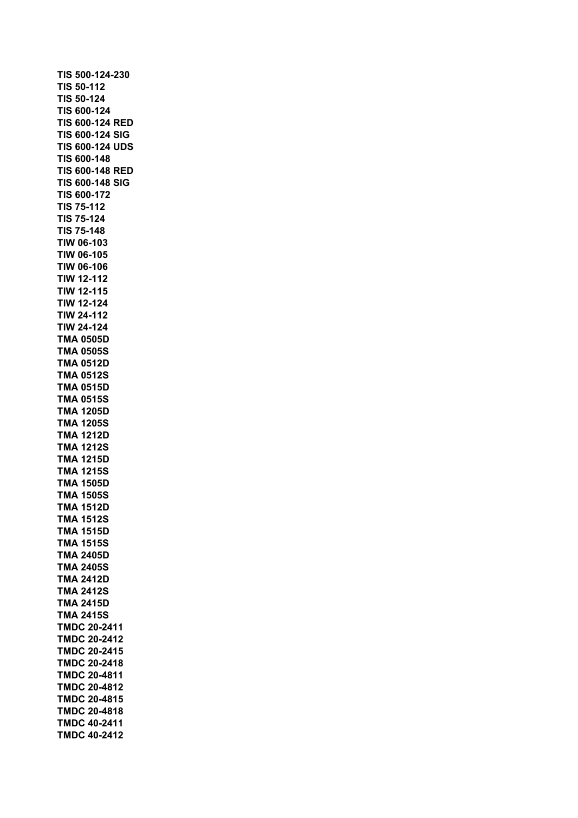**TIS 500-124-230 TIS 50-112 TIS 50-124 TIS 600-124 TIS 600-124 RED TIS 600-124 SIG TIS 600-124 UDS TIS 600-148 TIS 600-148 RED TIS 600-148 SIG TIS 600-172 TIS 75-112 TIS 75-124 TIS 75-148 TIW 06-103 TIW 06-105 TIW 06-106 TIW 12-112 TIW 12-115 TIW 12-124 TIW 24-112 TIW 24-124 TMA 0505D TMA 0505S TMA 0512D TMA 0512S TMA 0515D TMA 0515S TMA 1205D TMA 1205S TMA 1212D TMA 1212S TMA 1215D TMA 1215S TMA 1505D TMA 1505S TMA 1512D TMA 1512S TMA 1515D TMA 1515S TMA 2405D TMA 2405S TMA 2412D TMA 2412S TMA 2415D TMA 2415S TMDC 20-2411 TMDC 20-2412 TMDC 20-2415 TMDC 20-2418 TMDC 20-4811 TMDC 20-4812 TMDC 20-4815 TMDC 20-4818 TMDC 40-2411 TMDC 40-2412**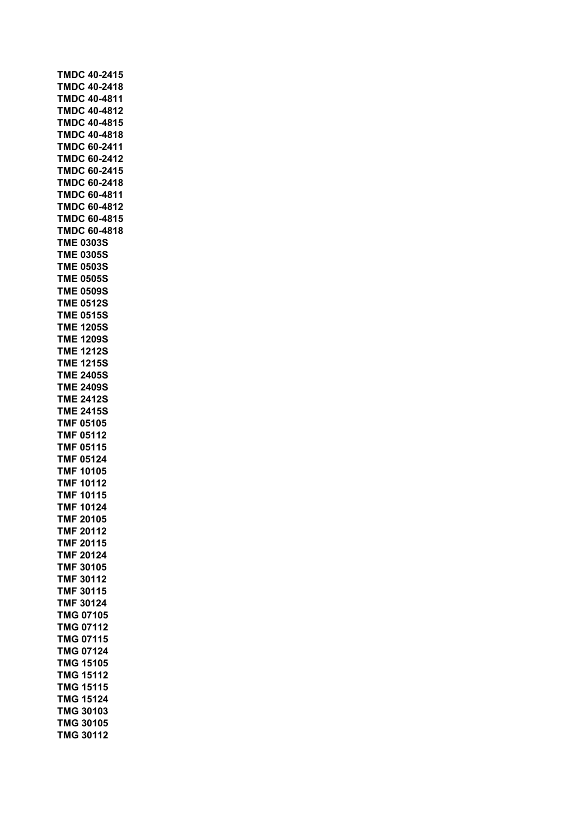| <b>TMDC 40-2415</b> |       |  |
|---------------------|-------|--|
| <b>TMDC 40-2418</b> |       |  |
| <b>TMDC 40-4811</b> |       |  |
| <b>TMDC 40-4812</b> |       |  |
| TMDC 40-4815        |       |  |
| <b>TMDC 40-4818</b> |       |  |
| <b>TMDC 60-2411</b> |       |  |
| <b>TMDC 60-2412</b> |       |  |
| <b>TMDC 60-2415</b> |       |  |
| <b>TMDC 60-2418</b> |       |  |
| <b>TMDC 60-4811</b> |       |  |
| <b>TMDC 60-4812</b> |       |  |
| <b>TMDC 60-4815</b> |       |  |
| TMDC 60-4818        |       |  |
| <b>TME 0303S</b>    |       |  |
| <b>TME 0305S</b>    |       |  |
| <b>TME 0503S</b>    |       |  |
| <b>TME 0505S</b>    |       |  |
| <b>TME 0509S</b>    |       |  |
| <b>TME 0512S</b>    |       |  |
| <b>TME 0515S</b>    |       |  |
| TME 1205S           |       |  |
| TME 1209S           |       |  |
| TME 1212S           |       |  |
| <b>TME 1215S</b>    |       |  |
| <b>TME 2405S</b>    |       |  |
| <b>TME 2409S</b>    |       |  |
| <b>TME 2412S</b>    |       |  |
| <b>TME 2415S</b>    |       |  |
| <b>TMF 05105</b>    |       |  |
| <b>TMF 05112</b>    |       |  |
| <b>TMF 05115</b>    |       |  |
| <b>TMF 05124</b>    |       |  |
| <b>TMF 10105</b>    |       |  |
| <b>TMF 10112</b>    |       |  |
| <b>TMF 10115</b>    |       |  |
| <b>TMF</b>          | 10124 |  |
| TMF                 | 20105 |  |
| TMF                 | 20112 |  |
| <b>TMF</b>          | 20115 |  |
| <b>TMF</b>          | 20124 |  |
| TMF 30105           |       |  |
| <b>TMF</b>          | 30112 |  |
| TMF                 | 30115 |  |
| TMF                 | 30124 |  |
| <b>TMG 07105</b>    |       |  |
| <b>TMG 07112</b>    |       |  |
| <b>TMG 07115</b>    |       |  |
| <b>TMG 07124</b>    |       |  |
| <b>TMG 15105</b>    |       |  |
| <b>TMG 15112</b>    |       |  |
| <b>TMG 15115</b>    |       |  |
| <b>TMG</b>          | 15124 |  |
| TMG                 | 30103 |  |
| TMG                 | 30105 |  |
| TMG                 | 30112 |  |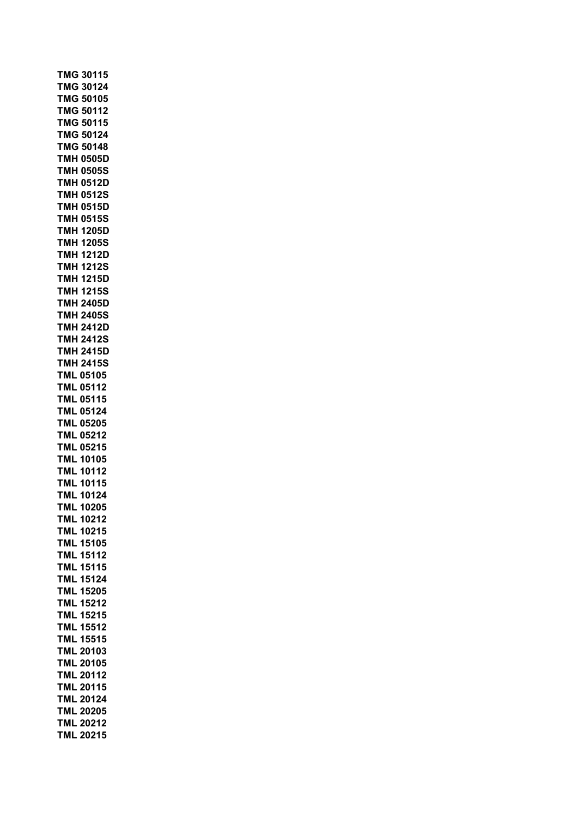| TMG 30115                  |
|----------------------------|
| <b>TMG 30124</b>           |
| <b>TMG 50105</b>           |
| <b>TMG 50112</b>           |
| <b>TMG 50115</b>           |
| 50124<br><b>TMG</b>        |
| <b>TMG</b><br>50148        |
| TMH<br>0505D               |
| TMH<br>0505S               |
| 0512D<br>TMH               |
| 0512S<br>тмн               |
| 0515D<br><b>TMH</b>        |
| 0515S<br>TMH               |
| <b>TMH 1205D</b>           |
| 1205S<br>TMH               |
| 1212D<br><b>TMH</b>        |
| <b>TMH</b><br><b>1212S</b> |
| 1215D<br><b>TMH</b>        |
| <b>TMH 1215S</b>           |
| <b>TMH</b><br>2405D        |
| <b>TMH</b><br>2405S        |
| TMH<br>2412D               |
| <b>TMH 2412S</b>           |
| <b>TMH 2415D</b>           |
| <b>TMH 2415S</b>           |
| 05105<br><b>TML</b>        |
| 05112<br><b>TML</b>        |
| 05115<br><b>TML</b>        |
| 05124<br>TML               |
| <b>TML</b><br>05205        |
| <b>TML 05212</b>           |
| <b>TML 05215</b>           |
| <b>TML 10105</b>           |
| <b>TML 10112</b>           |
| <b>TML 10115</b>           |
| <b>TML 10124</b>           |
| <b>TML 10205</b>           |
| <b>TML</b><br>10212        |
| TML<br>10215               |
| <b>TML</b><br>15105        |
| <b>TML</b><br>15112        |
| 15115<br>TML               |
| 15124<br><b>TML</b>        |
| 15205<br><b>TML</b>        |
| 15212<br><b>TML</b>        |
| 15215<br>TML               |
| 15512<br>TML               |
| <b>TML</b><br>15515        |
| TML<br>20103               |
| <b>TML</b><br>20105        |
| <b>TML</b><br>20112        |
| <b>TML</b><br>20115        |
| <b>TML</b><br>20124        |
| <b>TML</b><br>20205        |
| <b>TML</b><br>20212        |
| <b>TML</b><br>20215        |
|                            |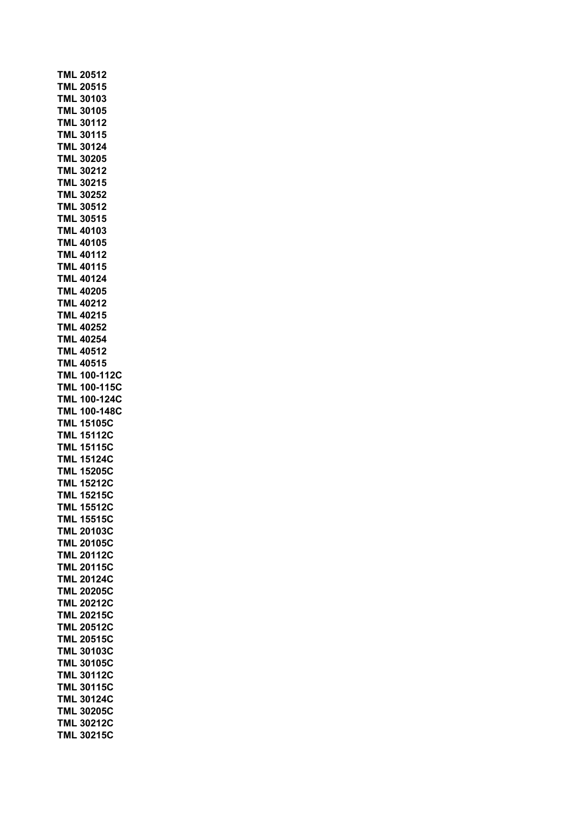| <b>TML 20512</b>                       |
|----------------------------------------|
| <b>TML 20515</b>                       |
| <b>TML 30103</b>                       |
| <b>TML 30105</b>                       |
| <b>TML 30112</b>                       |
| <b>TML 30115</b>                       |
| TML 30124                              |
| <b>TML 30205</b>                       |
| <b>TML 30212</b>                       |
| <b>TML 30215</b>                       |
|                                        |
| <b>TML 30252</b>                       |
| <b>TML 30512</b>                       |
| <b>TML 30515</b>                       |
| <b>TML 40103</b>                       |
| <b>TML 40105</b>                       |
| <b>TML 40112</b>                       |
| <b>TML 40115</b>                       |
| <b>TML 40124</b>                       |
| <b>TML 40205</b>                       |
| <b>TML 40212</b>                       |
| <b>TML 40215</b>                       |
| <b>TML 40252</b>                       |
| <b>TML 40254</b>                       |
| <b>TML 40512</b>                       |
| <b>TML 40515</b>                       |
| <b>TML 100-112C</b>                    |
| <b>TML 100-115C</b>                    |
|                                        |
|                                        |
| <b>TML 100-124C</b>                    |
| <b>TML 100-148C</b>                    |
| <b>TML 15105C</b>                      |
| <b>TML 15112C</b>                      |
| <b>TML 15115C</b>                      |
| <b>TML 15124C</b>                      |
| <b>TML 15205C</b>                      |
| <b>TML 15212C</b>                      |
| <b>TML 15215C</b>                      |
| -<br>TML 15512C                        |
|                                        |
| TML 15515C<br>TML 15515C               |
| TML 20105C                             |
| <b>TML 20112C</b>                      |
| <b>TML 20115C</b>                      |
| <b>TML 20124C</b>                      |
| <b>TML 20205C</b>                      |
| <b>TML 20212C</b>                      |
|                                        |
| <b>TML 20215C</b><br><b>TML 20512C</b> |
| <b>TML 20515C</b>                      |
|                                        |
| <b>TML 30103C</b>                      |
| <b>TML 30105C</b>                      |
| <b>TML 30112C</b>                      |
| <b>TML 30115C</b>                      |
| <b>TML 30124C</b>                      |
| <b>TML 30205C</b>                      |
| <b>TML 30212C</b><br><b>TML 30215C</b> |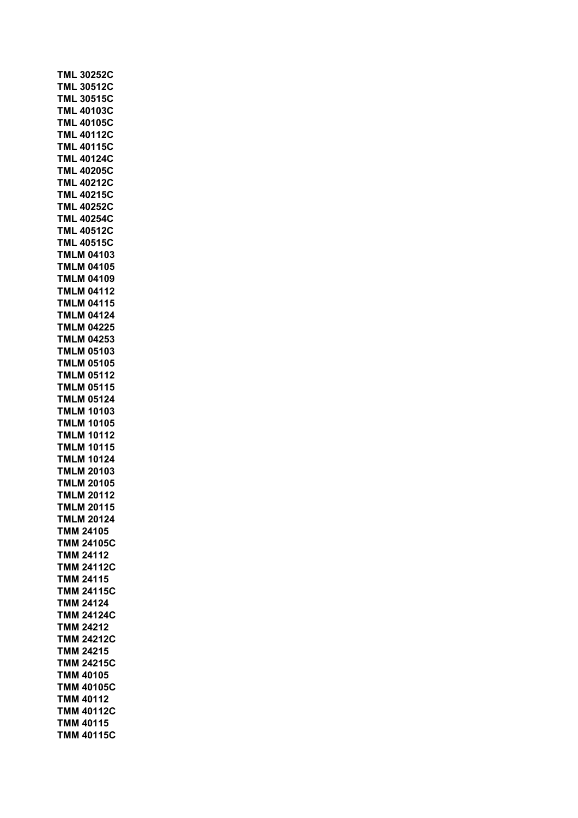| TML 30252C                             |
|----------------------------------------|
| <b>TML 30512C</b>                      |
| <b>TML 30515C</b>                      |
| <b>TML 40103C</b>                      |
| <b>TML 40105C</b>                      |
| 40112C<br><b>TML</b>                   |
| <b>TML 40115C</b>                      |
| TML<br>40124C                          |
| <b>TML 40205C</b>                      |
| <b>TML 40212C</b>                      |
| <b>TML 40215C</b>                      |
| <b>TML 40252C</b>                      |
| <b>TML 40254C</b>                      |
| <b>TML 40512C</b>                      |
| <b>TML 40515C</b>                      |
| <b>TMLM 04103</b>                      |
| <b>TMLM 04105</b>                      |
| <b>TMLM 04109</b>                      |
| <b>TMLM 04112</b>                      |
| <b>TMLM 04115</b>                      |
| <b>TMLM 04124</b>                      |
| <b>TMLM 04225</b>                      |
| <b>TMLM 04253</b>                      |
| TMLM<br>05103                          |
| TMLM<br>05105                          |
| TMLM<br>05112                          |
| 05115                                  |
| TMLM<br>05124<br><b>TMLM</b>           |
| 10103                                  |
| TMLM                                   |
| <b>TMLM</b><br>10105                   |
| TMLM<br>10112                          |
| <b>TMLM</b><br>10115                   |
| <b>TMLM 10124</b><br><b>TMLM 20103</b> |
|                                        |
| <b>TMLM 20105</b>                      |
| <b>TMLM</b><br>20112                   |
| <b>MLM</b><br>20115<br>T               |
| <b>TMLM 20124</b>                      |
| TMM 24105                              |
| TMM<br>24105C                          |
| <b>TMM</b><br>24112                    |
| 24112C<br>TMM                          |
| 24115<br>TMM                           |
| 24115C<br>TMM                          |
| 24124<br><b>TMM</b>                    |
| <b>TMM</b><br>24124C                   |
| TMM<br>24212                           |
| <b>TMM 24212C</b>                      |
| <b>TMM 24215</b>                       |
| <b>TMM 24215C</b>                      |
| <b>TMM 40105</b>                       |
| <b>TMM 40105C</b>                      |
| <b>TMM 40112</b>                       |
| <b>TMM 40112C</b>                      |
| TMM 40115                              |
| <b>TMM 40115C</b>                      |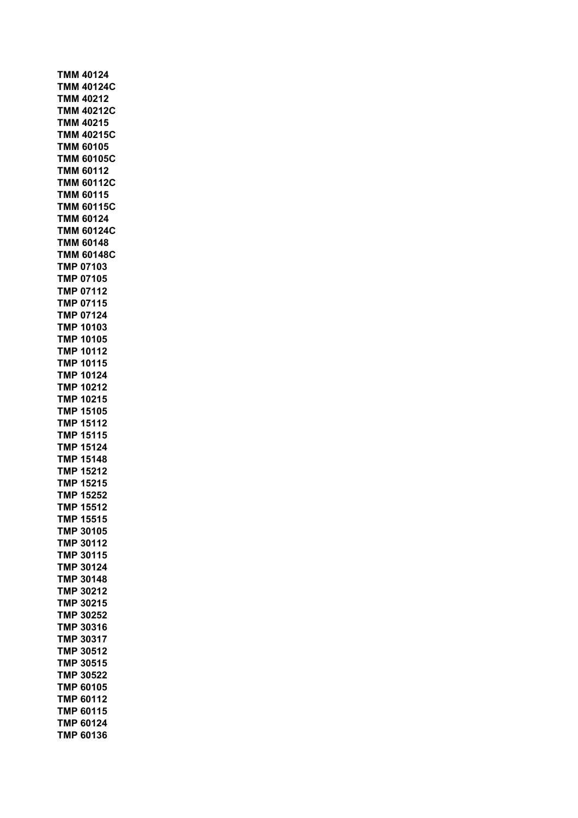**TMM 40124 TMM 40124C TMM 40212 TMM 40212C TMM 40215 TMM 40215C TMM 60105 TMM 60105C TMM 60112 TMM 60112C TMM 60115 TMM 60115C TMM 60124 TMM 60124C TMM 60148 TMM 60148C TMP 07103 TMP 07105 TMP 07112 TMP 07115 TMP 07124 TMP 10103 TMP 10105 TMP 10112 TMP 10115 TMP 10124 TMP 10212 TMP 10215 TMP 15105 TMP 15112 TMP 15115 TMP 15124 TMP 15148 TMP 15212 TMP 15215 TMP 15252 TMP 15512 TMP 15515 TMP 30105 TMP 30112 TMP 30115 TMP 30124 TMP 30148 TMP 30212 TMP 30215 TMP 30252 TMP 30316 TMP 30317 TMP 30512 TMP 30515 TMP 30522 TMP 60105 TMP 60112 TMP 60115 TMP 60124 TMP 60136**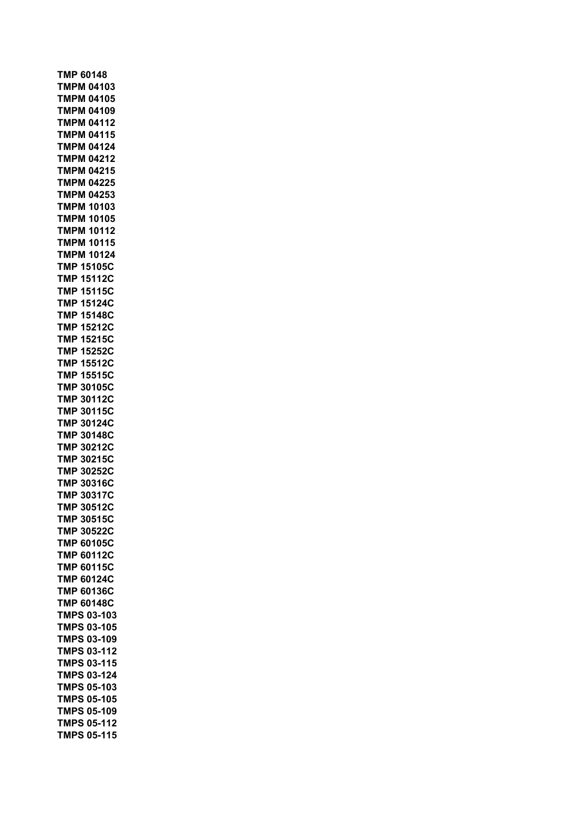**TMP 60148 TMPM 04103 TMPM 04105 TMPM 04109 TMPM 04112 TMPM 04115 TMPM 04124 TMPM 04212 TMPM 04215 TMPM 04225 TMPM 04253 TMPM 10103 TMPM 10105 TMPM 10112 TMPM 10115 TMPM 10124 TMP 15105C TMP 15112C TMP 15115C TMP 15124C TMP 15148C TMP 15212C TMP 15215C TMP 15252C TMP 15512C TMP 15515C TMP 30105C TMP 30112C TMP 30115C TMP 30124C TMP 30148C TMP 30212C TMP 30215C TMP 30252C TMP 30316C TMP 30317C TMP 30512C TMP 30515C TMP 30522C TMP 60105C TMP 60112C TMP 60115C TMP 60124C TMP 60136C TMP 60148C TMPS 03-103 TMPS 03-105 TMPS 03-109 TMPS 03-112 TMPS 03-115 TMPS 03-124 TMPS 05-103 TMPS 05-105 TMPS 05-109 TMPS 05-112 TMPS 05-115**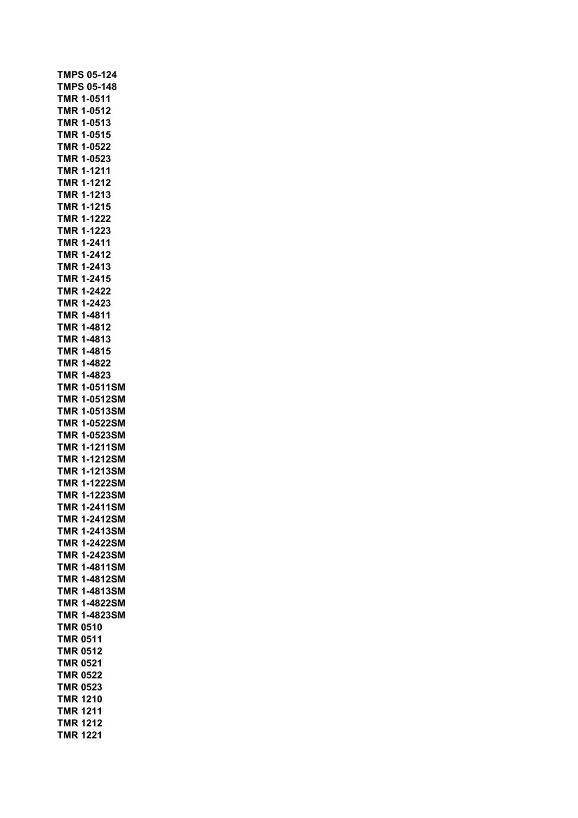|            | <b>TMPS 05-124</b>  |  |
|------------|---------------------|--|
|            | <b>TMPS 05-148</b>  |  |
|            | <b>TMR 1-0511</b>   |  |
|            | <b>TMR 1-0512</b>   |  |
|            | TMR 1-0513          |  |
|            | TMR 1-0515          |  |
| <b>TMR</b> | 1-0522              |  |
|            | TMR 1-0523          |  |
|            | <b>TMR 1-1211</b>   |  |
|            | <b>TMR 1-1212</b>   |  |
|            | <b>TMR 1-1213</b>   |  |
|            | <b>TMR 1-1215</b>   |  |
|            | <b>TMR 1-1222</b>   |  |
|            | TMR 1-1223          |  |
|            | <b>TMR 1-2411</b>   |  |
|            | <b>TMR 1-2412</b>   |  |
|            | TMR 1-2413          |  |
|            | <b>TMR 1-2415</b>   |  |
|            | <b>TMR 1-2422</b>   |  |
|            | <b>TMR 1-2423</b>   |  |
|            | TMR 1-4811          |  |
|            | TMR 1-4812          |  |
|            | TMR 1-4813          |  |
|            | TMR 1-4815          |  |
|            | <b>TMR 1-4822</b>   |  |
|            | TMR 1-4823          |  |
|            | <b>TMR 1-0511SM</b> |  |
|            | <b>TMR 1-0512SM</b> |  |
|            | <b>TMR 1-0513SM</b> |  |
|            | <b>TMR 1-0522SM</b> |  |
|            | <b>TMR 1-0523SM</b> |  |
|            | <b>TMR 1-1211SM</b> |  |
|            | <b>TMR 1-1212SM</b> |  |
|            | <b>TMR 1-1213SM</b> |  |
|            | <b>TMR 1-1222SM</b> |  |
|            | <b>TMR 1-1223SM</b> |  |
|            | <b>TMR 1-2411SM</b> |  |
|            | TMR 1-2412SM        |  |
| TMR        | 1-2413SM            |  |
| <b>TMR</b> | 1-2422SM            |  |
|            | TMR 1-2423SM        |  |
|            | <b>TMR 1-4811SM</b> |  |
|            | <b>TMR 1-4812SM</b> |  |
|            | <b>TMR 1-4813SM</b> |  |
|            | <b>TMR 1-4822SM</b> |  |
|            | <b>TMR 1-4823SM</b> |  |
|            | <b>TMR 0510</b>     |  |
|            | <b>TMR 0511</b>     |  |
|            | <b>TMR 0512</b>     |  |
|            | <b>TMR 0521</b>     |  |
|            | <b>TMR 0522</b>     |  |
|            | <b>TMR 0523</b>     |  |
|            | <b>TMR 1210</b>     |  |
|            | <b>TMR 1211</b>     |  |
|            | <b>TMR 1212</b>     |  |
|            | <b>TMR 1221</b>     |  |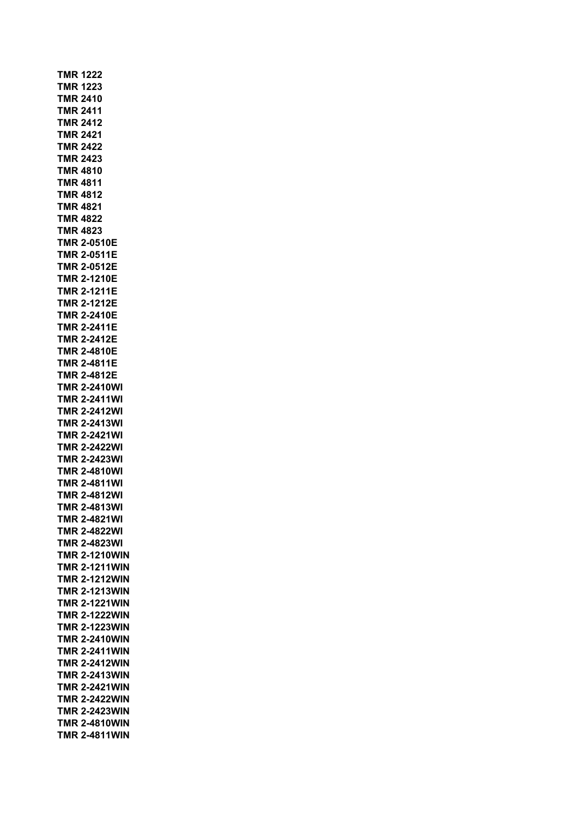**TMR 1222 TMR 1223 TMR 2410 TMR 2411 TMR 2412 TMR 2421 TMR 2422 TMR 2423 TMR 4810 TMR 4811 TMR 4812 TMR 4821 TMR 4822 TMR 4823 TMR 2-0510E TMR 2-0511E TMR 2-0512E TMR 2-1210E TMR 2-1211E TMR 2-1212E TMR 2-2410E TMR 2-2411E TMR 2-2412E TMR 2-4810E TMR 2-4811E TMR 2-4812E TMR 2-2410WI TMR 2-2411WI TMR 2-2412WI TMR 2-2413WI TMR 2-2421WI TMR 2-2422WI TMR 2-2423WI TMR 2-4810WI TMR 2-4811WI TMR 2-4812WI TMR 2-4813WI TMR 2-4821WI TMR 2-4822WI TMR 2-4823WI TMR 2-1210WIN TMR 2-1211WIN TMR 2-1212WIN TMR 2-1213WIN TMR 2-1221WIN TMR 2-1222WIN TMR 2-1223WIN TMR 2-2410WIN TMR 2-2411WIN TMR 2-2412WIN TMR 2-2413WIN TMR 2-2421WIN TMR 2-2422WIN TMR 2-2423WIN TMR 2-4810WIN TMR 2-4811WIN**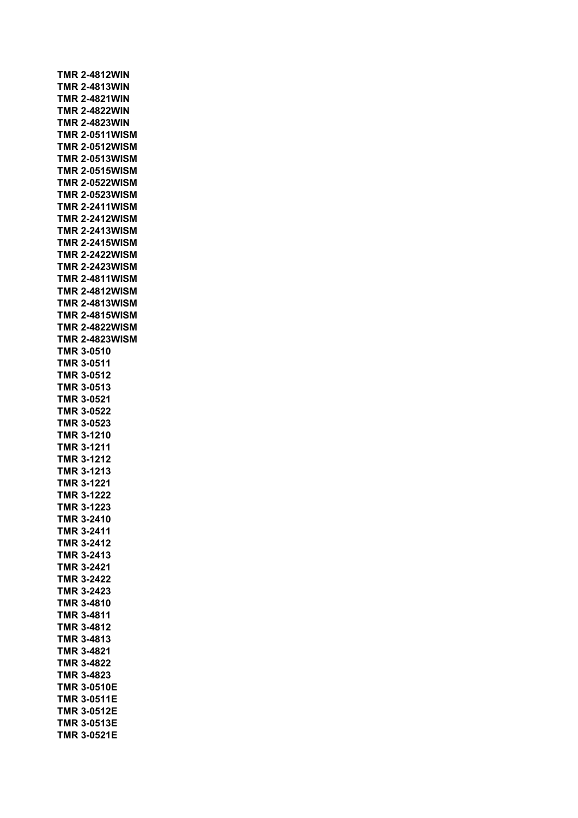|            | <b>TMR 2-4812WIN</b>  |
|------------|-----------------------|
|            | <b>TMR 2-4813WIN</b>  |
|            | <b>TMR 2-4821WIN</b>  |
|            | <b>TMR 2-4822WIN</b>  |
|            | <b>TMR 2-4823WIN</b>  |
|            | <b>TMR 2-0511WISM</b> |
|            | <b>TMR 2-0512WISM</b> |
|            | <b>TMR 2-0513WISM</b> |
|            | <b>TMR 2-0515WISM</b> |
|            | <b>TMR 2-0522WISM</b> |
|            | <b>TMR 2-0523WISM</b> |
|            | <b>TMR 2-2411WISM</b> |
|            | <b>TMR 2-2412WISM</b> |
|            | <b>TMR 2-2413WISM</b> |
|            | <b>TMR 2-2415WISM</b> |
|            | <b>TMR 2-2422WISM</b> |
|            | <b>TMR 2-2423WISM</b> |
|            | <b>TMR 2-4811WISM</b> |
|            | <b>TMR 2-4812WISM</b> |
|            | <b>TMR 2-4813WISM</b> |
|            | <b>TMR 2-4815WISM</b> |
|            | <b>TMR 2-4822WISM</b> |
|            | <b>TMR 2-4823WISM</b> |
|            | TMR 3-0510            |
|            | TMR 3-0511            |
|            | TMR 3-0512            |
|            | <b>TMR 3-0513</b>     |
|            | TMR 3-0521            |
|            | <b>TMR 3-0522</b>     |
|            | <b>TMR 3-0523</b>     |
|            | TMR 3-1210            |
|            | <b>TMR 3-1211</b>     |
|            | <b>TMR 3-1212</b>     |
|            | <b>TMR 3-1213</b>     |
|            | <b>TMR 3-1221</b>     |
|            | <b>TMR 3-1222</b>     |
| <b>TMR</b> | 3-1223                |
|            | TMR 3-2410            |
|            | TMR 3-2411            |
|            | <b>TMR 3-2412</b>     |
|            | TMR 3-2413            |
|            | TMR 3-2421            |
|            | <b>TMR 3-2422</b>     |
|            | TMR 3-2423            |
|            | TMR 3-4810            |
|            | <b>TMR 3-4811</b>     |
|            | <b>TMR 3-4812</b>     |
|            | <b>TMR 3-4813</b>     |
|            | TMR 3-4821            |
|            | <b>TMR 3-4822</b>     |
|            | TMR 3-4823            |
|            | <b>TMR 3-0510E</b>    |
|            | <b>TMR 3-0511E</b>    |
|            | <b>TMR 3-0512E</b>    |
|            | <b>TMR 3-0513E</b>    |
|            | <b>TMR 3-0521E</b>    |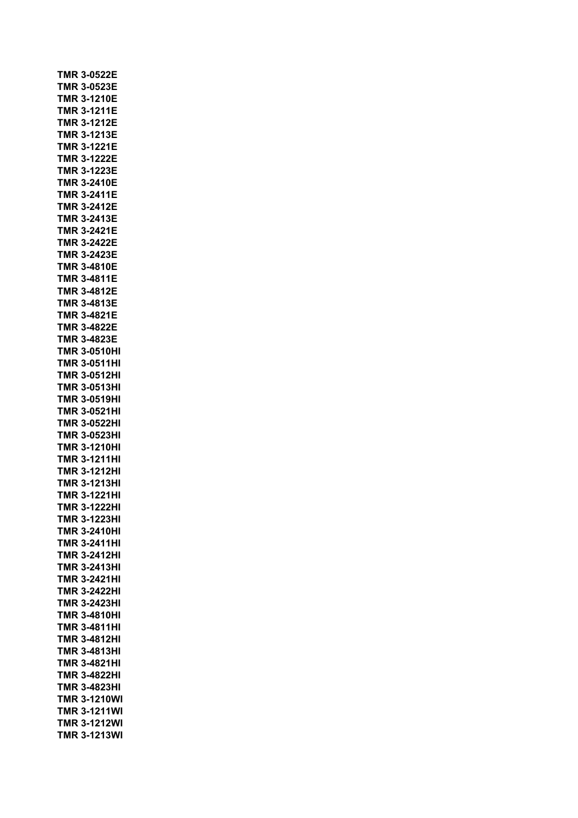|            | TMR 3-0522E         |
|------------|---------------------|
|            | <b>TMR 3-0523E</b>  |
|            | <b>TMR 3-1210E</b>  |
| <b>TMR</b> | 3-1211E             |
| TMR        | 3-1212E             |
| TMR        | 3-1213E             |
| TMR        | 3-1221E             |
| TMR        | 3-1222E             |
| TMR        | 3-1223E             |
| TMR        | 3-2410E             |
|            | TMR 3-2411E         |
| TMR        | 3-2412E             |
| TMR.       | 3-2413E             |
|            |                     |
|            | TMR 3-2421E         |
|            | <b>TMR 3-2422E</b>  |
| TMR        | 3-2423E             |
| TMR        | 3-4810E             |
| TMR        | 3-4811E             |
|            | TMR 3-4812E         |
|            | TMR 3-4813E         |
|            | <b>TMR 3-4821E</b>  |
|            | TMR 3-4822E         |
|            | TMR 3-4823E         |
| TMR        | 3-0510HI            |
|            | TMR 3-0511HI        |
|            | TMR 3-0512HI        |
|            | <b>TMR 3-0513HI</b> |
|            | <b>TMR 3-0519HI</b> |
|            | <b>TMR 3-0521HI</b> |
|            | <b>TMR 3-0522HI</b> |
|            | <b>TMR 3-0523HI</b> |
|            | <b>TMR 3-1210HI</b> |
|            | <b>TMR 3-1211HI</b> |
|            | <b>TMR 3-1212HI</b> |
|            |                     |
|            | <b>TMR 3-1213HI</b> |
|            | <b>TMR 3-1221HI</b> |
| MR<br>T    | 3-1222HI            |
|            | <b>TMR 3-1223HI</b> |
|            | <b>TMR 3-2410HI</b> |
|            | TMR 3-2411HI        |
|            | <b>TMR 3-2412HI</b> |
|            | <b>TMR 3-2413HI</b> |
|            | <b>TMR 3-2421HI</b> |
|            | <b>TMR 3-2422HI</b> |
|            | <b>TMR 3-2423HI</b> |
|            | <b>TMR 3-4810HI</b> |
|            | <b>TMR 3-4811HI</b> |
|            | <b>TMR 3-4812HI</b> |
|            | <b>TMR 3-4813HI</b> |
|            | <b>TMR 3-4821HI</b> |
|            | <b>TMR 3-4822HI</b> |
|            | <b>TMR 3-4823HI</b> |
|            | <b>TMR 3-1210WI</b> |
|            | <b>TMR 3-1211WI</b> |
|            | <b>TMR 3-1212WI</b> |
|            | TMR 3-1213WI        |
|            |                     |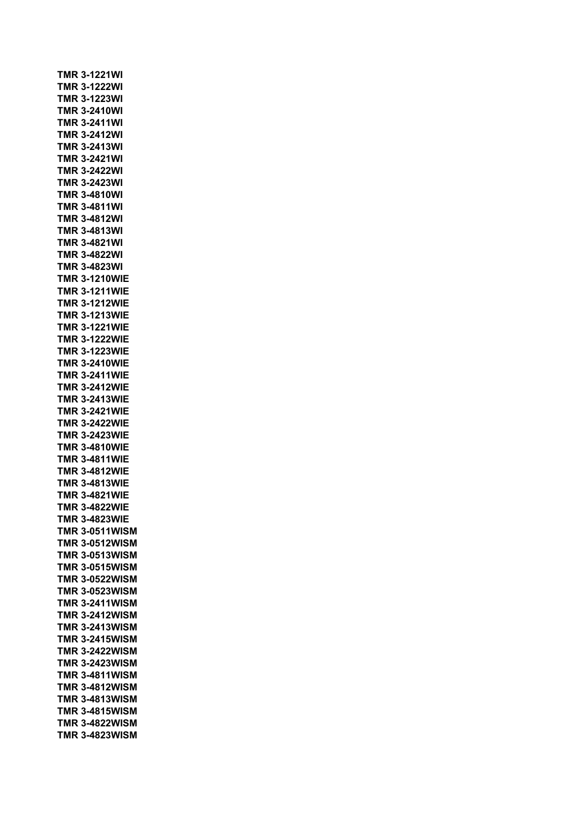|  |            | <b>TMR 3-1221WI</b>   |           |  |  |  |
|--|------------|-----------------------|-----------|--|--|--|
|  |            | <b>TMR 3-1222WI</b>   |           |  |  |  |
|  |            | <b>TMR 3-1223WI</b>   |           |  |  |  |
|  |            | <b>TMR 3-2410WI</b>   |           |  |  |  |
|  |            | <b>TMR 3-2411WI</b>   |           |  |  |  |
|  |            | TMR 3-2412WI          |           |  |  |  |
|  |            | <b>TMR 3-2413WI</b>   |           |  |  |  |
|  |            | TMR 3-2421WI          |           |  |  |  |
|  |            | <b>TMR 3-2422WI</b>   |           |  |  |  |
|  |            | <b>TMR 3-2423WI</b>   |           |  |  |  |
|  |            | <b>TMR 3-4810WI</b>   |           |  |  |  |
|  |            | <b>TMR 3-4811WI</b>   |           |  |  |  |
|  |            | <b>TMR 3-4812WI</b>   |           |  |  |  |
|  |            | <b>TMR 3-4813WI</b>   |           |  |  |  |
|  |            | <b>TMR 3-4821WI</b>   |           |  |  |  |
|  |            | <b>TMR 3-4822WI</b>   |           |  |  |  |
|  |            | <b>TMR 3-4823WI</b>   |           |  |  |  |
|  |            | <b>TMR 3-1210WIE</b>  |           |  |  |  |
|  |            | <b>TMR 3-1211WIE</b>  |           |  |  |  |
|  |            | <b>TMR 3-1212WIE</b>  |           |  |  |  |
|  |            | <b>TMR 3-1213WIE</b>  |           |  |  |  |
|  |            | <b>TMR 3-1221WIE</b>  |           |  |  |  |
|  |            | <b>TMR 3-1222WIE</b>  |           |  |  |  |
|  |            | <b>TMR 3-1223WIE</b>  |           |  |  |  |
|  |            | <b>TMR 3-2410WIE</b>  |           |  |  |  |
|  |            | <b>TMR 3-2411WIE</b>  |           |  |  |  |
|  |            | <b>TMR 3-2412WIE</b>  |           |  |  |  |
|  |            | <b>TMR 3-2413WIE</b>  |           |  |  |  |
|  |            | <b>TMR 3-2421WIE</b>  |           |  |  |  |
|  |            | <b>TMR 3-2422WIE</b>  |           |  |  |  |
|  |            | <b>TMR 3-2423WIE</b>  |           |  |  |  |
|  |            | <b>TMR 3-4810WIE</b>  |           |  |  |  |
|  |            | <b>TMR 3-4811WIE</b>  |           |  |  |  |
|  |            | <b>TMR 3-4812WIE</b>  |           |  |  |  |
|  |            | <b>TMR 3-4813WIE</b>  |           |  |  |  |
|  |            | <b>TMR 3-4821WIE</b>  |           |  |  |  |
|  | <b>TMR</b> |                       | 3-4822WIE |  |  |  |
|  |            | <b>TMR 3-4823WIE</b>  |           |  |  |  |
|  |            | <b>TMR 3-0511WISM</b> |           |  |  |  |
|  |            | <b>TMR 3-0512WISM</b> |           |  |  |  |
|  |            | <b>TMR 3-0513WISM</b> |           |  |  |  |
|  |            | <b>TMR 3-0515WISM</b> |           |  |  |  |
|  |            | <b>TMR 3-0522WISM</b> |           |  |  |  |
|  |            | <b>TMR 3-0523WISM</b> |           |  |  |  |
|  |            | <b>TMR 3-2411WISM</b> |           |  |  |  |
|  |            | <b>TMR 3-2412WISM</b> |           |  |  |  |
|  |            | <b>TMR 3-2413WISM</b> |           |  |  |  |
|  |            | <b>TMR 3-2415WISM</b> |           |  |  |  |
|  |            | <b>TMR 3-2422WISM</b> |           |  |  |  |
|  |            | <b>TMR 3-2423WISM</b> |           |  |  |  |
|  |            | <b>TMR 3-4811WISM</b> |           |  |  |  |
|  |            | <b>TMR 3-4812WISM</b> |           |  |  |  |
|  |            | <b>TMR 3-4813WISM</b> |           |  |  |  |
|  |            | <b>TMR 3-4815WISM</b> |           |  |  |  |
|  |            | <b>TMR 3-4822WISM</b> |           |  |  |  |
|  |            | <b>TMR 3-4823WISM</b> |           |  |  |  |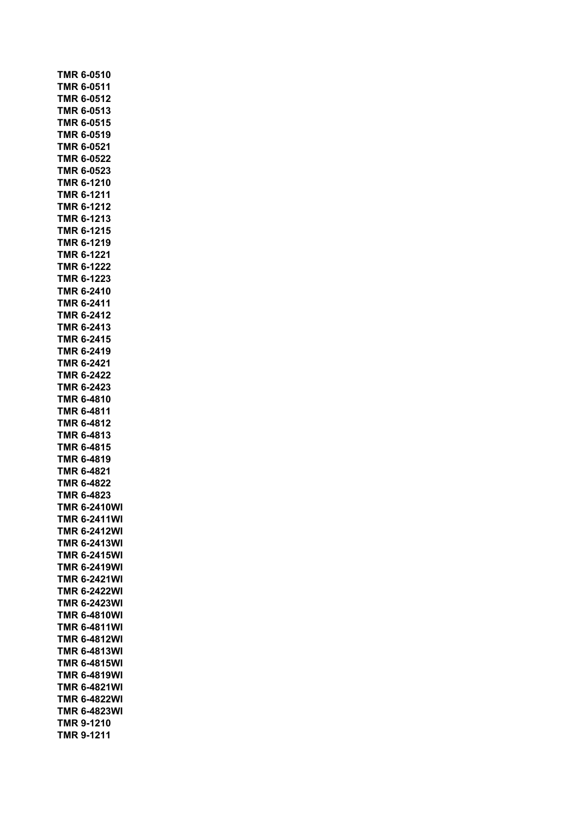|            | TMR 6-0510              |
|------------|-------------------------|
|            | <b>TMR 6-0511</b>       |
|            | <b>TMR 6-0512</b>       |
|            | TMR 6-0513              |
|            | TMR 6-0515              |
|            | TMR 6-0519              |
| TMR        | 6-0521                  |
|            | TMR 6-0522              |
|            | TMR 6-0523              |
|            | TMR 6-1210              |
|            | TMR 6-1211              |
|            | TMR 6-1212              |
|            | TMR 6-1213              |
|            | TMR 6-1215              |
|            | TMR 6-1219              |
|            | <b>TMR 6-1221</b>       |
|            | <b>TMR 6-1222</b>       |
|            | <b>TMR 6-1223</b>       |
|            | <b>TMR 6-2410</b>       |
|            | TMR 6-2411              |
|            | TMR 6-2412              |
|            | TMR 6-2413              |
|            | TMR 6-2415              |
|            | TMR 6-2419              |
|            | TMR 6-2421              |
|            | TMR 6-2422              |
|            | TMR 6-2423              |
|            | TMR 6-4810              |
|            | TMR 6-4811              |
|            | TMR 6-4812              |
|            | TMR 6-4813              |
|            | TMR 6-4815              |
|            | TMR 6-4819              |
|            | TMR 6-4821              |
|            | <b>TMR 6-4822</b>       |
|            | TMR 6-4823              |
|            | <b>TMR 6-2410V</b><br>Л |
| TMR        | 6-2411WI                |
| TMR        | 6-2412WI                |
| TMR        | 6-2413WI                |
| TMR        | 6-2415WI                |
| TMR        | 6-2419WI                |
| TMR        | 6-2421WI                |
| TMR        | 6-2422WI                |
| TMR        | 6-2423WI                |
| TMR        | 6-4810WI                |
| <b>TMR</b> | 6-4811WI                |
| <b>TMR</b> | 6-4812WI                |
| <b>TMR</b> | 6-4813WI                |
| <b>TMR</b> | 6-4815WI                |
| <b>TMR</b> | 6-4819WI                |
| TMR        | 6-4821WI                |
| TMR        | 6-4822WI                |
| TMR        | 6-4823WI                |
| TMR        | 9-1210                  |
|            | TMR 9-1211              |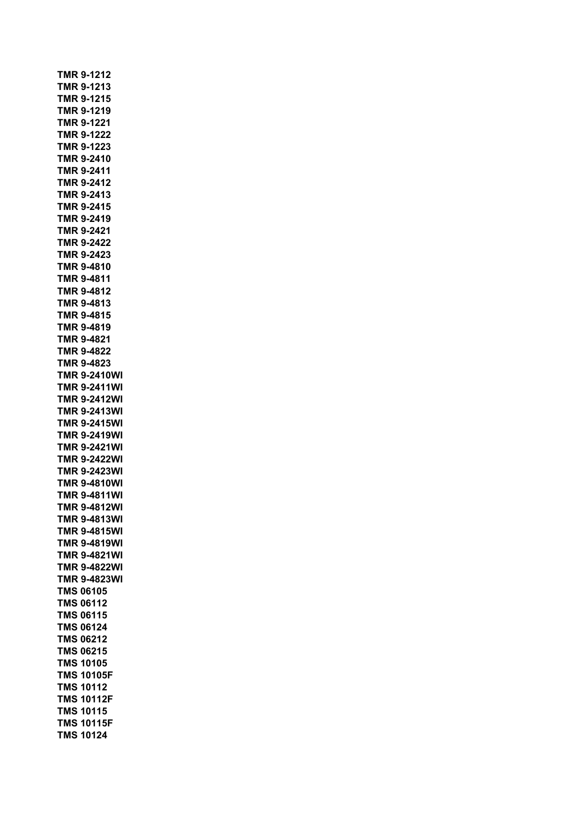|            | TMR 9-1212          |  |
|------------|---------------------|--|
|            | <b>TMR 9-1213</b>   |  |
|            | <b>TMR 9-1215</b>   |  |
|            | TMR 9-1219          |  |
|            | TMR 9-1221          |  |
|            | TMR 9-1222          |  |
|            | TMR 9-1223          |  |
|            | TMR 9-2410          |  |
|            | TMR 9-2411          |  |
|            | <b>TMR 9-2412</b>   |  |
|            | <b>TMR 9-2413</b>   |  |
|            | TMR 9-2415          |  |
|            | TMR 9-2419          |  |
|            | TMR 9-2421          |  |
|            | <b>TMR 9-2422</b>   |  |
|            | TMR 9-2423          |  |
|            | <b>TMR 9-4810</b>   |  |
|            | <b>TMR 9-4811</b>   |  |
|            | <b>TMR 9-4812</b>   |  |
|            | TMR 9-4813          |  |
|            | <b>TMR 9-4815</b>   |  |
|            | TMR 9-4819          |  |
|            | <b>TMR 9-4821</b>   |  |
|            | TMR 9-4822          |  |
|            | TMR 9-4823          |  |
|            | <b>TMR 9-2410WI</b> |  |
|            | <b>TMR 9-2411WI</b> |  |
|            | <b>TMR 9-2412WI</b> |  |
|            | <b>TMR 9-2413WI</b> |  |
|            | <b>TMR 9-2415WI</b> |  |
|            | <b>TMR 9-2419WI</b> |  |
|            | <b>TMR 9-2421WI</b> |  |
|            | <b>TMR 9-2422WI</b> |  |
|            | <b>TMR 9-2423WI</b> |  |
|            | <b>TMR 9-4810WI</b> |  |
|            | <b>TMR 9-4811WI</b> |  |
|            | TMR 9-4812WI        |  |
|            | TMR 9-4813WI        |  |
|            | <b>TMR 9-4815WI</b> |  |
| <b>TMR</b> | 9-4819WI            |  |
| <b>TMR</b> | 9-4821WI            |  |
| <b>TMR</b> | 9-4822WI            |  |
| <b>TMR</b> | 9-4823WI            |  |
| <b>TMS</b> | 06105               |  |
| TMS        | 06112               |  |
| <b>TMS</b> | 06115               |  |
| <b>TMS</b> | 06124               |  |
| <b>TMS</b> | 06212               |  |
|            | <b>TMS 06215</b>    |  |
|            | <b>TMS 10105</b>    |  |
|            | <b>TMS 10105F</b>   |  |
| <b>TMS</b> | 10112               |  |
| <b>TMS</b> | 10112F              |  |
| <b>TMS</b> | 10115               |  |
| <b>TMS</b> | 10115F              |  |
| <b>TMS</b> | 10124               |  |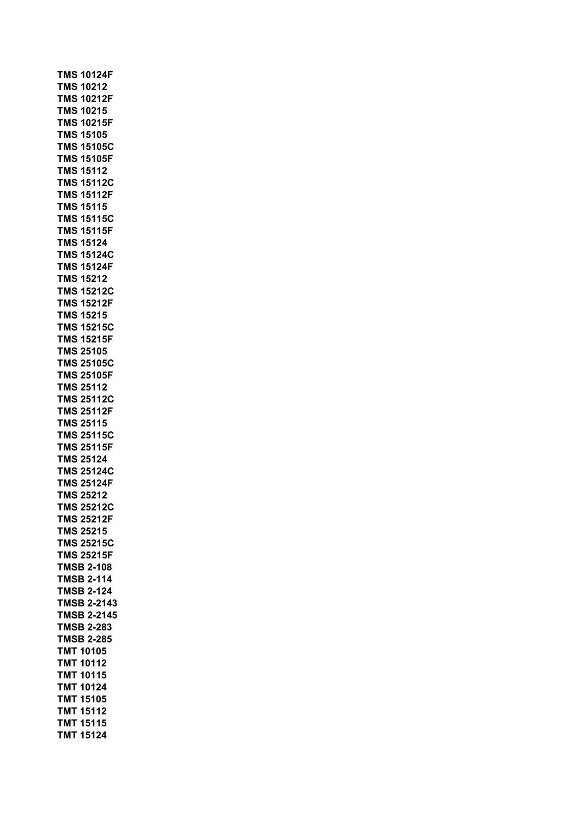**TMS 10124F TMS 10212 TMS 10212F TMS 10215 TMS 10215F TMS 15105 TMS 15105C TMS 15105F TMS 15112 TMS 15112C TMS 15112F TMS 15115 TMS 15115C TMS 15115F TMS 15124 TMS 15124C TMS 15124F TMS 15212 TMS 15212C TMS 15212F TMS 15215 TMS 15215C TMS 15215F TMS 25105 TMS 25105C TMS 25105F TMS 25112 TMS 25112C TMS 25112F TMS 25115 TMS 25115C TMS 25115F TMS 25124 TMS 25124C TMS 25124F TMS 25212 TMS 25212C TMS 25212F TMS 25215 TMS 25215C TMS 25215F TMSB 2-108 TMSB 2-114 TMSB 2-124 TMSB 2-2143 TMSB 2-2145 TMSB 2-283 TMSB 2-285 TMT 10105 TMT 10112 TMT 10115 TMT 10124 TMT 15105 TMT 15112 TMT 15115 TMT 15124**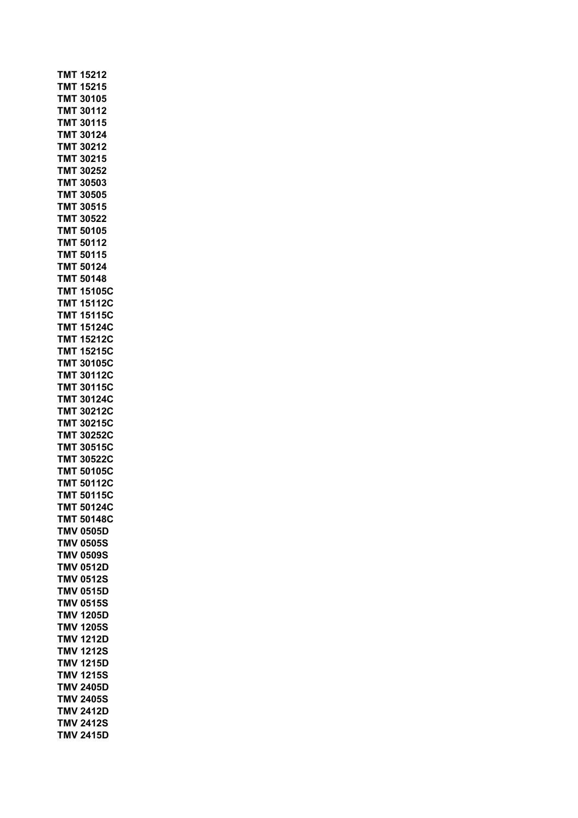| <b>TMT 15212</b>              |                                        |
|-------------------------------|----------------------------------------|
| <b>TMT 15215</b>              |                                        |
| TMT 30105                     |                                        |
| <b>TMT 30112</b>              |                                        |
| <b>TMT 30115</b>              |                                        |
| <b>TMT 30124</b>              |                                        |
| <b>TM</b><br>T                | 30212                                  |
| <b>MT</b><br>Τ                | 30215                                  |
| TMT                           | 30252                                  |
| TMT 30503                     |                                        |
| TMT 30505                     |                                        |
| TMT 30515<br><b>TMT 30522</b> |                                        |
| <b>TMT 50105</b>              |                                        |
| <b>TMT 50112</b>              |                                        |
| <b>TMT 50115</b>              |                                        |
| <b>TMT 50124</b>              |                                        |
| <b>TMT 50148</b>              |                                        |
|                               | <b>TMT 15105C</b>                      |
|                               | <b>TMT 15112C</b>                      |
|                               | <b>TMT 15115C</b>                      |
| тмт                           | 15124C                                 |
| тмт                           | 15212C                                 |
| 'MΤ<br>Т                      | 15215C                                 |
| тмт                           | 30105C                                 |
| тмт                           | 30112C                                 |
| тмт                           | 30115C                                 |
| ТМТ                           | 30124C                                 |
| TMT                           | 30212C                                 |
|                               | <b>TMT 30215C</b>                      |
|                               | <b>TMT 30252C</b><br><b>TMT 30515C</b> |
|                               | <b>TMT 30522C</b>                      |
|                               | <b>TMT 50105C</b>                      |
|                               | <b>TMT 50112C</b>                      |
|                               | <b>TMT 50115C</b>                      |
| <b>TMT</b>                    | 50124C                                 |
| <b>TMT</b>                    | 50148C                                 |
| <b>TMV</b>                    | 0505D                                  |
| <b>TMV</b>                    | 0505S                                  |
| <b>TMV</b>                    | 0509S                                  |
| TMV                           | 0512D                                  |
| <b>TMV</b>                    | 0512S                                  |
| TMV                           | 0515D                                  |
| <b>TMV</b>                    | 0515S                                  |
| TMV                           | 1205D                                  |
| TMV                           | <b>1205S</b>                           |
| TMV                           | 1212D                                  |
| TMV                           | <b>1212S</b>                           |
| TMV                           | 1215D                                  |
| TMV<br><b>TMV</b>             | <b>1215S</b>                           |
| <b>TMV</b>                    | 2405D<br>2405S                         |
| <b>TMV</b>                    | 2412D                                  |
| <b>TMV</b>                    | <b>2412S</b>                           |
| <b>TMV</b>                    | 2415D                                  |
|                               |                                        |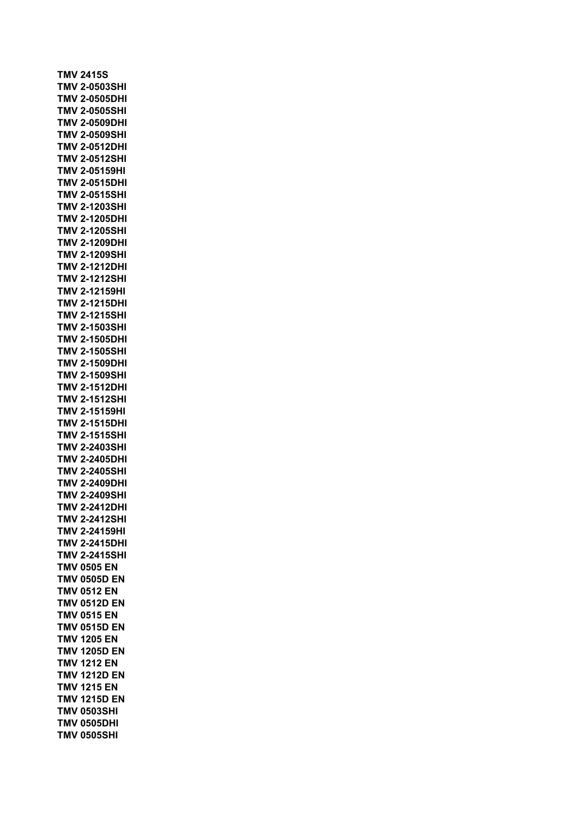**TMV 2415S TMV 2-0503SHI TMV 2-0505DHI TMV 2-0505SHI TMV 2-0509DHI TMV 2-0509SHI TMV 2-0512DHI TMV 2-0512SHI TMV 2-05159HI TMV 2-0515DHI TMV 2-0515SHI TMV 2-1203SHI TMV 2-1205DHI TMV 2-1205SHI TMV 2-1209DHI TMV 2-1209SHI TMV 2-1212DHI TMV 2-1212SHI TMV 2-12159HI TMV 2-1215DHI TMV 2-1215SHI TMV 2-1503SHI TMV 2-1505DHI TMV 2-1505SHI TMV 2-1509DHI TMV 2-1509SHI TMV 2-1512DHI TMV 2-1512SHI TMV 2-15159HI TMV 2-1515DHI TMV 2-1515SHI TMV 2-2403SHI TMV 2-2405DHI TMV 2-2405SHI TMV 2-2409DHI TMV 2-2409SHI TMV 2-2412DHI TMV 2-2412SHI TMV 2-24159HI TMV 2-2415DHI TMV 2-2415SHI TMV 0505 EN TMV 0505D EN TMV 0512 EN TMV 0512D EN TMV 0515 EN TMV 0515D EN TMV 1205 EN TMV 1205D EN TMV 1212 EN TMV 1212D EN TMV 1215 EN TMV 1215D EN TMV 0503SHI TMV 0505DHI TMV 0505SHI**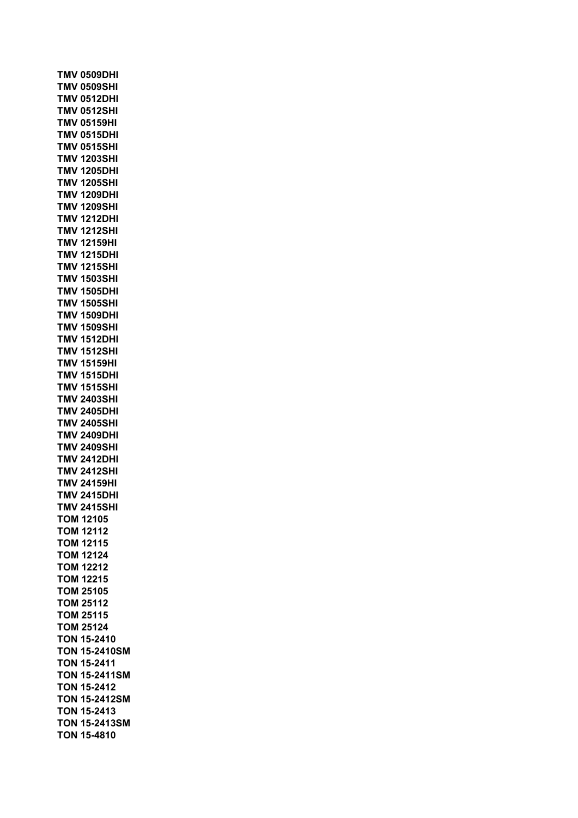**TMV 0509DHI TMV 0509SHI TMV 0512DHI TMV 0512SHI TMV 05159HI TMV 0515DHI TMV 0515SHI TMV 1203SHI TMV 1205DHI TMV 1205SHI TMV 1209DHI TMV 1209SHI TMV 1212DHI TMV 1212SHI TMV 12159HI TMV 1215DHI TMV 1215SHI TMV 1503SHI TMV 1505DHI TMV 1505SHI TMV 1509DHI TMV 1509SHI TMV 1512DHI TMV 1512SHI TMV 15159HI TMV 1515DHI TMV 1515SHI TMV 2403SHI TMV 2405DHI TMV 2405SHI TMV 2409DHI TMV 2409SHI TMV 2412DHI TMV 2412SHI TMV 24159HI TMV 2415DHI TMV 2415SHI TOM 12105 TOM 12112 TOM 12115 TOM 12124 TOM 12212 TOM 12215 TOM 25105 TOM 25112 TOM 25115 TOM 25124 TON 15-2410 TON 15-2410SM TON 15-2411 TON 15-2411SM TON 15-2412 TON 15-2412SM TON 15-2413 TON 15-2413SM TON 15-4810**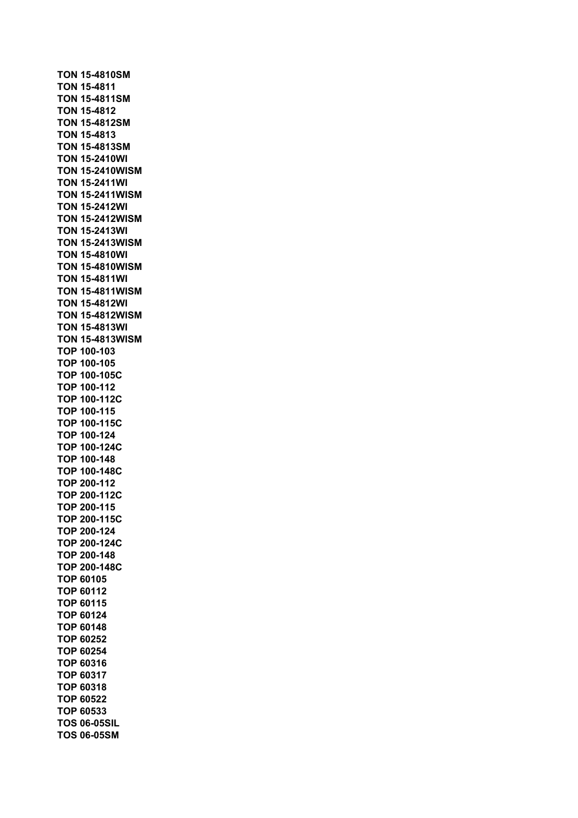**TON 15-4810SM TON 15-4811 TON 15-4811SM TON 15-4812 TON 15-4812SM TON 15-4813 TON 15-4813SM TON 15-2410WI TON 15-2410WISM TON 15-2411WI TON 15-2411WISM TON 15-2412WI TON 15-2412WISM TON 15-2413WI TON 15-2413WISM TON 15-4810WI TON 15-4810WISM TON 15-4811WI TON 15-4811WISM TON 15-4812WI TON 15-4812WISM TON 15-4813WI TON 15-4813WISM TOP 100-103 TOP 100-105 TOP 100-105C TOP 100-112 TOP 100-112C TOP 100-115 TOP 100-115C TOP 100-124 TOP 100-124C TOP 100-148 TOP 100-148C TOP 200-112 TOP 200-112C TOP 200-115 TOP 200-115C TOP 200-124 TOP 200-124C TOP 200-148 TOP 200-148C TOP 60105 TOP 60112 TOP 60115 TOP 60124 TOP 60148 TOP 60252 TOP 60254 TOP 60316 TOP 60317 TOP 60318 TOP 60522 TOP 60533 TOS 06-05SIL TOS 06-05SM**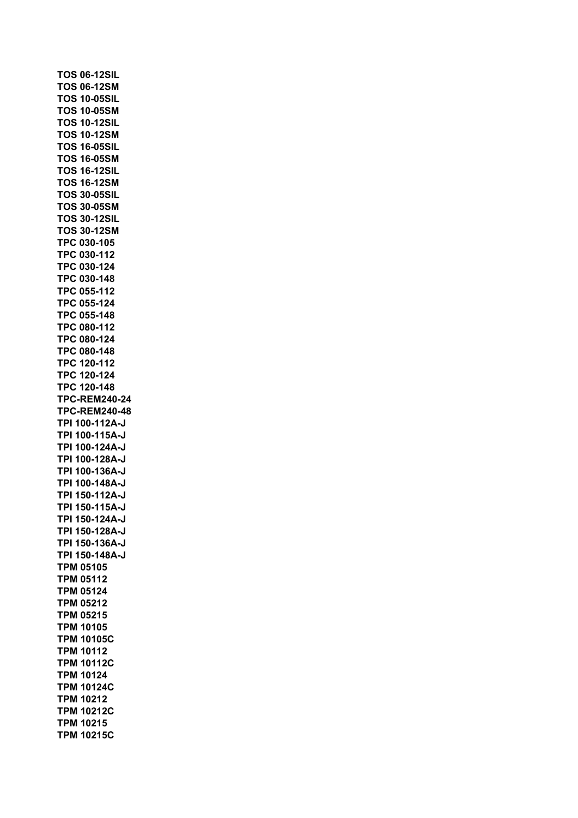**TOS 06-12SIL TOS 06-12SM TOS 10-05SIL TOS 10-05SM TOS 10-12SIL TOS 10-12SM TOS 16-05SIL TOS 16-05SM TOS 16-12SIL TOS 16-12SM TOS 30-05SIL TOS 30-05SM TOS 30-12SIL TOS 30-12SM TPC 030-105 TPC 030-112 TPC 030-124 TPC 030-148 TPC 055-112 TPC 055-124 TPC 055-148 TPC 080-112 TPC 080-124 TPC 080-148 TPC 120-112 TPC 120-124 TPC 120-148 TPC-REM240-24 TPC-REM240-48 TPI 100-112A-J TPI 100-115A-J TPI 100-124A-J TPI 100-128A-J TPI 100-136A-J TPI 100-148A-J TPI 150-112A-J TPI 150-115A-J TPI 150-124A-J TPI 150-128A-J TPI 150-136A-J TPI 150-148A-J TPM 05105 TPM 05112 TPM 05124 TPM 05212 TPM 05215 TPM 10105 TPM 10105C TPM 10112 TPM 10112C TPM 10124 TPM 10124C TPM 10212 TPM 10212C TPM 10215 TPM 10215C**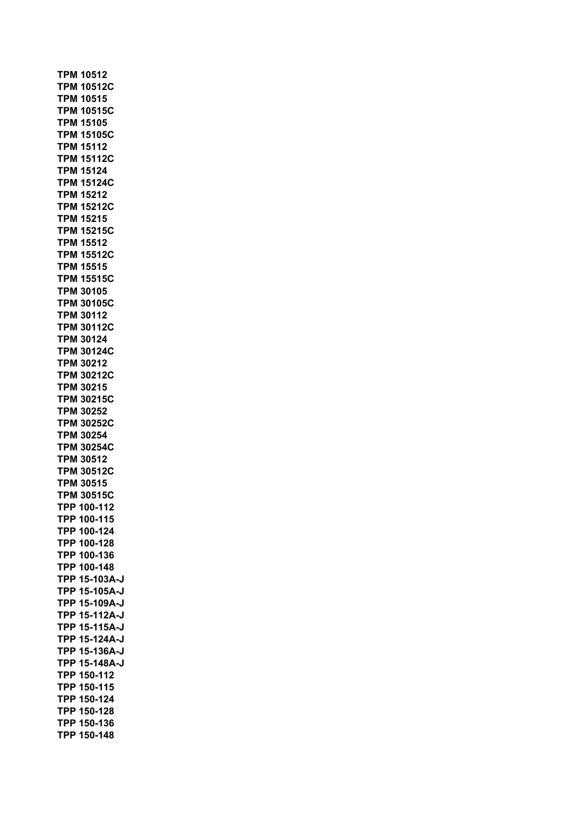**TPM 10512 TPM 10512C TPM 10515 TPM 10515C TPM 15105 TPM 15105C TPM 15112 TPM 15112C TPM 15124 TPM 15124C TPM 15212 TPM 15212C TPM 15215 TPM 15215C TPM 15512 TPM 15512C TPM 15515 TPM 15515C TPM 30105 TPM 30105C TPM 30112 TPM 30112C TPM 30124 TPM 30124C TPM 30212 TPM 30212C TPM 30215 TPM 30215C TPM 30252 TPM 30252C TPM 30254 TPM 30254C TPM 30512 TPM 30512C TPM 30515 TPM 30515C TPP 100-112 TPP 100-115 TPP 100-124 TPP 100-128 TPP 100-136 TPP 100-148 TPP 15-103A-J TPP 15-105A-J TPP 15-109A-J TPP 15-112A-J TPP 15-115A-J TPP 15-124A-J TPP 15-136A-J TPP 15-148A-J TPP 150-112 TPP 150-115 TPP 150-124 TPP 150-128 TPP 150-136 TPP 150-148**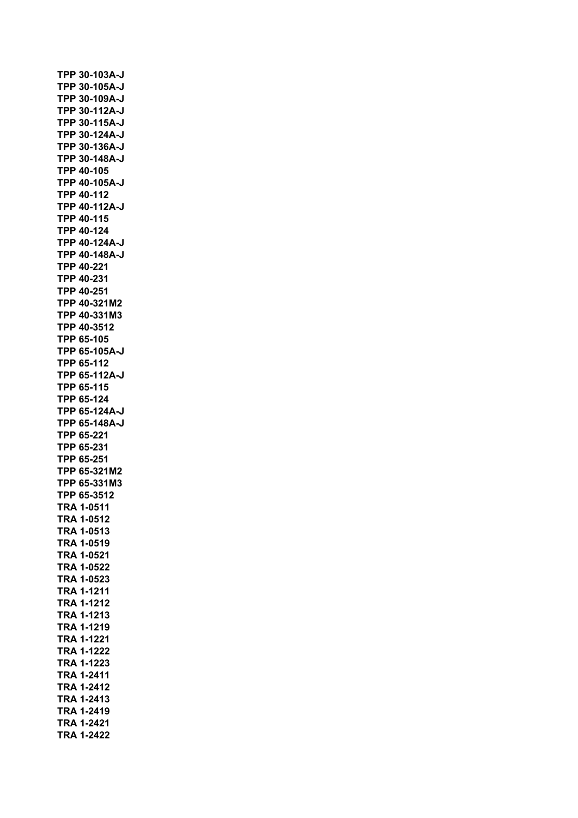**TPP 30-103A-J TPP 30-105A-J TPP 30-109A-J TPP 30-112A-J TPP 30-115A-J TPP 30-124A-J TPP 30-136A-J TPP 30-148A-J TPP 40-105 TPP 40-105A-J TPP 40-112 TPP 40-112A-J TPP 40-115 TPP 40-124 TPP 40-124A-J TPP 40-148A-J TPP 40-221 TPP 40-231 TPP 40-251 TPP 40-321M2 TPP 40-331M3 TPP 40-3512 TPP 65-105 TPP 65-105A-J TPP 65-112 TPP 65-112A-J TPP 65-115 TPP 65-124 TPP 65-124A-J TPP 65-148A-J TPP 65-221 TPP 65-231 TPP 65-251 TPP 65-321M2 TPP 65-331M3 TPP 65-3512 TRA 1-0511 TRA 1-0512 TRA 1-0513 TRA 1-0519 TRA 1-0521 TRA 1-0522 TRA 1-0523 TRA 1-1211 TRA 1-1212 TRA 1-1213 TRA 1-1219 TRA 1-1221 TRA 1-1222 TRA 1-1223 TRA 1-2411 TRA 1-2412 TRA 1-2413 TRA 1-2419 TRA 1-2421 TRA 1-2422**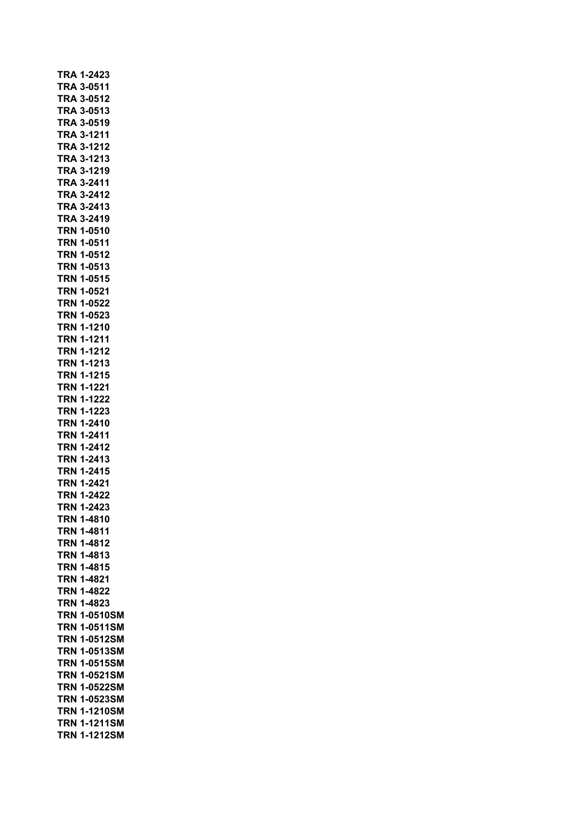|            | TRA 1-2423        |
|------------|-------------------|
|            | <b>TRA 3-0511</b> |
|            | <b>TRA 3-0512</b> |
| TRA        | 3-0513            |
|            | TRA 3-0519        |
|            | <b>TRA 3-1211</b> |
|            | TRA 3-1212        |
|            | TRA 3-1213        |
|            | TRA 3-1219        |
|            | TRA 3-2411        |
|            | TRA 3-2412        |
|            | TRA 3-2413        |
|            | <b>TRA 3-2419</b> |
|            | <b>TRN 1-0510</b> |
|            | <b>TRN 1-0511</b> |
|            | <b>TRN 1-0512</b> |
|            | <b>TRN 1-0513</b> |
|            | <b>TRN 1-0515</b> |
|            | TRN 1-0521        |
|            | <b>TRN 1-0522</b> |
| TRN        | 1-0523            |
| TRN        | 1-1210            |
|            | <b>TRN 1-1211</b> |
|            | <b>TRN 1-1212</b> |
| TRN        | 1-1213            |
| TRN        | 1-1215            |
|            | <b>TRN 1-1221</b> |
|            | TRN 1-1222        |
|            | <b>TRN 1-1223</b> |
|            | <b>TRN 1-2410</b> |
|            | <b>TRN 1-2411</b> |
|            | <b>TRN 1-2412</b> |
|            | <b>TRN 1-2413</b> |
|            | <b>TRN 1-2415</b> |
|            | TRN 1-2421        |
|            | <b>TRN 1-2422</b> |
|            | TRN 1-2423        |
| TRN        | 1-4810            |
| TRN        | 1-4811            |
| TRN        | 1-4812            |
| TRN        | 1-4813            |
| TRN        | 1-4815            |
| TRN        | 1-4821            |
| TRN        | 1-4822            |
| TRN        | 1-4823            |
| <b>TRN</b> | 1-0510SM          |
| <b>TRN</b> | 1-0511SM          |
| <b>TRN</b> | 1-0512SM          |
| <b>TRN</b> | 1-0513SM          |
| <b>TRN</b> | 1-0515SM          |
| <b>TRN</b> | 1-0521SM          |
| <b>TRN</b> | 1-0522SM          |
| TRN        | 1-0523SM          |
| TRN        | 1-1210SM          |
| TRN        | 1-1211SM          |
| TRN        |                   |
|            | 1-1212SM          |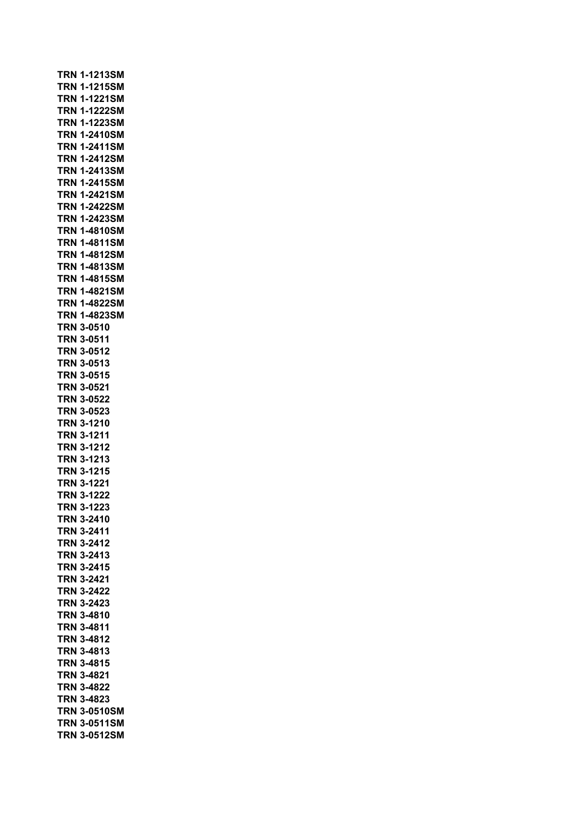| TRN        | 1-1213SM                    |
|------------|-----------------------------|
| <b>TRN</b> | 1-1215SM                    |
| TRN        | 1-1221SM                    |
| <b>TRN</b> | 1-1222SM                    |
| TRN        | 1-1223SM                    |
| <b>TRN</b> | 1-2410SM                    |
| <b>TRN</b> | 1-2411SM                    |
| TRN<br>TRN | 1-2412SM                    |
| TRN        | 1-2413SM<br>1-2415SM        |
| TRN        | 1-2421SM                    |
| TRN        | 1-2422SM                    |
| TRN        | 1-2423SM                    |
| TRN        | 1-4810SM                    |
| TRN        | 1-4811SM                    |
| TRN        | 1-4812SM                    |
| TRN        | 1-4813SM                    |
| TRN        | 1-4815SM                    |
| TRN        | 1-4821SM                    |
| TRN        | 1-4822SM                    |
| TRN        | 1-4823SM                    |
| TRN        | 3-0510                      |
| TRN        | 3-0511                      |
| TRN        | 3-0512                      |
| TRN        | 3-0513                      |
| TRN        | 3-0515                      |
| TRN        | 3-0521                      |
| TRN        | 3-0522                      |
| TRN        | 3-0523                      |
| TRN        | 3-1210                      |
| TRN        | 3-1211                      |
|            | <b>TRN 3-1212</b>           |
| <b>TRN</b> | <b>TRN 3-1213</b><br>3-1215 |
| <b>TRN</b> | 3-1221                      |
|            | <b>TRN 3-1222</b>           |
| TRN        | 3-1223                      |
|            | TRN 3-2410                  |
|            | <b>TRN 3-2411</b>           |
|            | TRN 3-2412                  |
|            | TRN 3-2413                  |
|            | <b>TRN 3-2415</b>           |
|            | <b>TRN 3-2421</b>           |
|            | <b>TRN 3-2422</b>           |
|            | <b>TRN 3-2423</b>           |
|            | <b>TRN 3-4810</b>           |
|            | <b>TRN 3-4811</b>           |
|            | <b>TRN 3-4812</b>           |
|            | <b>TRN 3-4813</b>           |
|            | <b>TRN 3-4815</b>           |
|            | <b>TRN 3-4821</b>           |
|            | <b>TRN 3-4822</b>           |
|            | <b>TRN 3-4823</b>           |
|            | TRN 3-0510SM                |
|            | TRN 3-0511SM                |
|            | TRN 3-0512SM                |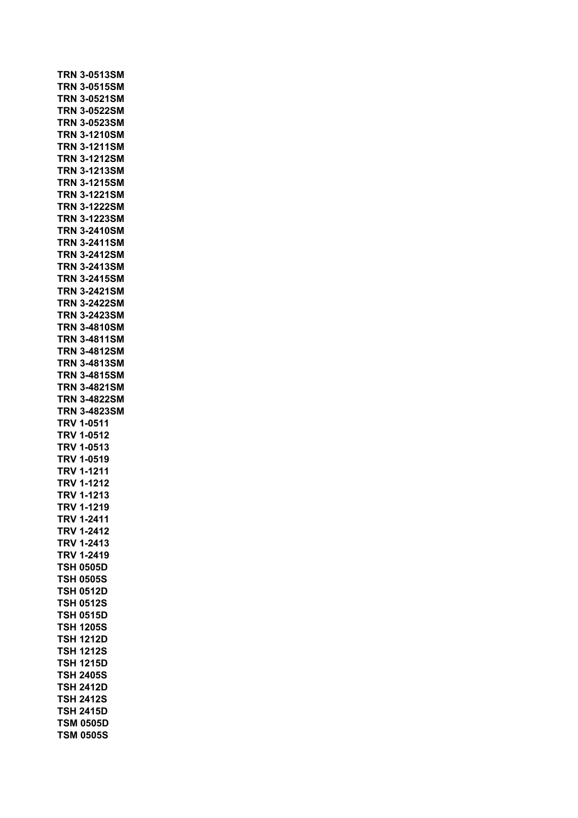| <b>TRN 3-0513SM</b>                  |              |  |  |
|--------------------------------------|--------------|--|--|
| TRN 3-0515SM                         |              |  |  |
| TRN.                                 | 3-0521SM     |  |  |
| TRN.                                 | 3-0522SM     |  |  |
| TRN                                  | 3-0523SM     |  |  |
| TRN                                  | 3-1210SM     |  |  |
|                                      | 3-1211SM     |  |  |
| TRN                                  |              |  |  |
| TRN.                                 | 3-1212SM     |  |  |
| TRN                                  | 3-1213SM     |  |  |
| TRN                                  | 3-1215SM     |  |  |
| TRN                                  | 3-1221SM     |  |  |
| TRN                                  | 3-1222SM     |  |  |
| TRN                                  | 3-1223SM     |  |  |
| TRN                                  | 3-2410SM     |  |  |
| TRN                                  | 3-2411SM     |  |  |
| TRN 3-2412SM                         |              |  |  |
|                                      |              |  |  |
| <b>TRN 3-2413SM</b>                  |              |  |  |
| <b>TRN 3-2415SM</b>                  |              |  |  |
| TRN.                                 | 3-2421SM     |  |  |
| TRN                                  | 3-2422SM     |  |  |
| TRN                                  | 3-2423SM     |  |  |
| TRN                                  | 3-4810SM     |  |  |
| TRN                                  | 3-4811SM     |  |  |
| TRN                                  | 3-4812SM     |  |  |
| TRN                                  | 3-4813SM     |  |  |
| TRN                                  | 3-4815SM     |  |  |
| TRN                                  | 3-4821SM     |  |  |
|                                      |              |  |  |
|                                      |              |  |  |
| TRN                                  | 3-4822SM     |  |  |
| TRN                                  | 3-4823SM     |  |  |
| TRV                                  | 1-0511       |  |  |
| TRV                                  | 1-0512       |  |  |
| TRV                                  | 1-0513       |  |  |
| TRV                                  | 1-0519       |  |  |
| TRV                                  | 1-1211       |  |  |
| TRV 1-1212                           |              |  |  |
|                                      |              |  |  |
| <b>TRV 1-1213</b>                    |              |  |  |
| TRV                                  | 1-1219       |  |  |
| <b>TRV 1-2411</b>                    |              |  |  |
| <b>TRV</b>                           | 1-2412       |  |  |
| <b>TRV</b>                           | 1-2413       |  |  |
| <b>TRV</b>                           | 1-2419       |  |  |
| <b>TSH 0505D</b>                     |              |  |  |
| <b>TSH 0505S</b>                     |              |  |  |
| <b>TSH</b>                           | 0512D        |  |  |
| <b>TSH</b>                           | 0512S        |  |  |
| TSH                                  | 0515D        |  |  |
| TSH                                  | <b>1205S</b> |  |  |
|                                      |              |  |  |
| TSH                                  | 1212D        |  |  |
| <b>TSH</b>                           | <b>1212S</b> |  |  |
| <b>TSH 1215D</b>                     |              |  |  |
| TSH                                  | <b>2405S</b> |  |  |
| TSH                                  | 2412D        |  |  |
| TSH                                  | 2412S        |  |  |
| <b>TSH 2415D</b>                     |              |  |  |
| <b>TSM 0505D</b><br><b>TSM 0505S</b> |              |  |  |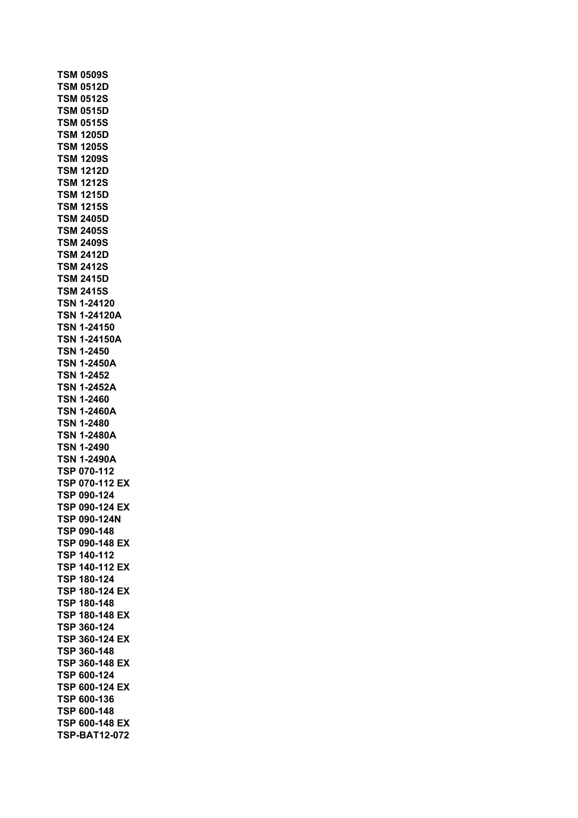**TSM 0509S TSM 0512D TSM 0512S TSM 0515D TSM 0515S TSM 1205D TSM 1205S TSM 1209S TSM 1212D TSM 1212S TSM 1215D TSM 1215S TSM 2405D TSM 2405S TSM 2409S TSM 2412D TSM 2412S TSM 2415D TSM 2415S TSN 1-24120 TSN 1-24120A TSN 1-24150 TSN 1-24150A TSN 1-2450 TSN 1-2450A TSN 1-2452 TSN 1-2452A TSN 1-2460 TSN 1-2460A TSN 1-2480 TSN 1-2480A TSN 1-2490 TSN 1-2490A TSP 070-112 TSP 070-112 EX TSP 090-124 TSP 090-124 EX TSP 090-124N TSP 090-148 TSP 090-148 EX TSP 140-112 TSP 140-112 EX TSP 180-124 TSP 180-124 EX TSP 180-148 TSP 180-148 EX TSP 360-124 TSP 360-124 EX TSP 360-148 TSP 360-148 EX TSP 600-124 TSP 600-124 EX TSP 600-136 TSP 600-148 TSP 600-148 EX TSP-BAT12-072**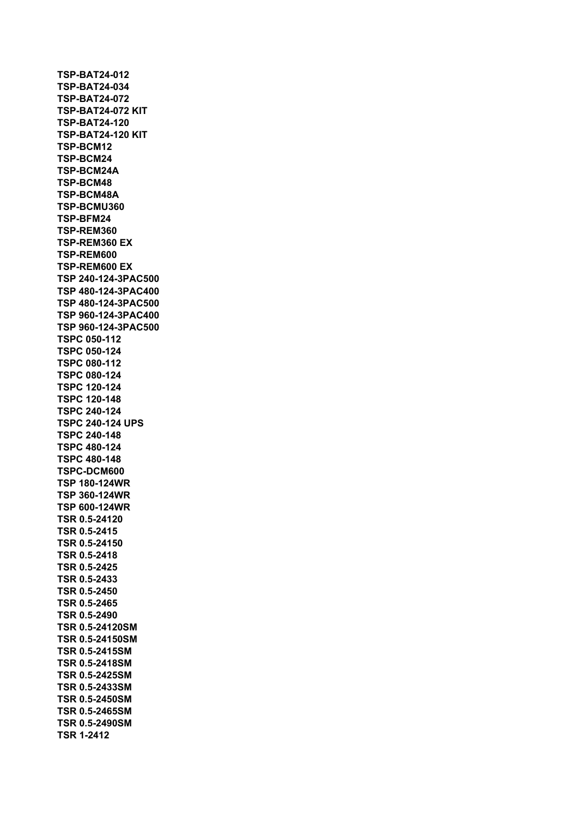**TSP-BAT24-012 TSP-BAT24-034 TSP-BAT24-072 TSP-BAT24-072 KIT TSP-BAT24-120 TSP-BAT24-120 KIT TSP-BCM12 TSP-BCM24 TSP-BCM24A TSP-BCM48 TSP-BCM48A TSP-BCMU360 TSP-BFM24 TSP-REM360 TSP-REM360 EX TSP-REM600 TSP-REM600 EX TSP 240-124-3PAC500 TSP 480-124-3PAC400 TSP 480-124-3PAC500 TSP 960-124-3PAC400 TSP 960-124-3PAC500 TSPC 050-112 TSPC 050-124 TSPC 080-112 TSPC 080-124 TSPC 120-124 TSPC 120-148 TSPC 240-124 TSPC 240-124 UPS TSPC 240-148 TSPC 480-124 TSPC 480-148 TSPC-DCM600 TSP 180-124WR TSP 360-124WR TSP 600-124WR TSR 0.5-24120 TSR 0.5-2415 TSR 0.5-24150 TSR 0.5-2418 TSR 0.5-2425 TSR 0.5-2433 TSR 0.5-2450 TSR 0.5-2465 TSR 0.5-2490 TSR 0.5-24120SM TSR 0.5-24150SM TSR 0.5-2415SM TSR 0.5-2418SM TSR 0.5-2425SM TSR 0.5-2433SM TSR 0.5-2450SM TSR 0.5-2465SM TSR 0.5-2490SM TSR 1-2412**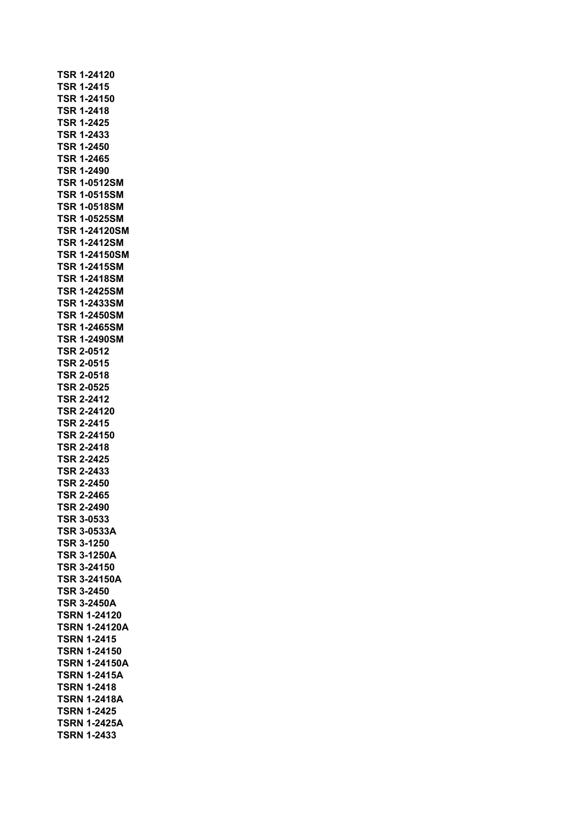**TSR 1-24120 TSR 1-2415 TSR 1-24150 TSR 1-2418 TSR 1-2425 TSR 1-2433 TSR 1-2450 TSR 1-2465 TSR 1-2490 TSR 1-0512SM TSR 1-0515SM TSR 1-0518SM TSR 1-0525SM TSR 1-24120SM TSR 1-2412SM TSR 1-24150SM TSR 1-2415SM TSR 1-2418SM TSR 1-2425SM TSR 1-2433SM TSR 1-2450SM TSR 1-2465SM TSR 1-2490SM TSR 2-0512 TSR 2-0515 TSR 2-0518 TSR 2-0525 TSR 2-2412 TSR 2-24120 TSR 2-2415 TSR 2-24150 TSR 2-2418 TSR 2-2425 TSR 2-2433 TSR 2-2450 TSR 2-2465 TSR 2-2490 TSR 3-0533 TSR 3-0533A TSR 3-1250 TSR 3-1250A TSR 3-24150 TSR 3-24150A TSR 3-2450 TSR 3-2450A TSRN 1-24120 TSRN 1-24120A TSRN 1-2415 TSRN 1-24150 TSRN 1-24150A TSRN 1-2415A TSRN 1-2418 TSRN 1-2418A TSRN 1-2425 TSRN 1-2425A TSRN 1-2433**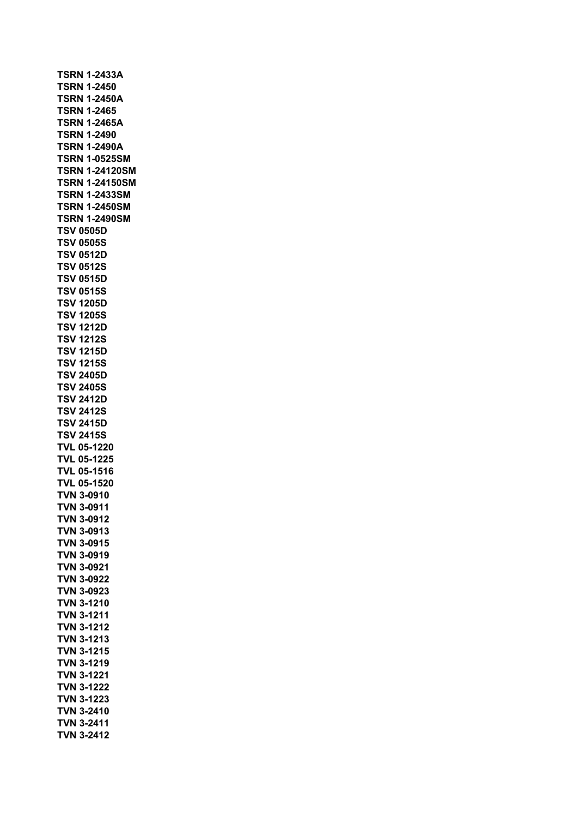| <b>TSRN 1-2433A</b>                    |
|----------------------------------------|
| <b>TSRN 1-2450</b>                     |
| <b>TSRN 1-2450A</b>                    |
| <b>TSRN 1-2465</b>                     |
| <b>TSRN 1-2465A</b>                    |
| <b>TSRN 1-2490</b>                     |
| <b>TSRN 1-2490A</b>                    |
| <b>TSRN 1-0525SM</b>                   |
| <b>TSRN 1-24120SM</b>                  |
| <b>TSRN 1-24150SM</b>                  |
| <b>TSRN 1-2433SM</b>                   |
| <b>TSRN 1-2450SM</b>                   |
| <b>TSRN 1-2490SM</b>                   |
| <b>TSV 0505D</b>                       |
| <b>TSV 0505S</b>                       |
| <b>TSV 0512D</b>                       |
| <b>TSV 0512S</b>                       |
| <b>TSV 0515D</b>                       |
| <b>TSV 0515S</b>                       |
| <b>TSV 1205D</b>                       |
| <b>TSV 1205S</b>                       |
| <b>TSV 1212D</b>                       |
| <b>TSV 1212S</b>                       |
| <b>TSV 1215D</b>                       |
| <b>TSV 1215S</b>                       |
| <b>TSV 2405D</b>                       |
| <b>TSV 2405S</b>                       |
| <b>TSV 2412D</b>                       |
| <b>TSV 2412S</b>                       |
| <b>TSV 2415D</b>                       |
| <b>TSV 2415S</b>                       |
| <b>TVL 05-1220</b>                     |
| <b>TVL 05-1225</b>                     |
| <b>TVL 05-1516</b>                     |
| <b>TVL 05-1520</b>                     |
| <b>TVN 3-0910</b>                      |
| TVN 3-0911                             |
| TVN 3-0912                             |
| <b>TVN 3-0913</b>                      |
| TVN 3-0915                             |
| TVN 3-0919                             |
| <b>TVN 3-0921</b>                      |
| <b>TVN 3-0922</b>                      |
| <b>TVN 3-0923</b><br><b>TVN 3-1210</b> |
|                                        |
| <b>TVN 3-1211</b>                      |
| <b>TVN 3-1212</b><br><b>TVN 3-1213</b> |
| <b>TVN 3-1215</b>                      |
| <b>TVN 3-1219</b>                      |
| <b>TVN 3-1221</b>                      |
| <b>TVN 3-1222</b>                      |
| <b>TVN 3-1223</b>                      |
| TVN 3-2410                             |
| <b>TVN 3-2411</b>                      |
| <b>TVN 3-2412</b>                      |
|                                        |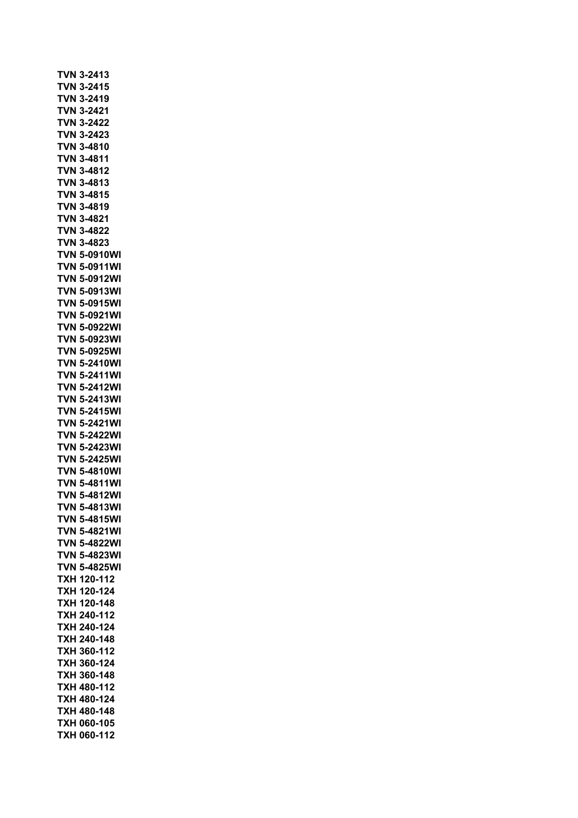|            | TVN 3-2413          |
|------------|---------------------|
|            | <b>TVN 3-2415</b>   |
| VN<br>Τ    | 3-2419              |
| VN<br>Τ    | 3-2421              |
| VN.<br>T   | 3-2422              |
| VN.<br>Т   | 3-2423              |
| VN<br>Т    | 3-4810              |
| VN<br>I    | 3-4811              |
| VN<br>T    | 3-4812              |
| Τ<br>VN    | 3-4813              |
|            | <b>TVN 3-4815</b>   |
| Τ          | VN 3-4819           |
| T          | 'VN 3-4821          |
| Т          | VN 3-4822           |
|            | TVN 3-4823          |
|            | <b>TVN 5-0910WI</b> |
|            | <b>TVN 5-0911WI</b> |
|            | <b>TVN 5-0912WI</b> |
|            | <b>TVN 5-0913WI</b> |
| Τ          | <b>VN 5-0915WI</b>  |
| VN.<br>T   | 5-0921WI            |
| VN<br>T    | 5-0922WI            |
| VN<br>Τ    | 5-0923WI            |
| VN<br>Т    | 5-0925WI            |
| VN.<br>Т   | 5-2410WI            |
| TVN        | 5-2411WI            |
| TVN        | 5-2412WI            |
| TVN        | 5-2413WI            |
| T<br>VN    | 5-2415WI            |
| TVN.       | 5-2421WI            |
| <b>TVN</b> | 5-2422WI            |
| <b>TVN</b> | 5-2423WI            |
| T<br>VN    | 5-2425WI            |
| T<br>'VN   | 5-4810WI            |
| T          | <b>VN 5-4811WI</b>  |
|            | <b>TVN 5-4812WI</b> |
|            | <b>TVN 5-4813WI</b> |
| TVN        | 5-4815WI            |
| <b>TVN</b> | 5-4821WI            |
| TVN        | 5-4822WI            |
| TVN        | 5-4823WI            |
| TVN        | 5-4825WI            |
| ТХН        | 120-112             |
| TXH        | 120-124             |
| <b>TXH</b> | 120-148             |
| ТХН        | 240-112             |
| ТХН        | 240-124             |
| <b>TXH</b> | 240-148             |
| <b>TXH</b> | 360-112             |
| <b>TXH</b> | 360-124             |
| <b>TXH</b> | 360-148             |
| <b>TXH</b> | 480-112             |
| <b>TXH</b> | 480-124             |
| тхн        | 480-148             |
|            |                     |
| ТХН        | 060-105             |
| тхн        | 060-112             |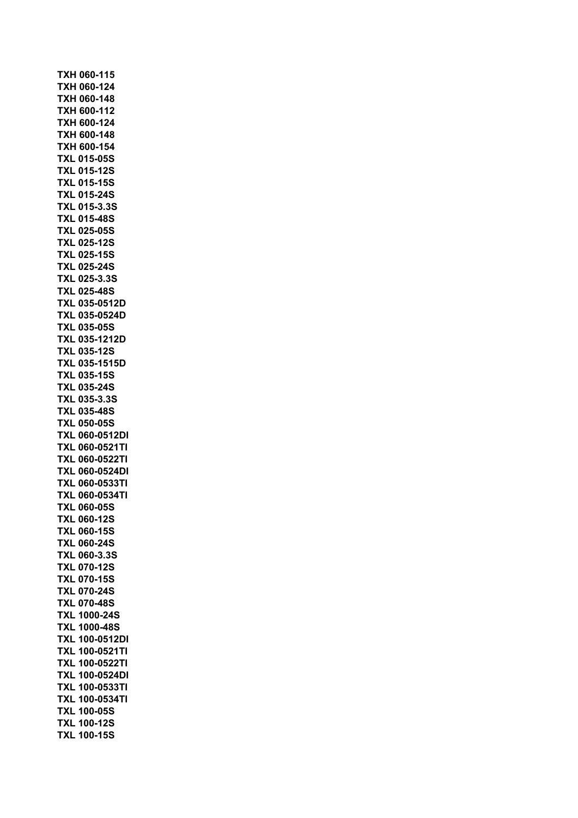**TXH 060-115 TXH 060-124 TXH 060-148 TXH 600-112 TXH 600-124 TXH 600-148 TXH 600-154 TXL 015-05S TXL 015-12S TXL 015-15S TXL 015-24S TXL 015-3.3S TXL 015-48S TXL 025-05S TXL 025-12S TXL 025-15S TXL 025-24S TXL 025-3.3S TXL 025-48S TXL 035-0512D TXL 035-0524D TXL 035-05S TXL 035-1212D TXL 035-12S TXL 035-1515D TXL 035-15S TXL 035-24S TXL 035-3.3S TXL 035-48S TXL 050-05S TXL 060-0512DI TXL 060-0521TI TXL 060-0522TI TXL 060-0524DI TXL 060-0533TI TXL 060-0534TI TXL 060-05S TXL 060-12S TXL 060-15S TXL 060-24S TXL 060-3.3S TXL 070-12S TXL 070-15S TXL 070-24S TXL 070-48S TXL 1000-24S TXL 1000-48S TXL 100-0512DI TXL 100-0521TI TXL 100-0522TI TXL 100-0524DI TXL 100-0533TI TXL 100-0534TI TXL 100-05S TXL 100-12S TXL 100-15S**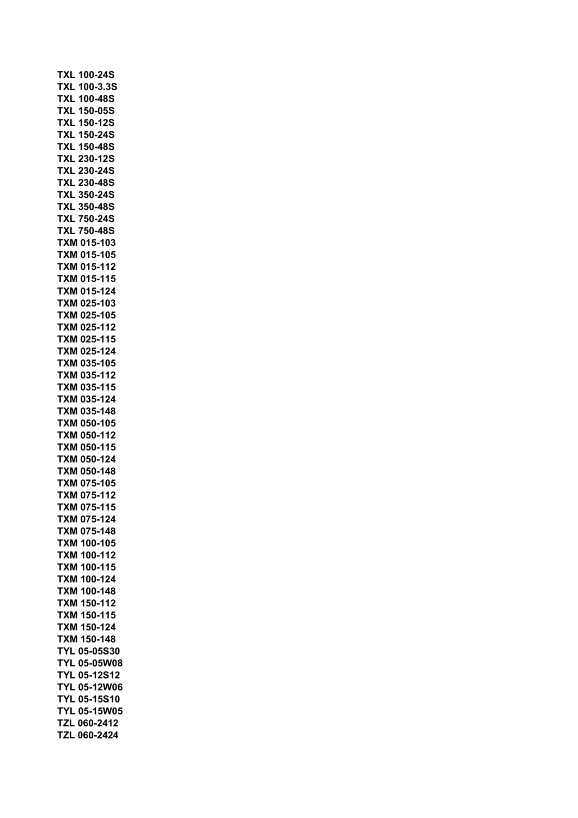| <b>TXL 100-24S</b>    |
|-----------------------|
| TXL 100-3.3S          |
| TXL 100-48S           |
| --<br>XL 150-05S<br>Τ |
| XL 150-12S<br>Т       |
|                       |
| XL 150-24S<br>Т       |
| TXL 150-48S           |
| <b>TXL 230-12S</b>    |
| <b>TXL 230-24S</b>    |
| <b>TXL 230-48S</b>    |
| <b>TXL 350-24S</b>    |
| <b>TXL 350-48S</b>    |
| <b>TXL 750-24S</b>    |
| <b>TXL 750-48S</b>    |
| TXM 015-103           |
|                       |
| TXM 015-105           |
| TXM 015-112           |
| TXM 015-115           |
| TXM 015-124           |
| TXM 025-103           |
| TXM 025-105           |
| XM 025-112<br>Т       |
| TXM 025-115           |
| TXM 025-124           |
|                       |
| TXM 035-105           |
| TXM 035-112           |
| TXM 035-115           |
| TXM 035-124           |
| TXM 035-148           |
| TXM 050-105           |
| TXM 050-112           |
| TXM 050-115           |
| TXM 050-124           |
| <b>TXM 050-148</b>    |
|                       |
| <b>TXM 075-105</b>    |
| TXM 075-112           |
| 075-115<br>TXM        |
| 075-124<br>TXM        |
| <b>TXM</b><br>075-148 |
| 100-105<br>TXM        |
| 100-112<br>TXM        |
| 100-115<br><b>TXM</b> |
| 100-124               |
| TXM                   |
| TXM 100-148           |
| TXM 150-112           |
| TXM 150-115           |
| TXM 150-124           |
| TXM<br>150-148        |
| <b>TYL 05-05S30</b>   |
| <b>TYL 05-05W08</b>   |
| <b>TYL 05-12S12</b>   |
| <b>TYL 05-12W06</b>   |
| <b>TYL 05-15S10</b>   |
|                       |
| <b>TYL 05-15W05</b>   |
| TZL 060-2412          |
| TZL 060-2424          |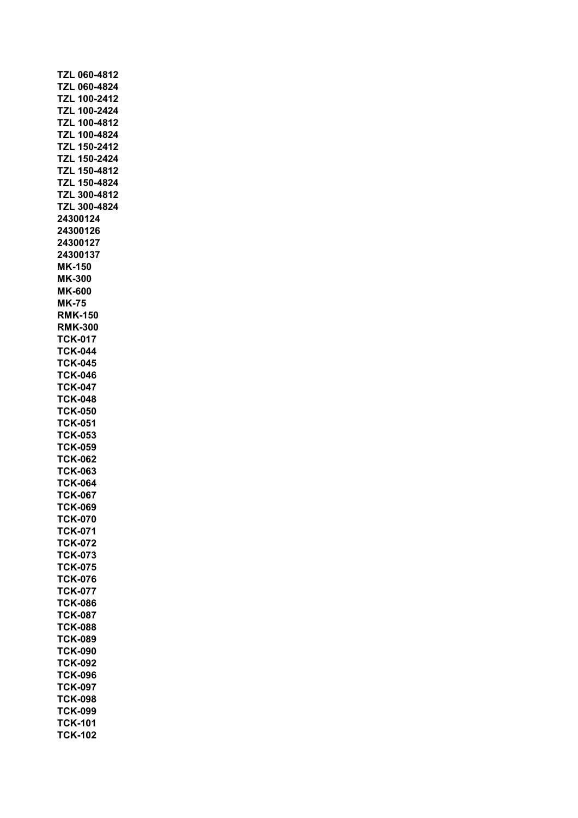| TZL 060-4812        |
|---------------------|
| TZL 060-4824        |
| TZL 100-2412        |
| <b>TZL 100-2424</b> |
|                     |
| TZL 100-4812        |
| <b>TZL 100-4824</b> |
|                     |
| <b>TZL 150-2412</b> |
| <b>TZL 150-2424</b> |
| TZL 150-4812        |
|                     |
| TZL 150-4824        |
| TZL 300-4812        |
|                     |
| TZL 300-4824        |
| 24300124            |
| 24300126            |
|                     |
| 24300127            |
| 24300137            |
|                     |
| MK-150              |
| MK-300              |
| <b>MK-600</b>       |
|                     |
| <b>MK-75</b>        |
| <b>RMK-150</b>      |
|                     |
| <b>RMK-300</b>      |
| <b>TCK-017</b>      |
| <b>TCK-044</b>      |
|                     |
| <b>TCK-045</b>      |
| <b>TCK-046</b>      |
|                     |
| <b>TCK-047</b>      |
| <b>TCK-048</b>      |
| <b>TCK-050</b>      |
|                     |
| <b>TCK-051</b>      |
| <b>TCK-053</b>      |
|                     |
| <b>TCK-059</b>      |
| <b>TCK-062</b>      |
| <b>TCK-063</b>      |
|                     |
| <b>TCK-064</b>      |
| <b>TCK-067</b>      |
| <b>TCK-069</b>      |
|                     |
| <b>TCK-070</b>      |
| <b>TCK-071</b>      |
| <b>TCK-072</b>      |
|                     |
| <b>TCK-073</b>      |
| <b>TCK-075</b>      |
| <b>TCK-076</b>      |
|                     |
| <b>TCK-077</b>      |
| <b>TCK-086</b>      |
|                     |
| <b>TCK-087</b>      |
| <b>TCK-088</b>      |
| <b>TCK-089</b>      |
|                     |
| <b>TCK-090</b>      |
| <b>TCK-092</b>      |
|                     |
| <b>TCK-096</b>      |
| <b>TCK-097</b>      |
| <b>TCK-098</b>      |
|                     |
| <b>TCK-099</b>      |
| <b>TCK-101</b>      |
| <b>TCK-102</b>      |
|                     |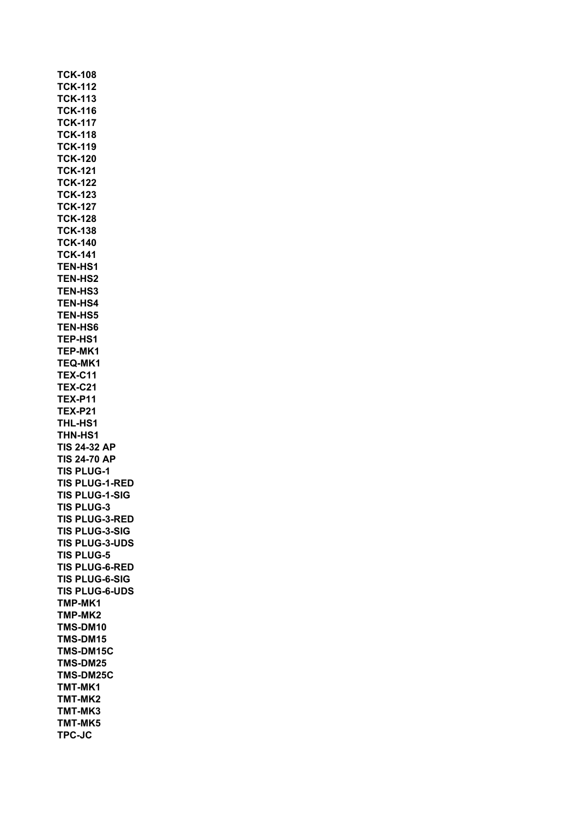**TCK-108 TCK-112 TCK-113 TCK-116 TCK-117 TCK-118 TCK-119 TCK-120 TCK-121 TCK-122 TCK-123 TCK-127 TCK-128 TCK-138 TCK-140 TCK-141 TEN-HS1 TEN-HS2 TEN-HS3 TEN-HS4 TEN-HS5 TEN-HS6 TEP-HS1 TEP-MK1 TEQ-MK1 TEX-C11 TEX-C21 TEX-P11 TEX-P21 THL-HS1 THN-HS1 TIS 24-32 AP TIS 24-70 AP TIS PLUG-1 TIS PLUG-1-RED TIS PLUG-1-SIG TIS PLUG-3 TIS PLUG-3-RED TIS PLUG-3-SIG TIS PLUG-3-UDS TIS PLUG-5 TIS PLUG-6-RED TIS PLUG-6-SIG TIS PLUG-6-UDS TMP-MK1 TMP-MK2 TMS-DM10 TMS-DM15 TMS-DM15C TMS-DM25 TMS-DM25C TMT-MK1 TMT-MK2 TMT-MK3 TMT-MK5 TPC-JC**